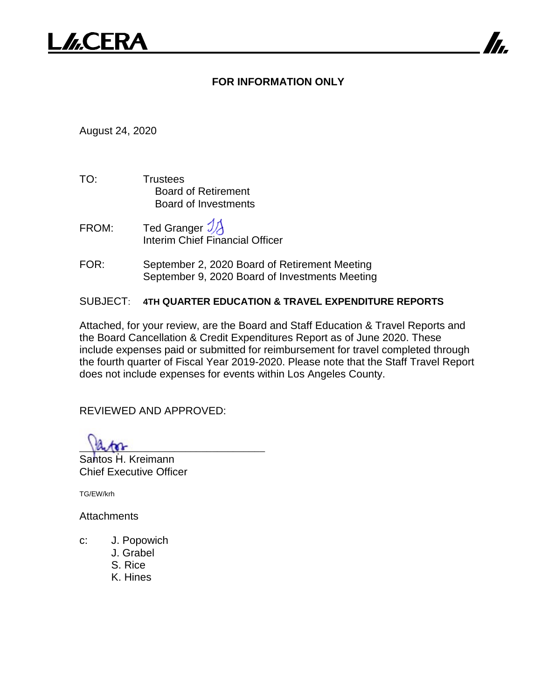# **FOR INFORMATION ONLY**

August 24, 2020

- TO: Trustees Board of Retirement Board of Investments
- FROM: Ted Granger  $\mathcal{Y}$ Interim Chief Financial Officer
- FOR: September 2, 2020 Board of Retirement Meeting September 9, 2020 Board of Investments Meeting

# SUBJECT: **4TH QUARTER EDUCATION & TRAVEL EXPENDITURE REPORTS**

Attached, for your review, are the Board and Staff Education & Travel Reports and the Board Cancellation & Credit Expenditures Report as of June 2020. These include expenses paid or submitted for reimbursement for travel completed through the fourth quarter of Fiscal Year 2019-2020. Please note that the Staff Travel Report does not include expenses for events within Los Angeles County.

REVIEWED AND APPROVED:

 $\mu$ 

Santos H. Kreimann Chief Executive Officer

TG/EW/krh

**Attachments** 

- c: J. Popowich
	- J. Grabel
	- S. Rice
	- K. Hines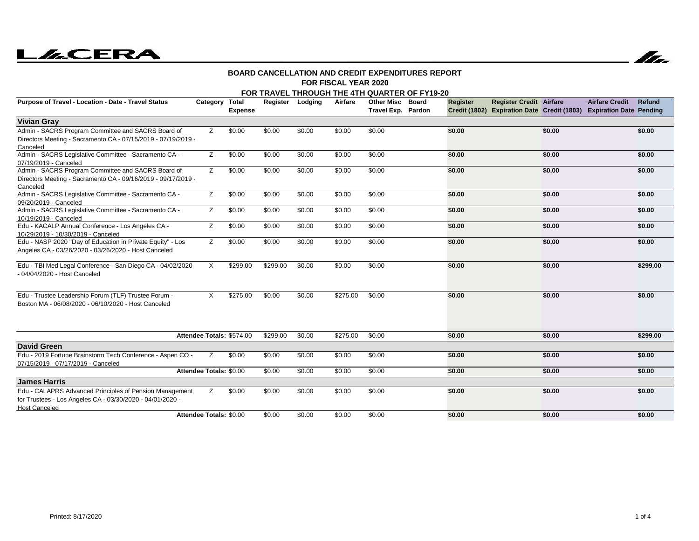# **LACERA**



#### **FOR FISCAL YEAR 2020BOARD CANCELLATION AND CREDIT EXPENDITURES REPORT**

#### **FOR TRAVEL THROUGH THE 4TH QUARTER OF FY19-20**

| Purpose of Travel - Location - Date - Travel Status                                                                                          | Category Total            | <b>Expense</b> | Register | Lodging | Airfare  | <b>Other Misc</b><br>Travel Exp. Pardon | <b>Board</b> | Register | <b>Register Credit Airfare</b> |        | <b>Airfare Credit</b><br>Credit (1802) Expiration Date Credit (1803) Expiration Date Pending | Refund   |
|----------------------------------------------------------------------------------------------------------------------------------------------|---------------------------|----------------|----------|---------|----------|-----------------------------------------|--------------|----------|--------------------------------|--------|----------------------------------------------------------------------------------------------|----------|
| <b>Vivian Gray</b>                                                                                                                           |                           |                |          |         |          |                                         |              |          |                                |        |                                                                                              |          |
| Admin - SACRS Program Committee and SACRS Board of<br>Directors Meeting - Sacramento CA - 07/15/2019 - 07/19/2019 -<br>Canceled              | z                         | \$0.00         | \$0.00   | \$0.00  | \$0.00   | \$0.00                                  |              | \$0.00   |                                | \$0.00 |                                                                                              | \$0.00   |
| Admin - SACRS Legislative Committee - Sacramento CA -<br>07/19/2019 - Canceled                                                               | Z                         | \$0.00         | \$0.00   | \$0.00  | \$0.00   | \$0.00                                  |              | \$0.00   |                                | \$0.00 |                                                                                              | \$0.00   |
| Admin - SACRS Program Committee and SACRS Board of<br>Directors Meeting - Sacramento CA - 09/16/2019 - 09/17/2019 -<br>Canceled              | Z                         | \$0.00         | \$0.00   | \$0.00  | \$0.00   | \$0.00                                  |              | \$0.00   |                                | \$0.00 |                                                                                              | \$0.00   |
| Admin - SACRS Legislative Committee - Sacramento CA -<br>09/20/2019 - Canceled                                                               | Z                         | \$0.00         | \$0.00   | \$0.00  | \$0.00   | \$0.00                                  |              | \$0.00   |                                | \$0.00 |                                                                                              | \$0.00   |
| Admin - SACRS Legislative Committee - Sacramento CA -<br>10/19/2019 - Canceled                                                               | Z                         | \$0.00         | \$0.00   | \$0.00  | \$0.00   | \$0.00                                  |              | \$0.00   |                                | \$0.00 |                                                                                              | \$0.00   |
| Edu - KACALP Annual Conference - Los Angeles CA -<br>10/29/2019 - 10/30/2019 - Canceled                                                      | Z                         | \$0.00         | \$0.00   | \$0.00  | \$0.00   | \$0.00                                  |              | \$0.00   |                                | \$0.00 |                                                                                              | \$0.00   |
| Edu - NASP 2020 "Day of Education in Private Equity" - Los<br>Angeles CA - 03/26/2020 - 03/26/2020 - Host Canceled                           | Z                         | \$0.00         | \$0.00   | \$0.00  | \$0.00   | \$0.00                                  |              | \$0.00   |                                | \$0.00 |                                                                                              | \$0.00   |
| Edu - TBI Med Legal Conference - San Diego CA - 04/02/2020<br>- 04/04/2020 - Host Canceled                                                   | X                         | \$299.00       | \$299.00 | \$0.00  | \$0.00   | \$0.00                                  |              | \$0.00   |                                | \$0.00 |                                                                                              | \$299.00 |
| Edu - Trustee Leadership Forum (TLF) Trustee Forum -<br>Boston MA - 06/08/2020 - 06/10/2020 - Host Canceled                                  | X                         | \$275.00       | \$0.00   | \$0.00  | \$275.00 | \$0.00                                  |              | \$0.00   |                                | \$0.00 |                                                                                              | \$0.00   |
|                                                                                                                                              | Attendee Totals: \$574.00 |                | \$299.00 | \$0.00  | \$275.00 | \$0.00                                  |              | \$0.00   |                                | \$0.00 |                                                                                              | \$299.00 |
| <b>David Green</b>                                                                                                                           |                           |                |          |         |          |                                         |              |          |                                |        |                                                                                              |          |
| Edu - 2019 Fortune Brainstorm Tech Conference - Aspen CO -<br>07/15/2019 - 07/17/2019 - Canceled                                             | Z.                        | \$0.00         | \$0.00   | \$0.00  | \$0.00   | \$0.00                                  |              | \$0.00   |                                | \$0.00 |                                                                                              | \$0.00   |
|                                                                                                                                              | Attendee Totals: \$0.00   |                | \$0.00   | \$0.00  | \$0.00   | \$0.00                                  |              | \$0.00   |                                | \$0.00 |                                                                                              | \$0.00   |
| <b>James Harris</b>                                                                                                                          |                           |                |          |         |          |                                         |              |          |                                |        |                                                                                              |          |
| Edu - CALAPRS Advanced Principles of Pension Management<br>for Trustees - Los Angeles CA - 03/30/2020 - 04/01/2020 -<br><b>Host Canceled</b> | Z                         | \$0.00         | \$0.00   | \$0.00  | \$0.00   | \$0.00                                  |              | \$0.00   |                                | \$0.00 |                                                                                              | \$0.00   |
|                                                                                                                                              | Attendee Totals: \$0.00   |                | \$0.00   | \$0.00  | \$0.00   | \$0.00                                  |              | \$0.00   |                                | \$0.00 |                                                                                              | \$0.00   |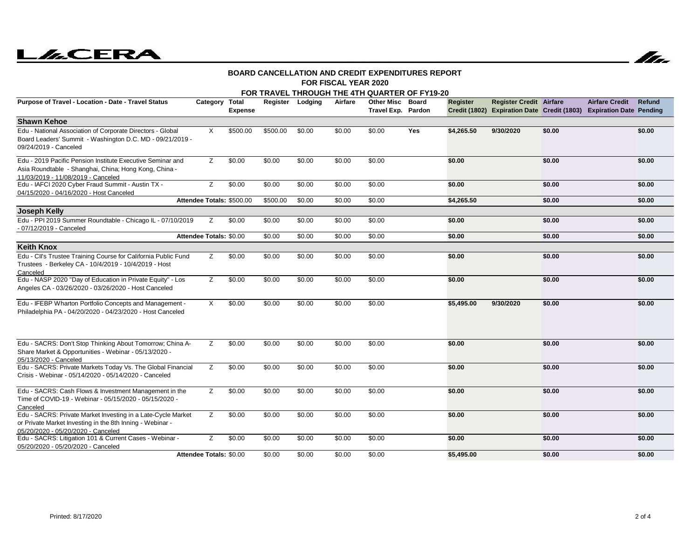



#### **FOR FISCAL YEAR 2020BOARD CANCELLATION AND CREDIT EXPENDITURES REPORT**

|                                                                                                                                                                 |                                |                |          |                  |         | FOR TRAVEL THROUGH THE 4TH QUARTER OF FY19-20 |              |                 |                                |        |                                                                                              |        |
|-----------------------------------------------------------------------------------------------------------------------------------------------------------------|--------------------------------|----------------|----------|------------------|---------|-----------------------------------------------|--------------|-----------------|--------------------------------|--------|----------------------------------------------------------------------------------------------|--------|
| Purpose of Travel - Location - Date - Travel Status                                                                                                             | Category Total                 | <b>Expense</b> |          | Register Lodging | Airfare | <b>Other Misc</b><br>Travel Exp. Pardon       | <b>Board</b> | <b>Register</b> | <b>Register Credit Airfare</b> |        | <b>Airfare Credit</b><br>Credit (1802) Expiration Date Credit (1803) Expiration Date Pending | Refund |
| <b>Shawn Kehoe</b>                                                                                                                                              |                                |                |          |                  |         |                                               |              |                 |                                |        |                                                                                              |        |
| Edu - National Association of Corporate Directors - Global<br>Board Leaders' Summit - Washington D.C. MD - 09/21/2019 -<br>09/24/2019 - Canceled                | X                              | \$500.00       | \$500.00 | \$0.00           | \$0.00  | \$0.00                                        | Yes          | \$4,265.50      | 9/30/2020                      | \$0.00 |                                                                                              | \$0.00 |
| Edu - 2019 Pacific Pension Institute Executive Seminar and<br>Asia Roundtable - Shanghai, China; Hong Kong, China -<br>11/03/2019 - 11/08/2019 - Canceled       | z                              | \$0.00         | \$0.00   | \$0.00           | \$0.00  | \$0.00                                        |              | \$0.00          |                                | \$0.00 |                                                                                              | \$0.00 |
| Edu - IAFCI 2020 Cyber Fraud Summit - Austin TX -<br>04/15/2020 - 04/16/2020 - Host Canceled                                                                    | Z                              | \$0.00         | \$0.00   | \$0.00           | \$0.00  | \$0.00                                        |              | \$0.00          |                                | \$0.00 |                                                                                              | \$0.00 |
|                                                                                                                                                                 | Attendee Totals: \$500.00      |                | \$500.00 | \$0.00           | \$0.00  | \$0.00                                        |              | \$4,265.50      |                                | \$0.00 |                                                                                              | \$0.00 |
| <b>Joseph Kelly</b>                                                                                                                                             |                                |                |          |                  |         |                                               |              |                 |                                |        |                                                                                              |        |
| Edu - PPI 2019 Summer Roundtable - Chicago IL - 07/10/2019<br>- 07/12/2019 - Canceled                                                                           | z                              | \$0.00         | \$0.00   | \$0.00           | \$0.00  | \$0.00                                        |              | \$0.00          |                                | \$0.00 |                                                                                              | \$0.00 |
|                                                                                                                                                                 | Attendee Totals: \$0.00        |                | \$0.00   | \$0.00           | \$0.00  | \$0.00                                        |              | \$0.00          |                                | \$0.00 |                                                                                              | \$0.00 |
| <b>Keith Knox</b>                                                                                                                                               |                                |                |          |                  |         |                                               |              |                 |                                |        |                                                                                              |        |
| Edu - Cll's Trustee Training Course for California Public Fund<br>Trustees - Berkeley CA - 10/4/2019 - 10/4/2019 - Host<br>Canceled                             | Ζ                              | \$0.00         | \$0.00   | \$0.00           | \$0.00  | \$0.00                                        |              | \$0.00          |                                | \$0.00 |                                                                                              | \$0.00 |
| Edu - NASP 2020 "Day of Education in Private Equity" - Los<br>Angeles CA - 03/26/2020 - 03/26/2020 - Host Canceled                                              | Z                              | \$0.00         | \$0.00   | \$0.00           | \$0.00  | \$0.00                                        |              | \$0.00          |                                | \$0.00 |                                                                                              | \$0.00 |
| Edu - IFEBP Wharton Portfolio Concepts and Management -<br>Philadelphia PA - 04/20/2020 - 04/23/2020 - Host Canceled                                            | X                              | \$0.00         | \$0.00   | \$0.00           | \$0.00  | \$0.00                                        |              | \$5,495.00      | 9/30/2020                      | \$0.00 |                                                                                              | \$0.00 |
| Edu - SACRS: Don't Stop Thinking About Tomorrow; China A-<br>Share Market & Opportunities - Webinar - 05/13/2020 -<br>05/13/2020 - Canceled                     | Z                              | \$0.00         | \$0.00   | \$0.00           | \$0.00  | \$0.00                                        |              | \$0.00          |                                | \$0.00 |                                                                                              | \$0.00 |
| Edu - SACRS: Private Markets Today Vs. The Global Financial<br>Crisis - Webinar - 05/14/2020 - 05/14/2020 - Canceled                                            | z                              | \$0.00         | \$0.00   | \$0.00           | \$0.00  | \$0.00                                        |              | \$0.00          |                                | \$0.00 |                                                                                              | \$0.00 |
| Edu - SACRS: Cash Flows & Investment Management in the<br>Time of COVID-19 - Webinar - 05/15/2020 - 05/15/2020 -<br>Canceled                                    | Ζ                              | \$0.00         | \$0.00   | \$0.00           | \$0.00  | \$0.00                                        |              | \$0.00          |                                | \$0.00 |                                                                                              | \$0.00 |
| Edu - SACRS: Private Market Investing in a Late-Cycle Market<br>or Private Market Investing in the 8th Inning - Webinar -<br>05/20/2020 - 05/20/2020 - Canceled | Z                              | \$0.00         | \$0.00   | \$0.00           | \$0.00  | \$0.00                                        |              | \$0.00          |                                | \$0.00 |                                                                                              | \$0.00 |
| Edu - SACRS: Litigation 101 & Current Cases - Webinar -<br>05/20/2020 - 05/20/2020 - Canceled                                                                   | Z                              | \$0.00         | \$0.00   | \$0.00           | \$0.00  | \$0.00                                        |              | \$0.00          |                                | \$0.00 |                                                                                              | \$0.00 |
|                                                                                                                                                                 | <b>Attendee Totals: \$0.00</b> |                | \$0.00   | \$0.00           | \$0.00  | \$0.00                                        |              | \$5,495.00      |                                | \$0.00 |                                                                                              | \$0.00 |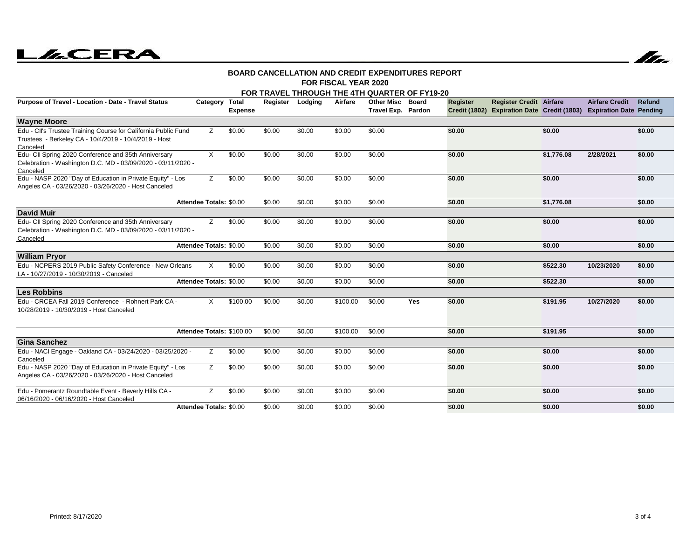# **LILCERA**



#### **FOR FISCAL YEAR 2020BOARD CANCELLATION AND CREDIT EXPENDITURES REPORT**

|                                                                                                                                     |                           |                         |        |                  |          | FOR TRAVEL THROUGH THE 4TH QUARTER OF FY19-20 |            |          |                                                                                                       |            |                       |        |
|-------------------------------------------------------------------------------------------------------------------------------------|---------------------------|-------------------------|--------|------------------|----------|-----------------------------------------------|------------|----------|-------------------------------------------------------------------------------------------------------|------------|-----------------------|--------|
| Purpose of Travel - Location - Date - Travel Status                                                                                 | Category                  | Total<br><b>Expense</b> |        | Register Lodging | Airfare  | <b>Other Misc Board</b><br>Travel Exp. Pardon |            | Register | <b>Register Credit Airfare</b><br>Credit (1802) Expiration Date Credit (1803) Expiration Date Pending |            | <b>Airfare Credit</b> | Refund |
| <b>Wayne Moore</b>                                                                                                                  |                           |                         |        |                  |          |                                               |            |          |                                                                                                       |            |                       |        |
| Edu - Cll's Trustee Training Course for California Public Fund<br>Trustees - Berkeley CA - 10/4/2019 - 10/4/2019 - Host<br>Canceled | z                         | \$0.00                  | \$0.00 | \$0.00           | \$0.00   | \$0.00                                        |            | \$0.00   |                                                                                                       | \$0.00     |                       | \$0.00 |
| Edu- CII Spring 2020 Conference and 35th Anniversary<br>Celebration - Washington D.C. MD - 03/09/2020 - 03/11/2020 -<br>Canceled    | X                         | \$0.00                  | \$0.00 | \$0.00           | \$0.00   | \$0.00                                        |            | \$0.00   |                                                                                                       | \$1,776.08 | 2/28/2021             | \$0.00 |
| Edu - NASP 2020 "Day of Education in Private Equity" - Los<br>Angeles CA - 03/26/2020 - 03/26/2020 - Host Canceled                  | Z.                        | \$0.00                  | \$0.00 | \$0.00           | \$0.00   | \$0.00                                        |            | \$0.00   |                                                                                                       | \$0.00     |                       | \$0.00 |
|                                                                                                                                     | Attendee Totals: \$0.00   |                         | \$0.00 | \$0.00           | \$0.00   | \$0.00                                        |            | \$0.00   |                                                                                                       | \$1,776.08 |                       | \$0.00 |
| <b>David Muir</b>                                                                                                                   |                           |                         |        |                  |          |                                               |            |          |                                                                                                       |            |                       |        |
| Edu- CII Spring 2020 Conference and 35th Anniversary<br>Celebration - Washington D.C. MD - 03/09/2020 - 03/11/2020 -<br>Canceled    | z                         | \$0.00                  | \$0.00 | \$0.00           | \$0.00   | \$0.00                                        |            | \$0.00   |                                                                                                       | \$0.00     |                       | \$0.00 |
|                                                                                                                                     | Attendee Totals: \$0.00   |                         | \$0.00 | \$0.00           | \$0.00   | \$0.00                                        |            | \$0.00   |                                                                                                       | \$0.00     |                       | \$0.00 |
| <b>William Pryor</b>                                                                                                                |                           |                         |        |                  |          |                                               |            |          |                                                                                                       |            |                       |        |
| Edu - NCPERS 2019 Public Safety Conference - New Orleans<br>LA - 10/27/2019 - 10/30/2019 - Canceled                                 | X                         | \$0.00                  | \$0.00 | \$0.00           | \$0.00   | \$0.00                                        |            | \$0.00   |                                                                                                       | \$522.30   | 10/23/2020            | \$0.00 |
|                                                                                                                                     | Attendee Totals: \$0.00   |                         | \$0.00 | \$0.00           | \$0.00   | \$0.00                                        |            | \$0.00   |                                                                                                       | \$522.30   |                       | \$0.00 |
| <b>Les Robbins</b>                                                                                                                  |                           |                         |        |                  |          |                                               |            |          |                                                                                                       |            |                       |        |
| Edu - CRCEA Fall 2019 Conference - Rohnert Park CA -<br>10/28/2019 - 10/30/2019 - Host Canceled                                     | X                         | \$100.00                | \$0.00 | \$0.00           | \$100.00 | \$0.00                                        | <b>Yes</b> | \$0.00   |                                                                                                       | \$191.95   | 10/27/2020            | \$0.00 |
|                                                                                                                                     | Attendee Totals: \$100.00 |                         | \$0.00 | \$0.00           | \$100.00 | \$0.00                                        |            | \$0.00   |                                                                                                       | \$191.95   |                       | \$0.00 |
| <b>Gina Sanchez</b>                                                                                                                 |                           |                         |        |                  |          |                                               |            |          |                                                                                                       |            |                       |        |
| Edu - NACl Engage - Oakland CA - 03/24/2020 - 03/25/2020 -<br>Canceled                                                              | Z                         | \$0.00                  | \$0.00 | \$0.00           | \$0.00   | \$0.00                                        |            | \$0.00   |                                                                                                       | \$0.00     |                       | \$0.00 |
| Edu - NASP 2020 "Day of Education in Private Equity" - Los<br>Angeles CA - 03/26/2020 - 03/26/2020 - Host Canceled                  | Z                         | \$0.00                  | \$0.00 | \$0.00           | \$0.00   | \$0.00                                        |            | \$0.00   |                                                                                                       | \$0.00     |                       | \$0.00 |
| Edu - Pomerantz Roundtable Event - Beverly Hills CA -<br>06/16/2020 - 06/16/2020 - Host Canceled                                    | Z                         | \$0.00                  | \$0.00 | \$0.00           | \$0.00   | \$0.00                                        |            | \$0.00   |                                                                                                       | \$0.00     |                       | \$0.00 |
|                                                                                                                                     | Attendee Totals: \$0.00   |                         | \$0.00 | \$0.00           | \$0.00   | \$0.00                                        |            | \$0.00   |                                                                                                       | \$0.00     |                       | \$0.00 |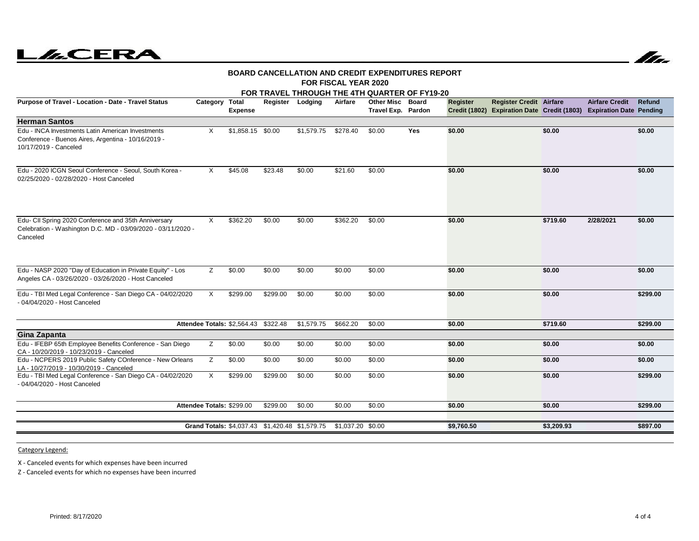# **LILCERA**



#### **FOR FISCAL YEAR 2020BOARD CANCELLATION AND CREDIT EXPENDITURES REPORT**

|                                                                                                                                   |                           |                                      |          |                                                |                   | FOR TRAVEL THROUGH THE 4TH QUARTER OF FY19-20 |            |                 |                                |            |                                                                                              |          |
|-----------------------------------------------------------------------------------------------------------------------------------|---------------------------|--------------------------------------|----------|------------------------------------------------|-------------------|-----------------------------------------------|------------|-----------------|--------------------------------|------------|----------------------------------------------------------------------------------------------|----------|
| Purpose of Travel - Location - Date - Travel Status                                                                               | Category Total            | <b>Expense</b>                       | Register | Lodging                                        | Airfare           | <b>Other Misc</b><br>Travel Exp. Pardon       | Board      | <b>Register</b> | <b>Register Credit Airfare</b> |            | <b>Airfare Credit</b><br>Credit (1802) Expiration Date Credit (1803) Expiration Date Pending | Refund   |
| <b>Herman Santos</b>                                                                                                              |                           |                                      |          |                                                |                   |                                               |            |                 |                                |            |                                                                                              |          |
| Edu - INCA Investments Latin American Investments<br>Conference - Buenos Aires, Argentina - 10/16/2019 -<br>10/17/2019 - Canceled | X                         | \$1,858.15 \$0.00                    |          | \$1,579.75                                     | \$278.40          | \$0.00                                        | <b>Yes</b> | \$0.00          |                                | \$0.00     |                                                                                              | \$0.00   |
| Edu - 2020 ICGN Seoul Conference - Seoul, South Korea -<br>02/25/2020 - 02/28/2020 - Host Canceled                                | X                         | \$45.08                              | \$23.48  | \$0.00                                         | \$21.60           | \$0.00                                        |            | \$0.00          |                                | \$0.00     |                                                                                              | \$0.00   |
| Edu- CII Spring 2020 Conference and 35th Anniversary<br>Celebration - Washington D.C. MD - 03/09/2020 - 03/11/2020 -              | $\times$                  | \$362.20                             | \$0.00   | \$0.00                                         | \$362.20          | \$0.00                                        |            | \$0.00          |                                | \$719.60   | 2/28/2021                                                                                    | \$0.00   |
| Canceled                                                                                                                          |                           |                                      |          |                                                |                   |                                               |            |                 |                                |            |                                                                                              |          |
|                                                                                                                                   |                           |                                      |          |                                                |                   |                                               |            |                 |                                |            |                                                                                              |          |
| Edu - NASP 2020 "Day of Education in Private Equity" - Los<br>Angeles CA - 03/26/2020 - 03/26/2020 - Host Canceled                | z                         | \$0.00                               | \$0.00   | \$0.00                                         | \$0.00            | \$0.00                                        |            | \$0.00          |                                | \$0.00     |                                                                                              | \$0.00   |
| Edu - TBI Med Legal Conference - San Diego CA - 04/02/2020<br>- 04/04/2020 - Host Canceled                                        | X                         | \$299.00                             | \$299.00 | \$0.00                                         | \$0.00            | \$0.00                                        |            | \$0.00          |                                | \$0.00     |                                                                                              | \$299.00 |
|                                                                                                                                   |                           | Attendee Totals: \$2,564.43 \$322.48 |          | \$1,579.75                                     | \$662.20          | \$0.00                                        |            | \$0.00          |                                | \$719.60   |                                                                                              | \$299.00 |
| Gina Zapanta                                                                                                                      |                           |                                      |          |                                                |                   |                                               |            |                 |                                |            |                                                                                              |          |
| Edu - IFEBP 65th Employee Benefits Conference - San Diego<br>CA - 10/20/2019 - 10/23/2019 - Canceled                              | z                         | \$0.00                               | \$0.00   | \$0.00                                         | \$0.00            | \$0.00                                        |            | \$0.00          |                                | \$0.00     |                                                                                              | \$0.00   |
| Edu - NCPERS 2019 Public Safety COnference - New Orleans<br>LA - 10/27/2019 - 10/30/2019 - Canceled                               | Z                         | \$0.00                               | \$0.00   | \$0.00                                         | \$0.00            | \$0.00                                        |            | \$0.00          |                                | \$0.00     |                                                                                              | \$0.00   |
| Edu - TBI Med Legal Conference - San Diego CA - 04/02/2020<br>- 04/04/2020 - Host Canceled                                        | $\times$                  | \$299.00                             | \$299.00 | \$0.00                                         | \$0.00            | \$0.00                                        |            | \$0.00          |                                | \$0.00     |                                                                                              | \$299.00 |
|                                                                                                                                   | Attendee Totals: \$299.00 |                                      | \$299.00 | \$0.00                                         | \$0.00            | \$0.00                                        |            | \$0.00          |                                | \$0.00     |                                                                                              | \$299.00 |
|                                                                                                                                   |                           |                                      |          |                                                |                   |                                               |            |                 |                                |            |                                                                                              |          |
|                                                                                                                                   |                           |                                      |          | Grand Totals: \$4,037.43 \$1,420.48 \$1,579.75 | \$1,037.20 \$0.00 |                                               |            | \$9,760.50      |                                | \$3,209.93 |                                                                                              | \$897.00 |
|                                                                                                                                   |                           |                                      |          |                                                |                   |                                               |            |                 |                                |            |                                                                                              |          |

Category Legend:

X - Canceled events for which expenses have been incurred

Z - Canceled events for which no expenses have been incurred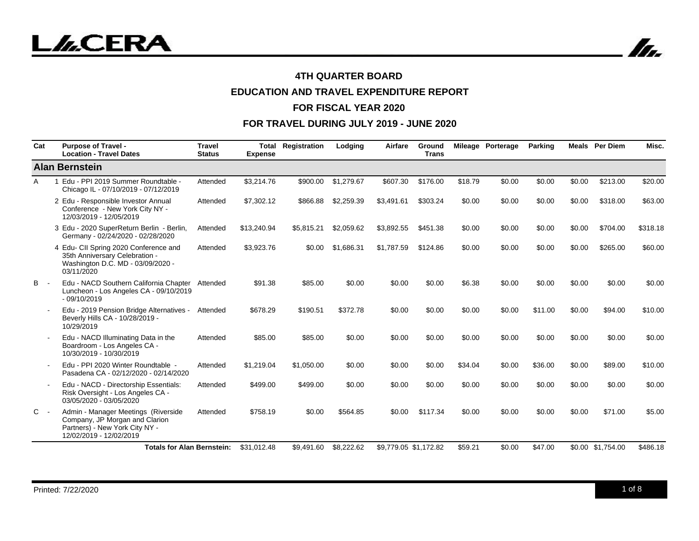In.

## **4TH QUARTER BOARD**

# **EDUCATION AND TRAVEL EXPENDITURE REPORT**

#### **FOR FISCAL YEAR 2020**

| Cat        | <b>Purpose of Travel -</b><br><b>Location - Travel Dates</b>                                                                       | <b>Travel</b><br><b>Status</b> | Total<br><b>Expense</b> | Registration | Lodging    | Airfare               | Ground<br><b>Trans</b> |         | Mileage Porterage | <b>Parking</b> |        | <b>Meals</b> Per Diem | Misc.    |
|------------|------------------------------------------------------------------------------------------------------------------------------------|--------------------------------|-------------------------|--------------|------------|-----------------------|------------------------|---------|-------------------|----------------|--------|-----------------------|----------|
|            | <b>Alan Bernstein</b>                                                                                                              |                                |                         |              |            |                       |                        |         |                   |                |        |                       |          |
| Α          | 1 Edu - PPI 2019 Summer Roundtable -<br>Chicago IL - 07/10/2019 - 07/12/2019                                                       | Attended                       | \$3,214.76              | \$900.00     | \$1,279.67 | \$607.30              | \$176.00               | \$18.79 | \$0.00            | \$0.00         | \$0.00 | \$213.00              | \$20.00  |
|            | 2 Edu - Responsible Investor Annual<br>Conference - New York City NY -<br>12/03/2019 - 12/05/2019                                  | Attended                       | \$7,302.12              | \$866.88     | \$2,259.39 | \$3,491.61            | \$303.24               | \$0.00  | \$0.00            | \$0.00         | \$0.00 | \$318.00              | \$63.00  |
|            | 3 Edu - 2020 SuperReturn Berlin - Berlin,<br>Germany - 02/24/2020 - 02/28/2020                                                     | Attended                       | \$13,240.94             | \$5,815.21   | \$2,059.62 | \$3,892.55            | \$451.38               | \$0.00  | \$0.00            | \$0.00         | \$0.00 | \$704.00              | \$318.18 |
|            | 4 Edu- CII Spring 2020 Conference and<br>35th Anniversary Celebration -<br>Washington D.C. MD - 03/09/2020 -<br>03/11/2020         | Attended                       | \$3,923.76              | \$0.00       | \$1,686.31 | \$1,787.59            | \$124.86               | \$0.00  | \$0.00            | \$0.00         | \$0.00 | \$265.00              | \$60.00  |
| <b>B</b> - | Edu - NACD Southern California Chapter<br>Luncheon - Los Angeles CA - 09/10/2019<br>$-09/10/2019$                                  | Attended                       | \$91.38                 | \$85.00      | \$0.00     | \$0.00                | \$0.00                 | \$6.38  | \$0.00            | \$0.00         | \$0.00 | \$0.00                | \$0.00   |
|            | Edu - 2019 Pension Bridge Alternatives -<br>Beverly Hills CA - 10/28/2019 -<br>10/29/2019                                          | Attended                       | \$678.29                | \$190.51     | \$372.78   | \$0.00                | \$0.00                 | \$0.00  | \$0.00            | \$11.00        | \$0.00 | \$94.00               | \$10.00  |
|            | Edu - NACD Illuminating Data in the<br>Boardroom - Los Angeles CA -<br>10/30/2019 - 10/30/2019                                     | Attended                       | \$85.00                 | \$85.00      | \$0.00     | \$0.00                | \$0.00                 | \$0.00  | \$0.00            | \$0.00         | \$0.00 | \$0.00                | \$0.00   |
|            | Edu - PPI 2020 Winter Roundtable -<br>Pasadena CA - 02/12/2020 - 02/14/2020                                                        | Attended                       | \$1,219.04              | \$1,050.00   | \$0.00     | \$0.00                | \$0.00                 | \$34.04 | \$0.00            | \$36.00        | \$0.00 | \$89.00               | \$10.00  |
|            | Edu - NACD - Directorship Essentials:<br>Risk Oversight - Los Angeles CA -<br>03/05/2020 - 03/05/2020                              | Attended                       | \$499.00                | \$499.00     | \$0.00     | \$0.00                | \$0.00                 | \$0.00  | \$0.00            | \$0.00         | \$0.00 | \$0.00                | \$0.00   |
| $C -$      | Admin - Manager Meetings (Riverside<br>Company, JP Morgan and Clarion<br>Partners) - New York City NY -<br>12/02/2019 - 12/02/2019 | Attended                       | \$758.19                | \$0.00       | \$564.85   | \$0.00                | \$117.34               | \$0.00  | \$0.00            | \$0.00         | \$0.00 | \$71.00               | \$5.00   |
|            | <b>Totals for Alan Bernstein:</b>                                                                                                  |                                | \$31.012.48             | \$9,491.60   | \$8,222.62 | \$9.779.05 \$1.172.82 |                        | \$59.21 | \$0.00            | \$47.00        |        | \$0.00 \$1,754.00     | \$486.18 |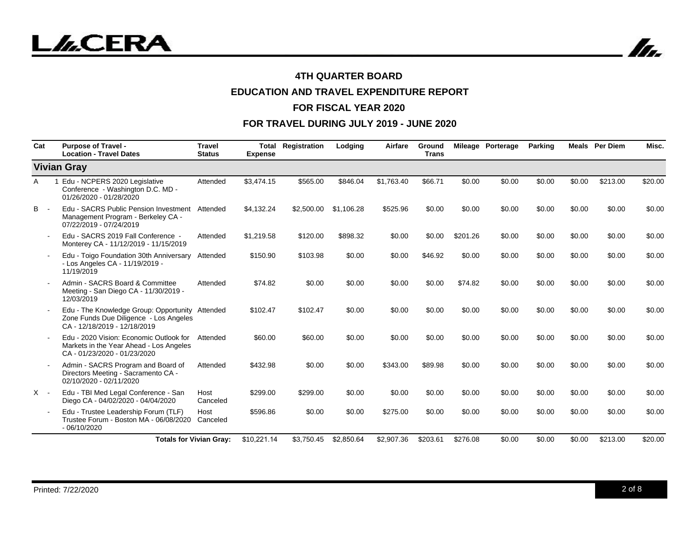In.

## **4TH QUARTER BOARD**

# **EDUCATION AND TRAVEL EXPENDITURE REPORT**

#### **FOR FISCAL YEAR 2020**

| Cat        | <b>Purpose of Travel -</b><br><b>Location - Travel Dates</b>                                                              | <b>Travel</b><br><b>Status</b> | Total<br><b>Expense</b> | Registration | Lodging    | Airfare    | Ground<br><b>Trans</b> |          | Mileage Porterage | <b>Parking</b> |        | <b>Meals</b> Per Diem | Misc.   |
|------------|---------------------------------------------------------------------------------------------------------------------------|--------------------------------|-------------------------|--------------|------------|------------|------------------------|----------|-------------------|----------------|--------|-----------------------|---------|
|            | <b>Vivian Gray</b>                                                                                                        |                                |                         |              |            |            |                        |          |                   |                |        |                       |         |
| A          | Edu - NCPERS 2020 Legislative<br>Conference - Washington D.C. MD -<br>01/26/2020 - 01/28/2020                             | Attended                       | \$3.474.15              | \$565.00     | \$846.04   | \$1.763.40 | \$66.71                | \$0.00   | \$0.00            | \$0.00         | \$0.00 | \$213.00              | \$20.00 |
| <b>B</b> - | Edu - SACRS Public Pension Investment<br>Management Program - Berkeley CA -<br>07/22/2019 - 07/24/2019                    | Attended                       | \$4,132.24              | \$2,500.00   | \$1,106.28 | \$525.96   | \$0.00                 | \$0.00   | \$0.00            | \$0.00         | \$0.00 | \$0.00                | \$0.00  |
|            | Edu - SACRS 2019 Fall Conference -<br>Monterey CA - 11/12/2019 - 11/15/2019                                               | Attended                       | \$1,219.58              | \$120.00     | \$898.32   | \$0.00     | \$0.00                 | \$201.26 | \$0.00            | \$0.00         | \$0.00 | \$0.00                | \$0.00  |
|            | Edu - Toigo Foundation 30th Anniversary<br>- Los Angeles CA - 11/19/2019 -<br>11/19/2019                                  | Attended                       | \$150.90                | \$103.98     | \$0.00     | \$0.00     | \$46.92                | \$0.00   | \$0.00            | \$0.00         | \$0.00 | \$0.00                | \$0.00  |
|            | Admin - SACRS Board & Committee<br>Meeting - San Diego CA - 11/30/2019 -<br>12/03/2019                                    | Attended                       | \$74.82                 | \$0.00       | \$0.00     | \$0.00     | \$0.00                 | \$74.82  | \$0.00            | \$0.00         | \$0.00 | \$0.00                | \$0.00  |
|            | Edu - The Knowledge Group: Opportunity Attended<br>Zone Funds Due Diligence - Los Angeles<br>CA - 12/18/2019 - 12/18/2019 |                                | \$102.47                | \$102.47     | \$0.00     | \$0.00     | \$0.00                 | \$0.00   | \$0.00            | \$0.00         | \$0.00 | \$0.00                | \$0.00  |
|            | Edu - 2020 Vision: Economic Outlook for<br>Markets in the Year Ahead - Los Angeles<br>CA - 01/23/2020 - 01/23/2020        | Attended                       | \$60.00                 | \$60.00      | \$0.00     | \$0.00     | \$0.00                 | \$0.00   | \$0.00            | \$0.00         | \$0.00 | \$0.00                | \$0.00  |
|            | Admin - SACRS Program and Board of<br>Directors Meeting - Sacramento CA -<br>02/10/2020 - 02/11/2020                      | Attended                       | \$432.98                | \$0.00       | \$0.00     | \$343.00   | \$89.98                | \$0.00   | \$0.00            | \$0.00         | \$0.00 | \$0.00                | \$0.00  |
| $X -$      | Edu - TBI Med Legal Conference - San<br>Diego CA - 04/02/2020 - 04/04/2020                                                | Host<br>Canceled               | \$299.00                | \$299.00     | \$0.00     | \$0.00     | \$0.00                 | \$0.00   | \$0.00            | \$0.00         | \$0.00 | \$0.00                | \$0.00  |
|            | Edu - Trustee Leadership Forum (TLF)<br>Trustee Forum - Boston MA - 06/08/2020 Canceled<br>$-06/10/2020$                  | Host                           | \$596.86                | \$0.00       | \$0.00     | \$275.00   | \$0.00                 | \$0.00   | \$0.00            | \$0.00         | \$0.00 | \$0.00                | \$0.00  |
|            | <b>Totals for Vivian Gray:</b>                                                                                            |                                | \$10.221.14             | \$3.750.45   | \$2.850.64 | \$2,907.36 | \$203.61               | \$276.08 | \$0.00            | \$0.00         | \$0.00 | \$213.00              | \$20.00 |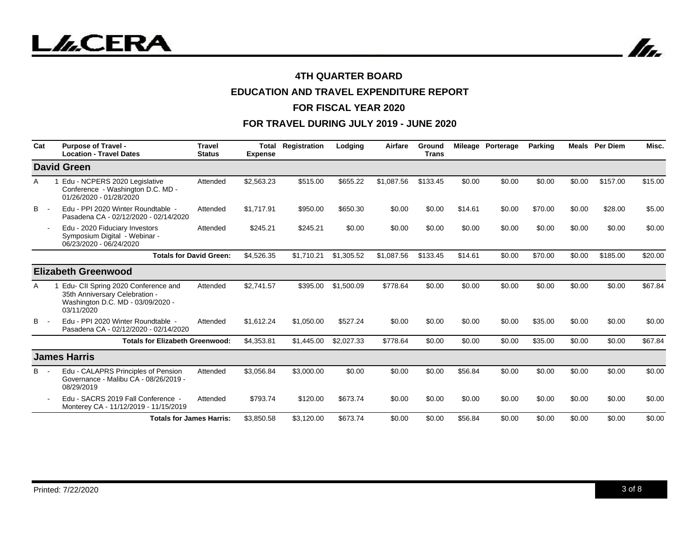

# **EDUCATION AND TRAVEL EXPENDITURE REPORT**

#### **FOR FISCAL YEAR 2020**

| Cat | <b>Purpose of Travel -</b><br><b>Location - Travel Dates</b>                                                             | <b>Travel</b><br><b>Status</b> | Total<br><b>Expense</b> | Registration | Lodging    | Airfare    | Ground<br><b>Trans</b> |         | Mileage Porterage | <b>Parking</b> | Meals  | <b>Per Diem</b> | Misc.   |
|-----|--------------------------------------------------------------------------------------------------------------------------|--------------------------------|-------------------------|--------------|------------|------------|------------------------|---------|-------------------|----------------|--------|-----------------|---------|
|     | <b>David Green</b>                                                                                                       |                                |                         |              |            |            |                        |         |                   |                |        |                 |         |
| A   | Edu - NCPERS 2020 Legislative<br>Conference - Washington D.C. MD -<br>01/26/2020 - 01/28/2020                            | Attended                       | \$2,563.23              | \$515.00     | \$655.22   | \$1,087.56 | \$133.45               | \$0.00  | \$0.00            | \$0.00         | \$0.00 | \$157.00        | \$15.00 |
| B   | Edu - PPI 2020 Winter Roundtable -<br>Pasadena CA - 02/12/2020 - 02/14/2020                                              | Attended                       | \$1.717.91              | \$950.00     | \$650.30   | \$0.00     | \$0.00                 | \$14.61 | \$0.00            | \$70.00        | \$0.00 | \$28.00         | \$5.00  |
|     | Edu - 2020 Fiduciary Investors<br>Symposium Digital - Webinar -<br>06/23/2020 - 06/24/2020                               | Attended                       | \$245.21                | \$245.21     | \$0.00     | \$0.00     | \$0.00                 | \$0.00  | \$0.00            | \$0.00         | \$0.00 | \$0.00          | \$0.00  |
|     |                                                                                                                          | <b>Totals for David Green:</b> | \$4,526.35              | \$1,710.21   | \$1,305.52 | \$1,087.56 | \$133.45               | \$14.61 | \$0.00            | \$70.00        | \$0.00 | \$185.00        | \$20.00 |
|     | <b>Elizabeth Greenwood</b>                                                                                               |                                |                         |              |            |            |                        |         |                   |                |        |                 |         |
| A   | Edu- CII Spring 2020 Conference and<br>35th Anniversary Celebration -<br>Washington D.C. MD - 03/09/2020 -<br>03/11/2020 | Attended                       | \$2,741.57              | \$395.00     | \$1,500.09 | \$778.64   | \$0.00                 | \$0.00  | \$0.00            | \$0.00         | \$0.00 | \$0.00          | \$67.84 |
| B   | Edu - PPI 2020 Winter Roundtable -<br>Pasadena CA - 02/12/2020 - 02/14/2020                                              | Attended                       | \$1,612.24              | \$1,050.00   | \$527.24   | \$0.00     | \$0.00                 | \$0.00  | \$0.00            | \$35.00        | \$0.00 | \$0.00          | \$0.00  |
|     | <b>Totals for Elizabeth Greenwood:</b>                                                                                   |                                | \$4,353.81              | \$1,445.00   | \$2,027.33 | \$778.64   | \$0.00                 | \$0.00  | \$0.00            | \$35.00        | \$0.00 | \$0.00          | \$67.84 |
|     | <b>James Harris</b>                                                                                                      |                                |                         |              |            |            |                        |         |                   |                |        |                 |         |
| в   | Edu - CALAPRS Principles of Pension<br>Governance - Malibu CA - 08/26/2019 -<br>08/29/2019                               | Attended                       | \$3,056.84              | \$3,000.00   | \$0.00     | \$0.00     | \$0.00                 | \$56.84 | \$0.00            | \$0.00         | \$0.00 | \$0.00          | \$0.00  |
|     | Edu - SACRS 2019 Fall Conference -<br>Monterey CA - 11/12/2019 - 11/15/2019                                              | Attended                       | \$793.74                | \$120.00     | \$673.74   | \$0.00     | \$0.00                 | \$0.00  | \$0.00            | \$0.00         | \$0.00 | \$0.00          | \$0.00  |
|     | <b>Totals for James Harris:</b>                                                                                          |                                | \$3,850.58              | \$3,120.00   | \$673.74   | \$0.00     | \$0.00                 | \$56.84 | \$0.00            | \$0.00         | \$0.00 | \$0.00          | \$0.00  |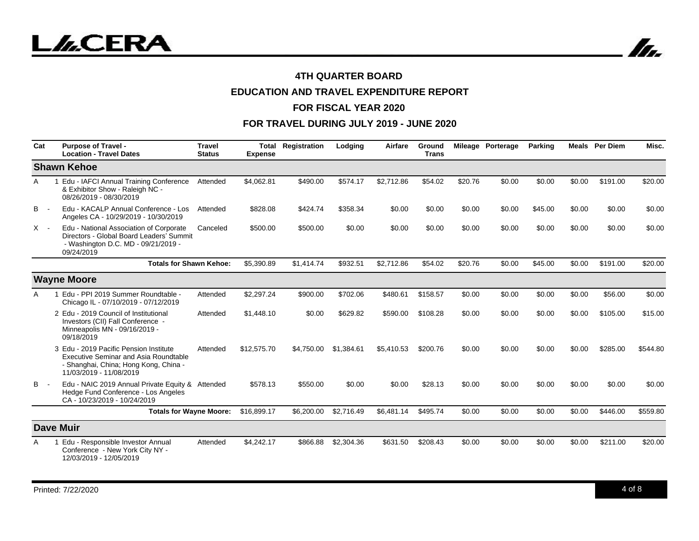

# **EDUCATION AND TRAVEL EXPENDITURE REPORT**

#### **FOR FISCAL YEAR 2020**

| Cat   | <b>Purpose of Travel -</b><br><b>Location - Travel Dates</b>                                                                                               | <b>Travel</b><br><b>Status</b> | Total<br><b>Expense</b> | Registration | Lodging    | Airfare    | Ground<br><b>Trans</b> |         | Mileage Porterage | <b>Parking</b> |        | <b>Meals</b> Per Diem | Misc.    |
|-------|------------------------------------------------------------------------------------------------------------------------------------------------------------|--------------------------------|-------------------------|--------------|------------|------------|------------------------|---------|-------------------|----------------|--------|-----------------------|----------|
|       | <b>Shawn Kehoe</b>                                                                                                                                         |                                |                         |              |            |            |                        |         |                   |                |        |                       |          |
| A     | 1 Edu - IAFCI Annual Training Conference<br>& Exhibitor Show - Raleigh NC -<br>08/26/2019 - 08/30/2019                                                     | Attended                       | \$4,062.81              | \$490.00     | \$574.17   | \$2,712.86 | \$54.02                | \$20.76 | \$0.00            | \$0.00         | \$0.00 | \$191.00              | \$20.00  |
| В     | Edu - KACALP Annual Conference - Los<br>Angeles CA - 10/29/2019 - 10/30/2019                                                                               | Attended                       | \$828.08                | \$424.74     | \$358.34   | \$0.00     | \$0.00                 | \$0.00  | \$0.00            | \$45.00        | \$0.00 | \$0.00                | \$0.00   |
| $X -$ | Edu - National Association of Corporate<br>Directors - Global Board Leaders' Summit<br>- Washington D.C. MD - 09/21/2019 -<br>09/24/2019                   | Canceled                       | \$500.00                | \$500.00     | \$0.00     | \$0.00     | \$0.00                 | \$0.00  | \$0.00            | \$0.00         | \$0.00 | \$0.00                | \$0.00   |
|       | <b>Totals for Shawn Kehoe:</b>                                                                                                                             |                                | \$5,390.89              | \$1,414.74   | \$932.51   | \$2,712.86 | \$54.02                | \$20.76 | \$0.00            | \$45.00        | \$0.00 | \$191.00              | \$20.00  |
|       | <b>Wayne Moore</b>                                                                                                                                         |                                |                         |              |            |            |                        |         |                   |                |        |                       |          |
| A     | Edu - PPI 2019 Summer Roundtable -<br>Chicago IL - 07/10/2019 - 07/12/2019                                                                                 | Attended                       | \$2,297.24              | \$900.00     | \$702.06   | \$480.61   | \$158.57               | \$0.00  | \$0.00            | \$0.00         | \$0.00 | \$56.00               | \$0.00   |
|       | 2 Edu - 2019 Council of Institutional<br>Investors (CII) Fall Conference -<br>Minneapolis MN - 09/16/2019 -<br>09/18/2019                                  | Attended                       | \$1,448.10              | \$0.00       | \$629.82   | \$590.00   | \$108.28               | \$0.00  | \$0.00            | \$0.00         | \$0.00 | \$105.00              | \$15.00  |
|       | 3 Edu - 2019 Pacific Pension Institute<br><b>Executive Seminar and Asia Roundtable</b><br>- Shanghai, China; Hong Kong, China -<br>11/03/2019 - 11/08/2019 | Attended                       | \$12,575.70             | \$4,750,00   | \$1,384.61 | \$5,410.53 | \$200.76               | \$0.00  | \$0.00            | \$0.00         | \$0.00 | \$285.00              | \$544.80 |
| B     | Edu - NAIC 2019 Annual Private Equity & Attended<br>Hedge Fund Conference - Los Angeles<br>CA-10/23/2019 - 10/24/2019                                      |                                | \$578.13                | \$550.00     | \$0.00     | \$0.00     | \$28.13                | \$0.00  | \$0.00            | \$0.00         | \$0.00 | \$0.00                | \$0.00   |
|       | <b>Totals for Wayne Moore:</b>                                                                                                                             |                                | \$16,899.17             | \$6,200.00   | \$2,716.49 | \$6,481.14 | \$495.74               | \$0.00  | \$0.00            | \$0.00         | \$0.00 | \$446.00              | \$559.80 |
|       | <b>Dave Muir</b>                                                                                                                                           |                                |                         |              |            |            |                        |         |                   |                |        |                       |          |
| Α     | Edu - Responsible Investor Annual<br>Conference - New York City NY -<br>12/03/2019 - 12/05/2019                                                            | Attended                       | \$4,242.17              | \$866.88     | \$2,304.36 | \$631.50   | \$208.43               | \$0.00  | \$0.00            | \$0.00         | \$0.00 | \$211.00              | \$20.00  |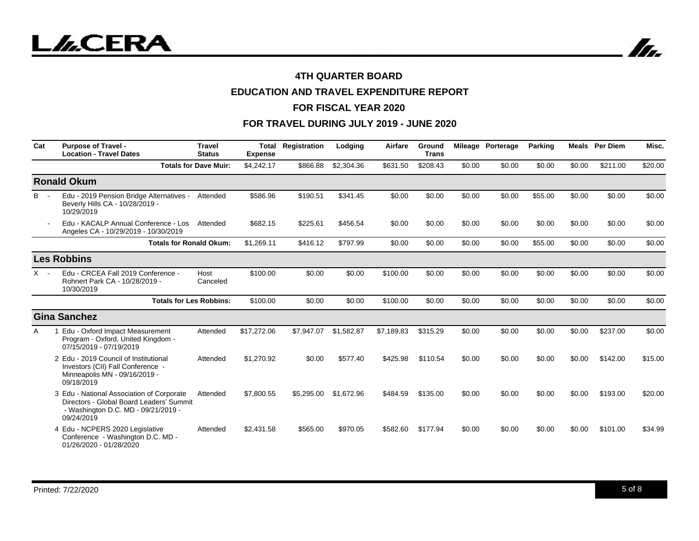

# **EDUCATION AND TRAVEL EXPENDITURE REPORT**

#### **FOR FISCAL YEAR 2020**

| Cat        | <b>Purpose of Travel -</b><br><b>Location - Travel Dates</b>                                                                               | <b>Travel</b><br><b>Status</b> | Total<br><b>Expense</b> | Registration | Lodging    | Airfare    | Ground<br><b>Trans</b> |        | Mileage Porterage | <b>Parking</b> |        | <b>Meals</b> Per Diem | Misc.   |
|------------|--------------------------------------------------------------------------------------------------------------------------------------------|--------------------------------|-------------------------|--------------|------------|------------|------------------------|--------|-------------------|----------------|--------|-----------------------|---------|
|            |                                                                                                                                            | <b>Totals for Dave Muir:</b>   | \$4,242.17              | \$866.88     | \$2,304.36 | \$631.50   | \$208.43               | \$0.00 | \$0.00            | \$0.00         | \$0.00 | \$211.00              | \$20.00 |
|            | <b>Ronald Okum</b>                                                                                                                         |                                |                         |              |            |            |                        |        |                   |                |        |                       |         |
| <b>B</b> - | Edu - 2019 Pension Bridge Alternatives -<br>Beverly Hills CA - 10/28/2019 -<br>10/29/2019                                                  | Attended                       | \$586.96                | \$190.51     | \$341.45   | \$0.00     | \$0.00                 | \$0.00 | \$0.00            | \$55.00        | \$0.00 | \$0.00                | \$0.00  |
|            | Edu - KACALP Annual Conference - Los<br>Angeles CA - 10/29/2019 - 10/30/2019                                                               | Attended                       | \$682.15                | \$225.61     | \$456.54   | \$0.00     | \$0.00                 | \$0.00 | \$0.00            | \$0.00         | \$0.00 | \$0.00                | \$0.00  |
|            | <b>Totals for Ronald Okum:</b>                                                                                                             |                                | \$1,269.11              | \$416.12     | \$797.99   | \$0.00     | \$0.00                 | \$0.00 | \$0.00            | \$55.00        | \$0.00 | \$0.00                | \$0.00  |
|            | <b>Les Robbins</b>                                                                                                                         |                                |                         |              |            |            |                        |        |                   |                |        |                       |         |
| $X -$      | Edu - CRCEA Fall 2019 Conference -<br>Rohnert Park CA - 10/28/2019 -<br>10/30/2019                                                         | Host<br>Canceled               | \$100.00                | \$0.00       | \$0.00     | \$100.00   | \$0.00                 | \$0.00 | \$0.00            | \$0.00         | \$0.00 | \$0.00                | \$0.00  |
|            | <b>Totals for Les Robbins:</b>                                                                                                             |                                | \$100.00                | \$0.00       | \$0.00     | \$100.00   | \$0.00                 | \$0.00 | \$0.00            | \$0.00         | \$0.00 | \$0.00                | \$0.00  |
|            | <b>Gina Sanchez</b>                                                                                                                        |                                |                         |              |            |            |                        |        |                   |                |        |                       |         |
| A          | Edu - Oxford Impact Measurement<br>Program - Oxford, United Kingdom -<br>07/15/2019 - 07/19/2019                                           | Attended                       | \$17,272.06             | \$7,947.07   | \$1,582.87 | \$7.189.83 | \$315.29               | \$0.00 | \$0.00            | \$0.00         | \$0.00 | \$237.00              | \$0.00  |
|            | 2 Edu - 2019 Council of Institutional<br>Investors (CII) Fall Conference -<br>Minneapolis MN - 09/16/2019 -<br>09/18/2019                  | Attended                       | \$1,270.92              | \$0.00       | \$577.40   | \$425.98   | \$110.54               | \$0.00 | \$0.00            | \$0.00         | \$0.00 | \$142.00              | \$15.00 |
|            | 3 Edu - National Association of Corporate<br>Directors - Global Board Leaders' Summit<br>- Washington D.C. MD - 09/21/2019 -<br>09/24/2019 | Attended                       | \$7,800.55              | \$5,295.00   | \$1,672.96 | \$484.59   | \$135.00               | \$0.00 | \$0.00            | \$0.00         | \$0.00 | \$193.00              | \$20.00 |
|            | 4 Edu - NCPERS 2020 Legislative<br>Conference - Washington D.C. MD -<br>01/26/2020 - 01/28/2020                                            | Attended                       | \$2,431.58              | \$565.00     | \$970.05   | \$582.60   | \$177.94               | \$0.00 | \$0.00            | \$0.00         | \$0.00 | \$101.00              | \$34.99 |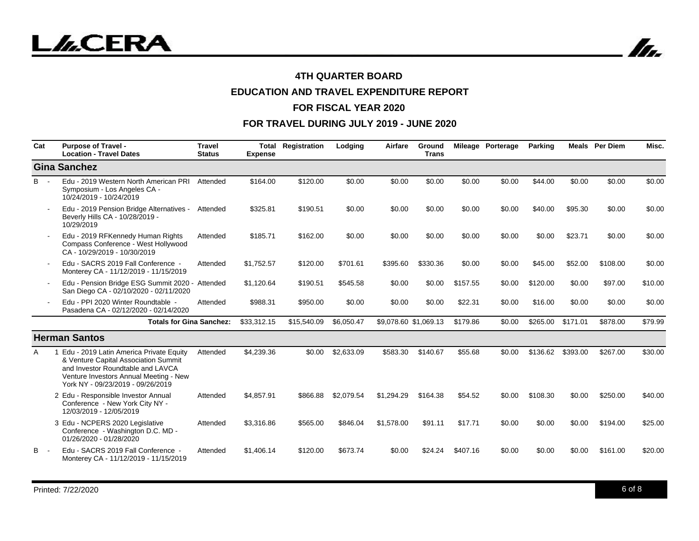In.

## **4TH QUARTER BOARD**

# **EDUCATION AND TRAVEL EXPENDITURE REPORT**

#### **FOR FISCAL YEAR 2020**

| Cat | <b>Purpose of Travel -</b><br><b>Location - Travel Dates</b>                                                                                                                                        | <b>Travel</b><br><b>Status</b> | Total<br><b>Expense</b> | Registration | Lodging    | Airfare               | Ground<br><b>Trans</b> |          | Mileage Porterage | <b>Parking</b> |          | <b>Meals</b> Per Diem | Misc.   |
|-----|-----------------------------------------------------------------------------------------------------------------------------------------------------------------------------------------------------|--------------------------------|-------------------------|--------------|------------|-----------------------|------------------------|----------|-------------------|----------------|----------|-----------------------|---------|
|     | <b>Gina Sanchez</b>                                                                                                                                                                                 |                                |                         |              |            |                       |                        |          |                   |                |          |                       |         |
| B   | Edu - 2019 Western North American PRI<br>Symposium - Los Angeles CA -<br>10/24/2019 - 10/24/2019                                                                                                    | Attended                       | \$164.00                | \$120.00     | \$0.00     | \$0.00                | \$0.00                 | \$0.00   | \$0.00            | \$44.00        | \$0.00   | \$0.00                | \$0.00  |
|     | Edu - 2019 Pension Bridge Alternatives - Attended<br>Beverly Hills CA - 10/28/2019 -<br>10/29/2019                                                                                                  |                                | \$325.81                | \$190.51     | \$0.00     | \$0.00                | \$0.00                 | \$0.00   | \$0.00            | \$40.00        | \$95.30  | \$0.00                | \$0.00  |
|     | Edu - 2019 RFKennedy Human Rights<br>Compass Conference - West Hollywood<br>CA - 10/29/2019 - 10/30/2019                                                                                            | Attended                       | \$185.71                | \$162.00     | \$0.00     | \$0.00                | \$0.00                 | \$0.00   | \$0.00            | \$0.00         | \$23.71  | \$0.00                | \$0.00  |
|     | Edu - SACRS 2019 Fall Conference -<br>Monterey CA - 11/12/2019 - 11/15/2019                                                                                                                         | Attended                       | \$1.752.57              | \$120.00     | \$701.61   | \$395.60              | \$330.36               | \$0.00   | \$0.00            | \$45.00        | \$52.00  | \$108.00              | \$0.00  |
|     | Edu - Pension Bridge ESG Summit 2020 - Attended<br>San Diego CA - 02/10/2020 - 02/11/2020                                                                                                           |                                | \$1,120.64              | \$190.51     | \$545.58   | \$0.00                | \$0.00                 | \$157.55 | \$0.00            | \$120.00       | \$0.00   | \$97.00               | \$10.00 |
|     | Edu - PPI 2020 Winter Roundtable -<br>Pasadena CA - 02/12/2020 - 02/14/2020                                                                                                                         | Attended                       | \$988.31                | \$950.00     | \$0.00     | \$0.00                | \$0.00                 | \$22.31  | \$0.00            | \$16.00        | \$0.00   | \$0.00                | \$0.00  |
|     | <b>Totals for Gina Sanchez:</b>                                                                                                                                                                     |                                | \$33,312.15             | \$15,540.09  | \$6,050.47 | \$9,078.60 \$1,069.13 |                        | \$179.86 | \$0.00            | \$265.00       | \$171.01 | \$878.00              | \$79.99 |
|     | <b>Herman Santos</b>                                                                                                                                                                                |                                |                         |              |            |                       |                        |          |                   |                |          |                       |         |
| A   | Edu - 2019 Latin America Private Equity<br>& Venture Capital Association Summit<br>and Investor Roundtable and LAVCA<br>Venture Investors Annual Meeting - New<br>York NY - 09/23/2019 - 09/26/2019 | Attended                       | \$4,239.36              | \$0.00       | \$2,633.09 | \$583.30              | \$140.67               | \$55.68  | \$0.00            | \$136.62       | \$393.00 | \$267.00              | \$30.00 |
|     | 2 Edu - Responsible Investor Annual<br>Conference - New York City NY -<br>12/03/2019 - 12/05/2019                                                                                                   | Attended                       | \$4,857.91              | \$866.88     | \$2,079.54 | \$1,294.29            | \$164.38               | \$54.52  | \$0.00            | \$108.30       | \$0.00   | \$250.00              | \$40.00 |
|     | 3 Edu - NCPERS 2020 Legislative<br>Conference - Washington D.C. MD -<br>01/26/2020 - 01/28/2020                                                                                                     | Attended                       | \$3,316.86              | \$565.00     | \$846.04   | \$1,578.00            | \$91.11                | \$17.71  | \$0.00            | \$0.00         | \$0.00   | \$194.00              | \$25.00 |
| в   | Edu - SACRS 2019 Fall Conference -<br>Monterey CA - 11/12/2019 - 11/15/2019                                                                                                                         | Attended                       | \$1,406.14              | \$120.00     | \$673.74   | \$0.00                | \$24.24                | \$407.16 | \$0.00            | \$0.00         | \$0.00   | \$161.00              | \$20.00 |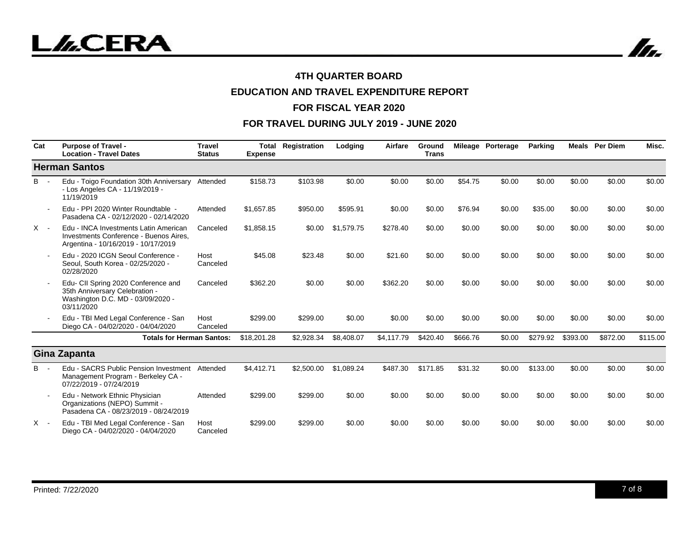In.

## **4TH QUARTER BOARD**

# **EDUCATION AND TRAVEL EXPENDITURE REPORT**

#### **FOR FISCAL YEAR 2020**

| Cat   | <b>Purpose of Travel -</b><br><b>Location - Travel Dates</b>                                                             | <b>Travel</b><br><b>Status</b> | Total<br><b>Expense</b> | Registration | Lodging    | Airfare    | Ground<br><b>Trans</b> |          | Mileage Porterage | <b>Parking</b> |          | <b>Meals</b> Per Diem | Misc.    |
|-------|--------------------------------------------------------------------------------------------------------------------------|--------------------------------|-------------------------|--------------|------------|------------|------------------------|----------|-------------------|----------------|----------|-----------------------|----------|
|       | <b>Herman Santos</b>                                                                                                     |                                |                         |              |            |            |                        |          |                   |                |          |                       |          |
| $B -$ | Edu - Toigo Foundation 30th Anniversary<br>- Los Angeles CA - 11/19/2019 -<br>11/19/2019                                 | Attended                       | \$158.73                | \$103.98     | \$0.00     | \$0.00     | \$0.00                 | \$54.75  | \$0.00            | \$0.00         | \$0.00   | \$0.00                | \$0.00   |
|       | Edu - PPI 2020 Winter Roundtable -<br>Pasadena CA - 02/12/2020 - 02/14/2020                                              | Attended                       | \$1.657.85              | \$950.00     | \$595.91   | \$0.00     | \$0.00                 | \$76.94  | \$0.00            | \$35.00        | \$0.00   | \$0.00                | \$0.00   |
| $X -$ | Edu - INCA Investments Latin American<br>Investments Conference - Buenos Aires.<br>Argentina - 10/16/2019 - 10/17/2019   | Canceled                       | \$1,858.15              | \$0.00       | \$1,579.75 | \$278.40   | \$0.00                 | \$0.00   | \$0.00            | \$0.00         | \$0.00   | \$0.00                | \$0.00   |
|       | Edu - 2020 ICGN Seoul Conference -<br>Seoul, South Korea - 02/25/2020 -<br>02/28/2020                                    | Host<br>Canceled               | \$45.08                 | \$23.48      | \$0.00     | \$21.60    | \$0.00                 | \$0.00   | \$0.00            | \$0.00         | \$0.00   | \$0.00                | \$0.00   |
|       | Edu- CII Spring 2020 Conference and<br>35th Anniversary Celebration -<br>Washington D.C. MD - 03/09/2020 -<br>03/11/2020 | Canceled                       | \$362.20                | \$0.00       | \$0.00     | \$362.20   | \$0.00                 | \$0.00   | \$0.00            | \$0.00         | \$0.00   | \$0.00                | \$0.00   |
|       | Edu - TBI Med Legal Conference - San<br>Diego CA - 04/02/2020 - 04/04/2020                                               | Host<br>Canceled               | \$299.00                | \$299.00     | \$0.00     | \$0.00     | \$0.00                 | \$0.00   | \$0.00            | \$0.00         | \$0.00   | \$0.00                | \$0.00   |
|       | <b>Totals for Herman Santos:</b>                                                                                         |                                | \$18,201.28             | \$2,928.34   | \$8,408.07 | \$4,117.79 | \$420.40               | \$666.76 | \$0.00            | \$279.92       | \$393.00 | \$872.00              | \$115.00 |
|       | Gina Zapanta                                                                                                             |                                |                         |              |            |            |                        |          |                   |                |          |                       |          |
| B.    | Edu - SACRS Public Pension Investment<br>Management Program - Berkeley CA -<br>07/22/2019 - 07/24/2019                   | Attended                       | \$4,412.71              | \$2,500.00   | \$1,089.24 | \$487.30   | \$171.85               | \$31.32  | \$0.00            | \$133.00       | \$0.00   | \$0.00                | \$0.00   |
|       | Edu - Network Ethnic Physician<br>Organizations (NEPO) Summit -<br>Pasadena CA - 08/23/2019 - 08/24/2019                 | Attended                       | \$299.00                | \$299.00     | \$0.00     | \$0.00     | \$0.00                 | \$0.00   | \$0.00            | \$0.00         | \$0.00   | \$0.00                | \$0.00   |
| X -   | Edu - TBI Med Legal Conference - San<br>Diego CA - 04/02/2020 - 04/04/2020                                               | Host<br>Canceled               | \$299.00                | \$299.00     | \$0.00     | \$0.00     | \$0.00                 | \$0.00   | \$0.00            | \$0.00         | \$0.00   | \$0.00                | \$0.00   |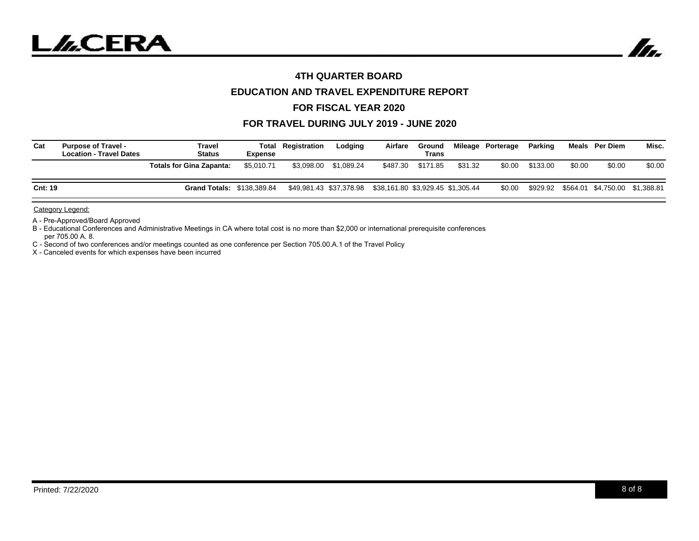



## **EDUCATION AND TRAVEL EXPENDITURE REPORT**

### **FOR FISCAL YEAR 2020**

#### **FOR TRAVEL DURING JULY 2019 - JUNE 2020**

| Cat            | <b>Purpose of Travel -</b><br><b>Location - Travel Dates</b> | Travel<br><b>Status</b>           | <b>Expense</b> | <b>Total Registration</b> | Lodaina               | Airfare                                                   | Ground<br>Trans   |         | Mileage Porterage | Parking  |        | Meals Per Diem                          | Misc.  |
|----------------|--------------------------------------------------------------|-----------------------------------|----------------|---------------------------|-----------------------|-----------------------------------------------------------|-------------------|---------|-------------------|----------|--------|-----------------------------------------|--------|
|                |                                                              | <b>Totals for Gina Zapanta:</b>   | \$5.010.71     |                           | \$3,098.00 \$1,089.24 |                                                           | \$487.30 \$171.85 | \$31.32 | \$0.00            | \$133.00 | \$0.00 | \$0.00                                  | \$0.00 |
| <b>Cnt: 19</b> |                                                              | <b>Grand Totals: \$138,389.84</b> |                |                           |                       | \$49,981.43 \$37,378.98 \$38,161.80 \$3,929.45 \$1,305.44 |                   |         | \$0.00            |          |        | \$929.92 \$564.01 \$4,750.00 \$1,388.81 |        |

Category Legend:

A - Pre-Approved/Board Approved

B - Educational Conferences and Administrative Meetings in CA where total cost is no more than \$2,000 or international prerequisite conferences per 705.00 A. 8.

C - Second of two conferences and/or meetings counted as one conference per Section 705.00.A.1 of the Travel Policy

X - Canceled events for which expenses have been incurred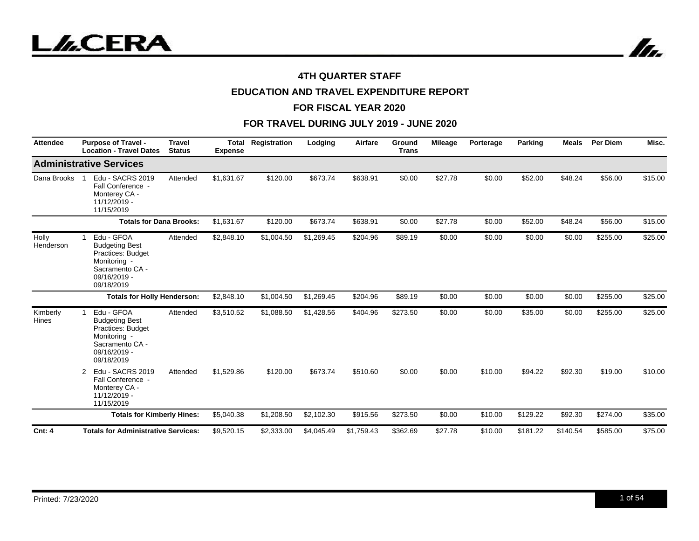



# **EDUCATION AND TRAVEL EXPENDITURE REPORT**

#### **FOR FISCAL YEAR 2020**

| <b>Attendee</b>    | <b>Purpose of Travel -</b><br><b>Location - Travel Dates</b>                                                                     | <b>Travel</b><br><b>Status</b> | <b>Total</b><br><b>Expense</b> | Registration | Lodging    | Airfare    | Ground<br><b>Trans</b> | <b>Mileage</b> | Porterage | Parking  | <b>Meals</b> | <b>Per Diem</b> | Misc.   |
|--------------------|----------------------------------------------------------------------------------------------------------------------------------|--------------------------------|--------------------------------|--------------|------------|------------|------------------------|----------------|-----------|----------|--------------|-----------------|---------|
|                    | <b>Administrative Services</b>                                                                                                   |                                |                                |              |            |            |                        |                |           |          |              |                 |         |
| Dana Brooks        | Edu - SACRS 2019<br>Fall Conference -<br>Monterey CA -<br>$11/12/2019 -$<br>11/15/2019                                           | Attended                       | \$1,631.67                     | \$120.00     | \$673.74   | \$638.91   | \$0.00                 | \$27.78        | \$0.00    | \$52.00  | \$48.24      | \$56.00         | \$15.00 |
|                    | <b>Totals for Dana Brooks:</b>                                                                                                   |                                | \$1,631.67                     | \$120.00     | \$673.74   | \$638.91   | \$0.00                 | \$27.78        | \$0.00    | \$52.00  | \$48.24      | \$56.00         | \$15.00 |
| Holly<br>Henderson | Edu - GFOA<br><b>Budgeting Best</b><br><b>Practices: Budget</b><br>Monitoring -<br>Sacramento CA -<br>09/16/2019 -<br>09/18/2019 | Attended                       | \$2,848.10                     | \$1,004.50   | \$1,269.45 | \$204.96   | \$89.19                | \$0.00         | \$0.00    | \$0.00   | \$0.00       | \$255.00        | \$25.00 |
|                    | <b>Totals for Holly Henderson:</b>                                                                                               |                                | \$2,848.10                     | \$1,004.50   | \$1,269.45 | \$204.96   | \$89.19                | \$0.00         | \$0.00    | \$0.00   | \$0.00       | \$255.00        | \$25.00 |
| Kimberly<br>Hines  | Edu - GFOA<br><b>Budgeting Best</b><br>Practices: Budget<br>Monitoring -<br>Sacramento CA -<br>09/16/2019 -<br>09/18/2019        | Attended                       | \$3,510.52                     | \$1,088.50   | \$1,428.56 | \$404.96   | \$273.50               | \$0.00         | \$0.00    | \$35.00  | \$0.00       | \$255.00        | \$25.00 |
|                    | Edu - SACRS 2019<br>2<br>Fall Conference -<br>Monterey CA -<br>11/12/2019 -<br>11/15/2019                                        | Attended                       | \$1,529.86                     | \$120.00     | \$673.74   | \$510.60   | \$0.00                 | \$0.00         | \$10.00   | \$94.22  | \$92.30      | \$19.00         | \$10.00 |
|                    | <b>Totals for Kimberly Hines:</b>                                                                                                |                                | \$5,040.38                     | \$1,208.50   | \$2,102.30 | \$915.56   | \$273.50               | \$0.00         | \$10.00   | \$129.22 | \$92.30      | \$274.00        | \$35.00 |
| <b>Cnt: 4</b>      | <b>Totals for Administrative Services:</b>                                                                                       |                                | \$9,520.15                     | \$2,333.00   | \$4,045.49 | \$1.759.43 | \$362.69               | \$27.78        | \$10.00   | \$181.22 | \$140.54     | \$585.00        | \$75.00 |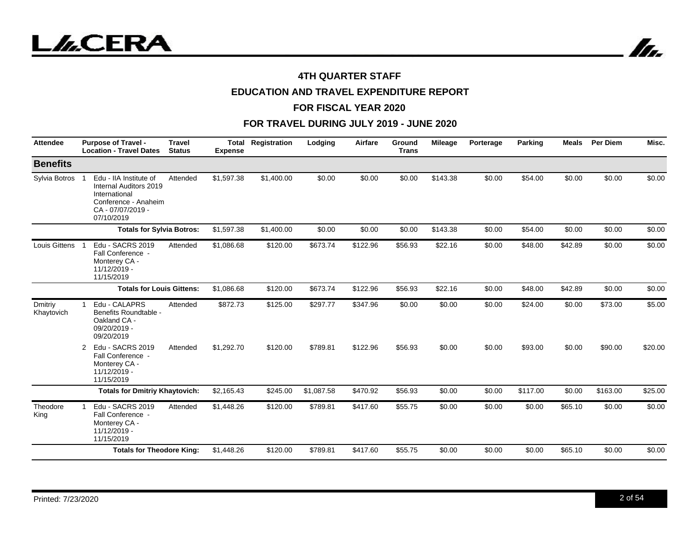



# **EDUCATION AND TRAVEL EXPENDITURE REPORT**

#### **FOR FISCAL YEAR 2020**

| <b>Attendee</b>       | <b>Purpose of Travel -</b><br><b>Location - Travel Dates</b>                                                                 | <b>Travel</b><br><b>Status</b> | <b>Total</b><br><b>Expense</b> | Registration | Lodging    | Airfare  | <b>Ground</b><br><b>Trans</b> | <b>Mileage</b> | Porterage | <b>Parking</b> | Meals   | Per Diem | Misc.   |
|-----------------------|------------------------------------------------------------------------------------------------------------------------------|--------------------------------|--------------------------------|--------------|------------|----------|-------------------------------|----------------|-----------|----------------|---------|----------|---------|
| <b>Benefits</b>       |                                                                                                                              |                                |                                |              |            |          |                               |                |           |                |         |          |         |
| Sylvia Botros         | Edu - IIA Institute of<br>Internal Auditors 2019<br>International<br>Conference - Anaheim<br>CA - 07/07/2019 -<br>07/10/2019 | Attended                       | \$1,597.38                     | \$1,400.00   | \$0.00     | \$0.00   | \$0.00                        | \$143.38       | \$0.00    | \$54.00        | \$0.00  | \$0.00   | \$0.00  |
|                       | <b>Totals for Sylvia Botros:</b>                                                                                             |                                | \$1,597.38                     | \$1,400.00   | \$0.00     | \$0.00   | \$0.00                        | \$143.38       | \$0.00    | \$54.00        | \$0.00  | \$0.00   | \$0.00  |
| Louis Gittens         | Edu - SACRS 2019<br>Fall Conference -<br>Monterey CA -<br>11/12/2019 -<br>11/15/2019                                         | Attended                       | \$1,086.68                     | \$120.00     | \$673.74   | \$122.96 | \$56.93                       | \$22.16        | \$0.00    | \$48.00        | \$42.89 | \$0.00   | \$0.00  |
|                       | <b>Totals for Louis Gittens:</b>                                                                                             |                                | \$1,086.68                     | \$120.00     | \$673.74   | \$122.96 | \$56.93                       | \$22.16        | \$0.00    | \$48.00        | \$42.89 | \$0.00   | \$0.00  |
| Dmitriy<br>Khaytovich | Edu - CALAPRS<br>1<br>Benefits Roundtable -<br>Oakland CA -<br>09/20/2019 -<br>09/20/2019                                    | Attended                       | \$872.73                       | \$125.00     | \$297.77   | \$347.96 | \$0.00                        | \$0.00         | \$0.00    | \$24.00        | \$0.00  | \$73.00  | \$5.00  |
|                       | Edu - SACRS 2019<br>2<br>Fall Conference -<br>Monterey CA -<br>11/12/2019 -<br>11/15/2019                                    | Attended                       | \$1,292.70                     | \$120.00     | \$789.81   | \$122.96 | \$56.93                       | \$0.00         | \$0.00    | \$93.00        | \$0.00  | \$90.00  | \$20.00 |
|                       | <b>Totals for Dmitriy Khaytovich:</b>                                                                                        |                                | \$2,165.43                     | \$245.00     | \$1,087.58 | \$470.92 | \$56.93                       | \$0.00         | \$0.00    | \$117.00       | \$0.00  | \$163.00 | \$25.00 |
| Theodore<br>King      | Edu - SACRS 2019<br>Fall Conference -<br>Monterey CA -<br>11/12/2019 -<br>11/15/2019                                         | Attended                       | \$1,448.26                     | \$120.00     | \$789.81   | \$417.60 | \$55.75                       | \$0.00         | \$0.00    | \$0.00         | \$65.10 | \$0.00   | \$0.00  |
|                       | <b>Totals for Theodore King:</b>                                                                                             |                                | \$1,448.26                     | \$120.00     | \$789.81   | \$417.60 | \$55.75                       | \$0.00         | \$0.00    | \$0.00         | \$65.10 | \$0.00   | \$0.00  |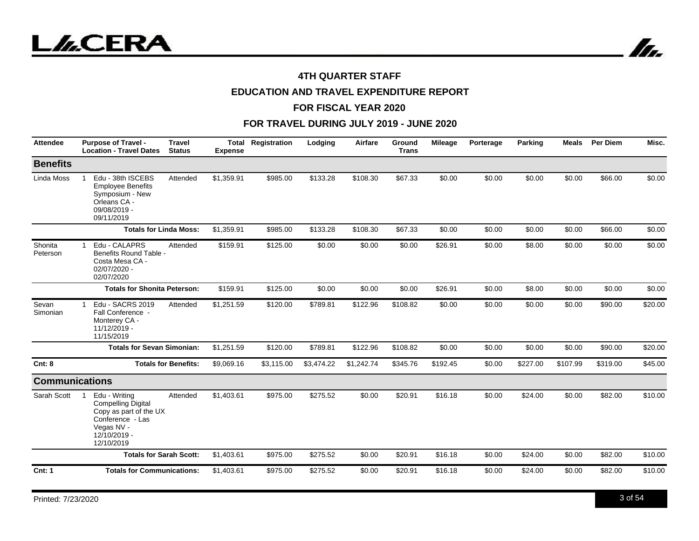



# **EDUCATION AND TRAVEL EXPENDITURE REPORT**

#### **FOR FISCAL YEAR 2020**

| <b>Attendee</b>       | <b>Purpose of Travel -</b><br><b>Location - Travel Dates</b>                                                                         | <b>Travel</b><br><b>Status</b> | <b>Total</b><br><b>Expense</b> | Registration | Lodging    | Airfare    | <b>Ground</b><br><b>Trans</b> | <b>Mileage</b> | Porterage | Parking  | <b>Meals</b> | Per Diem | Misc.   |
|-----------------------|--------------------------------------------------------------------------------------------------------------------------------------|--------------------------------|--------------------------------|--------------|------------|------------|-------------------------------|----------------|-----------|----------|--------------|----------|---------|
| <b>Benefits</b>       |                                                                                                                                      |                                |                                |              |            |            |                               |                |           |          |              |          |         |
| Linda Moss            | Edu - 38th ISCEBS<br><b>Employee Benefits</b><br>Symposium - New<br>Orleans CA -<br>09/08/2019 -<br>09/11/2019                       | Attended                       | \$1,359.91                     | \$985.00     | \$133.28   | \$108.30   | \$67.33                       | \$0.00         | \$0.00    | \$0.00   | \$0.00       | \$66.00  | \$0.00  |
|                       | <b>Totals for Linda Moss:</b>                                                                                                        |                                | \$1,359.91                     | \$985.00     | \$133.28   | \$108.30   | \$67.33                       | \$0.00         | \$0.00    | \$0.00   | \$0.00       | \$66.00  | \$0.00  |
| Shonita<br>Peterson   | Edu - CALAPRS<br>1<br>Benefits Round Table -<br>Costa Mesa CA -<br>02/07/2020 -<br>02/07/2020                                        | Attended                       | \$159.91                       | \$125.00     | \$0.00     | \$0.00     | \$0.00                        | \$26.91        | \$0.00    | \$8.00   | \$0.00       | \$0.00   | \$0.00  |
|                       | <b>Totals for Shonita Peterson:</b>                                                                                                  |                                | \$159.91                       | \$125.00     | \$0.00     | \$0.00     | \$0.00                        | \$26.91        | \$0.00    | \$8.00   | \$0.00       | \$0.00   | \$0.00  |
| Sevan<br>Simonian     | Edu - SACRS 2019<br>1<br>Fall Conference -<br>Monterey CA -<br>11/12/2019 -<br>11/15/2019                                            | Attended                       | \$1,251.59                     | \$120.00     | \$789.81   | \$122.96   | \$108.82                      | \$0.00         | \$0.00    | \$0.00   | \$0.00       | \$90.00  | \$20.00 |
|                       | <b>Totals for Sevan Simonian:</b>                                                                                                    |                                | \$1,251.59                     | \$120.00     | \$789.81   | \$122.96   | \$108.82                      | \$0.00         | \$0.00    | \$0.00   | \$0.00       | \$90.00  | \$20.00 |
| Cnt: 8                |                                                                                                                                      | <b>Totals for Benefits:</b>    | \$9,069.16                     | \$3,115.00   | \$3,474.22 | \$1,242.74 | \$345.76                      | \$192.45       | \$0.00    | \$227.00 | \$107.99     | \$319.00 | \$45.00 |
| <b>Communications</b> |                                                                                                                                      |                                |                                |              |            |            |                               |                |           |          |              |          |         |
| Sarah Scott           | Edu - Writing<br><b>Compelling Digital</b><br>Copy as part of the UX<br>Conference - Las<br>Vegas NV -<br>12/10/2019 -<br>12/10/2019 | Attended                       | \$1,403.61                     | \$975.00     | \$275.52   | \$0.00     | \$20.91                       | \$16.18        | \$0.00    | \$24.00  | \$0.00       | \$82.00  | \$10.00 |
|                       | <b>Totals for Sarah Scott:</b>                                                                                                       |                                | \$1,403.61                     | \$975.00     | \$275.52   | \$0.00     | \$20.91                       | \$16.18        | \$0.00    | \$24.00  | \$0.00       | \$82.00  | \$10.00 |
| <b>Cnt: 1</b>         | <b>Totals for Communications:</b>                                                                                                    |                                | \$1,403.61                     | \$975.00     | \$275.52   | \$0.00     | \$20.91                       | \$16.18        | \$0.00    | \$24.00  | \$0.00       | \$82.00  | \$10.00 |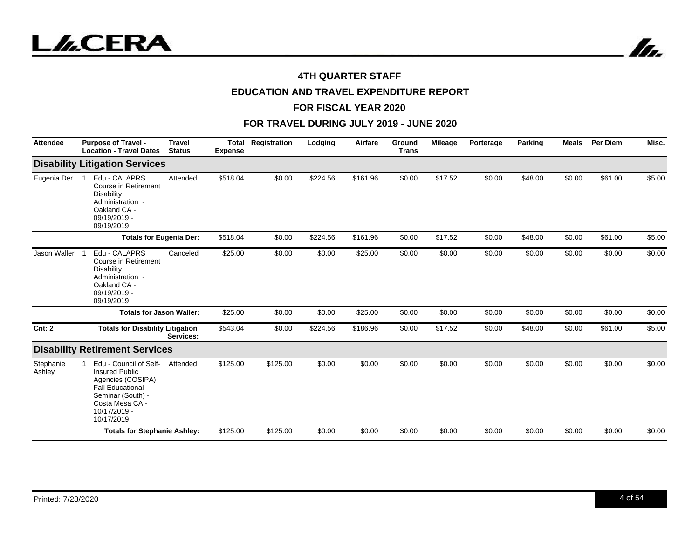



# **EDUCATION AND TRAVEL EXPENDITURE REPORT**

#### **FOR FISCAL YEAR 2020**

| <b>Attendee</b>     | <b>Purpose of Travel -</b><br><b>Location - Travel Dates</b>                                                                                                          | <b>Travel</b><br><b>Status</b> | <b>Total</b><br><b>Expense</b> | Registration | Lodging  | Airfare  | Ground<br><b>Trans</b> | <b>Mileage</b> | Porterage | Parking | <b>Meals</b> | <b>Per Diem</b> | Misc.  |
|---------------------|-----------------------------------------------------------------------------------------------------------------------------------------------------------------------|--------------------------------|--------------------------------|--------------|----------|----------|------------------------|----------------|-----------|---------|--------------|-----------------|--------|
|                     | <b>Disability Litigation Services</b>                                                                                                                                 |                                |                                |              |          |          |                        |                |           |         |              |                 |        |
| Eugenia Der         | Edu - CALAPRS<br>Course in Retirement<br><b>Disability</b><br>Administration -<br>Oakland CA -<br>09/19/2019 -<br>09/19/2019                                          | Attended                       | \$518.04                       | \$0.00       | \$224.56 | \$161.96 | \$0.00                 | \$17.52        | \$0.00    | \$48.00 | \$0.00       | \$61.00         | \$5.00 |
|                     | <b>Totals for Eugenia Der:</b>                                                                                                                                        |                                | \$518.04                       | \$0.00       | \$224.56 | \$161.96 | \$0.00                 | \$17.52        | \$0.00    | \$48.00 | \$0.00       | \$61.00         | \$5.00 |
| Jason Waller        | Edu - CALAPRS<br>Course in Retirement<br><b>Disability</b><br>Administration -<br>Oakland CA -<br>09/19/2019 -<br>09/19/2019                                          | Canceled                       | \$25.00                        | \$0.00       | \$0.00   | \$25.00  | \$0.00                 | \$0.00         | \$0.00    | \$0.00  | \$0.00       | \$0.00          | \$0.00 |
|                     | <b>Totals for Jason Waller:</b>                                                                                                                                       |                                | \$25.00                        | \$0.00       | \$0.00   | \$25.00  | \$0.00                 | \$0.00         | \$0.00    | \$0.00  | \$0.00       | \$0.00          | \$0.00 |
| <b>Cnt: 2</b>       | <b>Totals for Disability Litigation</b>                                                                                                                               | Services:                      | \$543.04                       | \$0.00       | \$224.56 | \$186.96 | \$0.00                 | \$17.52        | \$0.00    | \$48.00 | \$0.00       | \$61.00         | \$5.00 |
|                     | <b>Disability Retirement Services</b>                                                                                                                                 |                                |                                |              |          |          |                        |                |           |         |              |                 |        |
| Stephanie<br>Ashley | Edu - Council of Self-<br><b>Insured Public</b><br>Agencies (COSIPA)<br><b>Fall Educational</b><br>Seminar (South) -<br>Costa Mesa CA -<br>10/17/2019 -<br>10/17/2019 | Attended                       | \$125.00                       | \$125.00     | \$0.00   | \$0.00   | \$0.00                 | \$0.00         | \$0.00    | \$0.00  | \$0.00       | \$0.00          | \$0.00 |
|                     | <b>Totals for Stephanie Ashley:</b>                                                                                                                                   |                                | \$125.00                       | \$125.00     | \$0.00   | \$0.00   | \$0.00                 | \$0.00         | \$0.00    | \$0.00  | \$0.00       | \$0.00          | \$0.00 |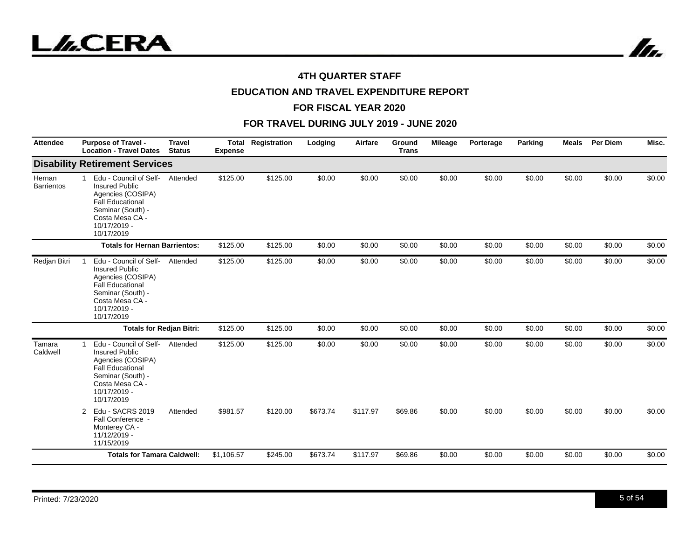



# **EDUCATION AND TRAVEL EXPENDITURE REPORT**

#### **FOR FISCAL YEAR 2020**

| <b>Attendee</b>             | <b>Purpose of Travel -</b><br><b>Location - Travel Dates</b>                                                                                                                          | <b>Travel</b><br><b>Status</b>  | <b>Total</b><br><b>Expense</b> | Registration | Lodging  | Airfare  | Ground<br><b>Trans</b> | Mileage | Porterage | Parking | <b>Meals</b> | <b>Per Diem</b> | Misc.  |
|-----------------------------|---------------------------------------------------------------------------------------------------------------------------------------------------------------------------------------|---------------------------------|--------------------------------|--------------|----------|----------|------------------------|---------|-----------|---------|--------------|-----------------|--------|
|                             | <b>Disability Retirement Services</b>                                                                                                                                                 |                                 |                                |              |          |          |                        |         |           |         |              |                 |        |
| Hernan<br><b>Barrientos</b> | Edu - Council of Self-<br>$\mathbf{1}$<br><b>Insured Public</b><br>Agencies (COSIPA)<br><b>Fall Educational</b><br>Seminar (South) -<br>Costa Mesa CA -<br>10/17/2019 -<br>10/17/2019 | Attended                        | \$125.00                       | \$125.00     | \$0.00   | \$0.00   | \$0.00                 | \$0.00  | \$0.00    | \$0.00  | \$0.00       | \$0.00          | \$0.00 |
|                             | <b>Totals for Hernan Barrientos:</b>                                                                                                                                                  |                                 | \$125.00                       | \$125.00     | \$0.00   | \$0.00   | \$0.00                 | \$0.00  | \$0.00    | \$0.00  | \$0.00       | \$0.00          | \$0.00 |
| Redjan Bitri                | Edu - Council of Self-<br><b>Insured Public</b><br>Agencies (COSIPA)<br><b>Fall Educational</b><br>Seminar (South) -<br>Costa Mesa CA -<br>10/17/2019 -<br>10/17/2019                 | Attended                        | \$125.00                       | \$125.00     | \$0.00   | \$0.00   | \$0.00                 | \$0.00  | \$0.00    | \$0.00  | \$0.00       | \$0.00          | \$0.00 |
|                             |                                                                                                                                                                                       | <b>Totals for Redjan Bitri:</b> | \$125.00                       | \$125.00     | \$0.00   | \$0.00   | \$0.00                 | \$0.00  | \$0.00    | \$0.00  | \$0.00       | \$0.00          | \$0.00 |
| Tamara<br>Caldwell          | Edu - Council of Self-<br><b>Insured Public</b><br>Agencies (COSIPA)<br><b>Fall Educational</b><br>Seminar (South) -<br>Costa Mesa CA -<br>10/17/2019 -<br>10/17/2019                 | Attended                        | \$125.00                       | \$125.00     | \$0.00   | \$0.00   | \$0.00                 | \$0.00  | \$0.00    | \$0.00  | \$0.00       | \$0.00          | \$0.00 |
|                             | Edu - SACRS 2019<br>2<br>Fall Conference -<br>Monterey CA -<br>11/12/2019 -<br>11/15/2019                                                                                             | Attended                        | \$981.57                       | \$120.00     | \$673.74 | \$117.97 | \$69.86                | \$0.00  | \$0.00    | \$0.00  | \$0.00       | \$0.00          | \$0.00 |
|                             | <b>Totals for Tamara Caldwell:</b>                                                                                                                                                    |                                 | \$1,106.57                     | \$245.00     | \$673.74 | \$117.97 | \$69.86                | \$0.00  | \$0.00    | \$0.00  | \$0.00       | \$0.00          | \$0.00 |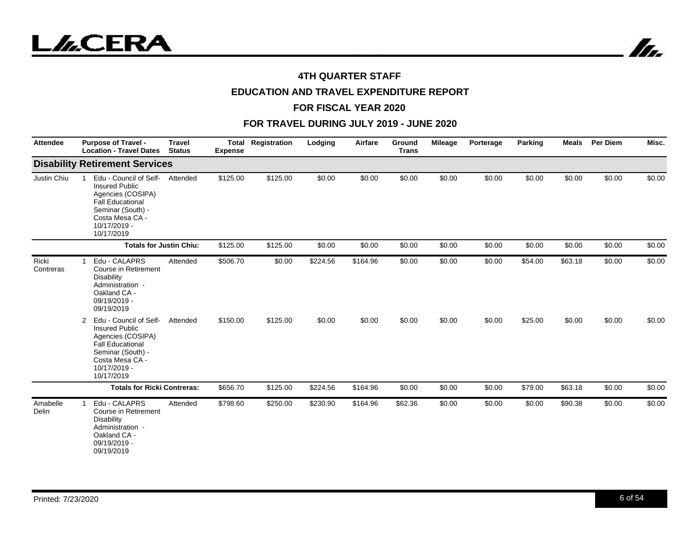



# **EDUCATION AND TRAVEL EXPENDITURE REPORT**

#### **FOR FISCAL YEAR 2020**

| <b>Attendee</b>    | <b>Purpose of Travel -</b><br><b>Location - Travel Dates</b>                                                                                                               | <b>Travel</b><br><b>Status</b> | Total<br><b>Expense</b> | Registration | Lodging  | Airfare  | Ground<br><b>Trans</b> | <b>Mileage</b> | Porterage | Parking | <b>Meals</b> | <b>Per Diem</b> | Misc.  |
|--------------------|----------------------------------------------------------------------------------------------------------------------------------------------------------------------------|--------------------------------|-------------------------|--------------|----------|----------|------------------------|----------------|-----------|---------|--------------|-----------------|--------|
|                    | <b>Disability Retirement Services</b>                                                                                                                                      |                                |                         |              |          |          |                        |                |           |         |              |                 |        |
| Justin Chiu        | Edu - Council of Self-<br><b>Insured Public</b><br>Agencies (COSIPA)<br><b>Fall Educational</b><br>Seminar (South) -<br>Costa Mesa CA -<br>10/17/2019 -<br>10/17/2019      | Attended                       | \$125.00                | \$125.00     | \$0.00   | \$0.00   | \$0.00                 | \$0.00         | \$0.00    | \$0.00  | \$0.00       | \$0.00          | \$0.00 |
|                    |                                                                                                                                                                            | <b>Totals for Justin Chiu:</b> | \$125.00                | \$125.00     | \$0.00   | \$0.00   | \$0.00                 | \$0.00         | \$0.00    | \$0.00  | \$0.00       | \$0.00          | \$0.00 |
| Ricki<br>Contreras | Edu - CALAPRS<br>Course in Retirement<br><b>Disability</b><br>Administration -<br>Oakland CA -<br>09/19/2019 -<br>09/19/2019                                               | Attended                       | \$506.70                | \$0.00       | \$224.56 | \$164.96 | \$0.00                 | \$0.00         | \$0.00    | \$54.00 | \$63.18      | \$0.00          | \$0.00 |
|                    | Edu - Council of Self-<br>2<br><b>Insured Public</b><br>Agencies (COSIPA)<br><b>Fall Educational</b><br>Seminar (South) -<br>Costa Mesa CA -<br>10/17/2019 -<br>10/17/2019 | Attended                       | \$150.00                | \$125.00     | \$0.00   | \$0.00   | \$0.00                 | \$0.00         | \$0.00    | \$25.00 | \$0.00       | \$0.00          | \$0.00 |
|                    | <b>Totals for Ricki Contreras:</b>                                                                                                                                         |                                | \$656.70                | \$125.00     | \$224.56 | \$164.96 | \$0.00                 | \$0.00         | \$0.00    | \$79.00 | \$63.18      | \$0.00          | \$0.00 |
| Amabelle<br>Delin  | Edu - CALAPRS<br>Course in Retirement<br><b>Disability</b><br>Administration -<br>Oakland CA -<br>09/19/2019 -<br>09/19/2019                                               | Attended                       | \$798.60                | \$250.00     | \$230.90 | \$164.96 | \$62.36                | \$0.00         | \$0.00    | \$0.00  | \$90.38      | \$0.00          | \$0.00 |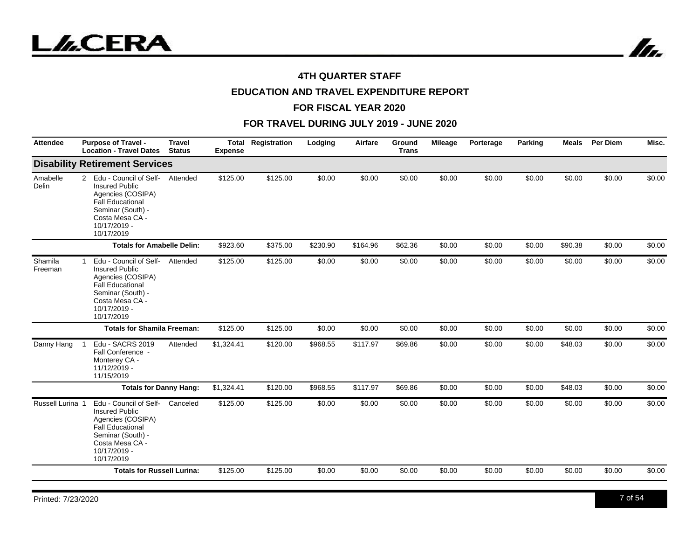



# **EDUCATION AND TRAVEL EXPENDITURE REPORT**

#### **FOR FISCAL YEAR 2020**

| <b>Attendee</b>          | <b>Purpose of Travel -</b><br><b>Location - Travel Dates</b>                                                                                                               | <b>Travel</b><br><b>Status</b> | <b>Expense</b> | <b>Total Registration</b> | Lodging  | Airfare  | Ground<br><b>Trans</b> | Mileage | Porterage | Parking | <b>Meals</b> | Per Diem | Misc.  |
|--------------------------|----------------------------------------------------------------------------------------------------------------------------------------------------------------------------|--------------------------------|----------------|---------------------------|----------|----------|------------------------|---------|-----------|---------|--------------|----------|--------|
|                          | <b>Disability Retirement Services</b>                                                                                                                                      |                                |                |                           |          |          |                        |         |           |         |              |          |        |
| Amabelle<br><b>Delin</b> | Edu - Council of Self-<br>2<br><b>Insured Public</b><br>Agencies (COSIPA)<br><b>Fall Educational</b><br>Seminar (South) -<br>Costa Mesa CA -<br>10/17/2019 -<br>10/17/2019 | Attended                       | \$125.00       | \$125.00                  | \$0.00   | \$0.00   | \$0.00                 | \$0.00  | \$0.00    | \$0.00  | \$0.00       | \$0.00   | \$0.00 |
|                          | <b>Totals for Amabelle Delin:</b>                                                                                                                                          |                                | \$923.60       | \$375.00                  | \$230.90 | \$164.96 | \$62.36                | \$0.00  | \$0.00    | \$0.00  | \$90.38      | \$0.00   | \$0.00 |
| Shamila<br>Freeman       | Edu - Council of Self-<br><b>Insured Public</b><br>Agencies (COSIPA)<br><b>Fall Educational</b><br>Seminar (South) -<br>Costa Mesa CA -<br>10/17/2019 -<br>10/17/2019      | Attended                       | \$125.00       | \$125.00                  | \$0.00   | \$0.00   | \$0.00                 | \$0.00  | \$0.00    | \$0.00  | \$0.00       | \$0.00   | \$0.00 |
|                          | <b>Totals for Shamila Freeman:</b>                                                                                                                                         |                                | \$125.00       | \$125.00                  | \$0.00   | \$0.00   | \$0.00                 | \$0.00  | \$0.00    | \$0.00  | \$0.00       | \$0.00   | \$0.00 |
| Danny Hang               | Edu - SACRS 2019<br>Fall Conference -<br>Monterey CA -<br>11/12/2019 -<br>11/15/2019                                                                                       | Attended                       | \$1,324.41     | \$120.00                  | \$968.55 | \$117.97 | \$69.86                | \$0.00  | \$0.00    | \$0.00  | \$48.03      | \$0.00   | \$0.00 |
|                          | <b>Totals for Danny Hang:</b>                                                                                                                                              |                                | \$1,324.41     | \$120.00                  | \$968.55 | \$117.97 | \$69.86                | \$0.00  | \$0.00    | \$0.00  | \$48.03      | \$0.00   | \$0.00 |
| Russell Lurina 1         | Edu - Council of Self-<br><b>Insured Public</b><br>Agencies (COSIPA)<br><b>Fall Educational</b><br>Seminar (South) -<br>Costa Mesa CA -<br>10/17/2019 -<br>10/17/2019      | Canceled                       | \$125.00       | \$125.00                  | \$0.00   | \$0.00   | \$0.00                 | \$0.00  | \$0.00    | \$0.00  | \$0.00       | \$0.00   | \$0.00 |
|                          | <b>Totals for Russell Lurina:</b>                                                                                                                                          |                                | \$125.00       | \$125.00                  | \$0.00   | \$0.00   | \$0.00                 | \$0.00  | \$0.00    | \$0.00  | \$0.00       | \$0.00   | \$0.00 |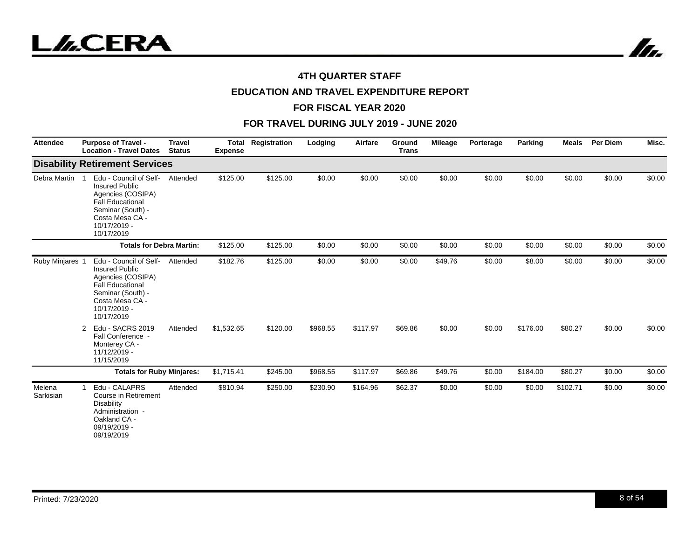



# **EDUCATION AND TRAVEL EXPENDITURE REPORT**

#### **FOR FISCAL YEAR 2020**

| <b>Attendee</b>     | <b>Purpose of Travel -</b><br><b>Location - Travel Dates</b>                                                                                                          | <b>Travel</b><br><b>Status</b> | <b>Total</b><br><b>Expense</b> | Registration | Lodging  | Airfare  | Ground<br><b>Trans</b> | <b>Mileage</b> | Porterage | <b>Parking</b> | <b>Meals</b> | <b>Per Diem</b> | Misc.  |
|---------------------|-----------------------------------------------------------------------------------------------------------------------------------------------------------------------|--------------------------------|--------------------------------|--------------|----------|----------|------------------------|----------------|-----------|----------------|--------------|-----------------|--------|
|                     | <b>Disability Retirement Services</b>                                                                                                                                 |                                |                                |              |          |          |                        |                |           |                |              |                 |        |
| Debra Martin 1      | Edu - Council of Self-<br><b>Insured Public</b><br>Agencies (COSIPA)<br><b>Fall Educational</b><br>Seminar (South) -<br>Costa Mesa CA -<br>10/17/2019 -<br>10/17/2019 | Attended                       | \$125.00                       | \$125.00     | \$0.00   | \$0.00   | \$0.00                 | \$0.00         | \$0.00    | \$0.00         | \$0.00       | \$0.00          | \$0.00 |
|                     | <b>Totals for Debra Martin:</b>                                                                                                                                       |                                | \$125.00                       | \$125.00     | \$0.00   | \$0.00   | \$0.00                 | \$0.00         | \$0.00    | \$0.00         | \$0.00       | \$0.00          | \$0.00 |
| Ruby Minjares 1     | Edu - Council of Self-<br><b>Insured Public</b><br>Agencies (COSIPA)<br><b>Fall Educational</b><br>Seminar (South) -<br>Costa Mesa CA -<br>10/17/2019 -<br>10/17/2019 | Attended                       | \$182.76                       | \$125.00     | \$0.00   | \$0.00   | \$0.00                 | \$49.76        | \$0.00    | \$8.00         | \$0.00       | \$0.00          | \$0.00 |
|                     | Edu - SACRS 2019<br>$\overline{2}$<br>Fall Conference -<br>Monterey CA -<br>11/12/2019 -<br>11/15/2019                                                                | Attended                       | \$1,532.65                     | \$120.00     | \$968.55 | \$117.97 | \$69.86                | \$0.00         | \$0.00    | \$176.00       | \$80.27      | \$0.00          | \$0.00 |
|                     | <b>Totals for Ruby Minjares:</b>                                                                                                                                      |                                | \$1,715.41                     | \$245.00     | \$968.55 | \$117.97 | \$69.86                | \$49.76        | \$0.00    | \$184.00       | \$80.27      | \$0.00          | \$0.00 |
| Melena<br>Sarkisian | Edu - CALAPRS<br>$\mathbf{1}$<br>Course in Retirement<br><b>Disability</b><br>Administration -<br>Oakland CA -<br>09/19/2019 -<br>09/19/2019                          | Attended                       | \$810.94                       | \$250.00     | \$230.90 | \$164.96 | \$62.37                | \$0.00         | \$0.00    | \$0.00         | \$102.71     | \$0.00          | \$0.00 |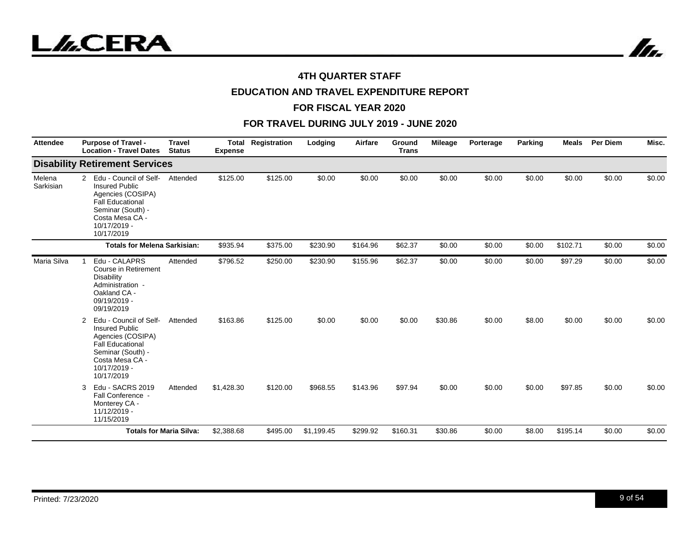



# **EDUCATION AND TRAVEL EXPENDITURE REPORT**

#### **FOR FISCAL YEAR 2020**

| <b>Attendee</b>     | <b>Purpose of Travel -</b><br><b>Location - Travel Dates</b>                                                                                                               | <b>Travel</b><br><b>Status</b> | <b>Total</b><br><b>Expense</b> | Registration | Lodging    | Airfare  | Ground<br><b>Trans</b> | <b>Mileage</b> | Porterage | Parking | <b>Meals</b> | <b>Per Diem</b> | Misc.  |
|---------------------|----------------------------------------------------------------------------------------------------------------------------------------------------------------------------|--------------------------------|--------------------------------|--------------|------------|----------|------------------------|----------------|-----------|---------|--------------|-----------------|--------|
|                     | <b>Disability Retirement Services</b>                                                                                                                                      |                                |                                |              |            |          |                        |                |           |         |              |                 |        |
| Melena<br>Sarkisian | Edu - Council of Self-<br>2<br><b>Insured Public</b><br>Agencies (COSIPA)<br><b>Fall Educational</b><br>Seminar (South) -<br>Costa Mesa CA -<br>10/17/2019 -<br>10/17/2019 | Attended                       | \$125.00                       | \$125.00     | \$0.00     | \$0.00   | \$0.00                 | \$0.00         | \$0.00    | \$0.00  | \$0.00       | \$0.00          | \$0.00 |
|                     | <b>Totals for Melena Sarkisian:</b>                                                                                                                                        |                                | \$935.94                       | \$375.00     | \$230.90   | \$164.96 | \$62.37                | \$0.00         | \$0.00    | \$0.00  | \$102.71     | \$0.00          | \$0.00 |
| Maria Silva         | Edu - CALAPRS<br>Course in Retirement<br><b>Disability</b><br>Administration -<br>Oakland CA -<br>09/19/2019 -<br>09/19/2019                                               | Attended                       | \$796.52                       | \$250.00     | \$230.90   | \$155.96 | \$62.37                | \$0.00         | \$0.00    | \$0.00  | \$97.29      | \$0.00          | \$0.00 |
|                     | Edu - Council of Self-<br>2<br><b>Insured Public</b><br>Agencies (COSIPA)<br><b>Fall Educational</b><br>Seminar (South) -<br>Costa Mesa CA -<br>10/17/2019 -<br>10/17/2019 | Attended                       | \$163.86                       | \$125.00     | \$0.00     | \$0.00   | \$0.00                 | \$30.86        | \$0.00    | \$8.00  | \$0.00       | \$0.00          | \$0.00 |
|                     | Edu - SACRS 2019<br>3<br>Fall Conference -<br>Monterey CA -<br>11/12/2019 -<br>11/15/2019                                                                                  | Attended                       | \$1,428.30                     | \$120.00     | \$968.55   | \$143.96 | \$97.94                | \$0.00         | \$0.00    | \$0.00  | \$97.85      | \$0.00          | \$0.00 |
|                     |                                                                                                                                                                            | <b>Totals for Maria Silva:</b> | \$2,388.68                     | \$495.00     | \$1,199.45 | \$299.92 | \$160.31               | \$30.86        | \$0.00    | \$8.00  | \$195.14     | \$0.00          | \$0.00 |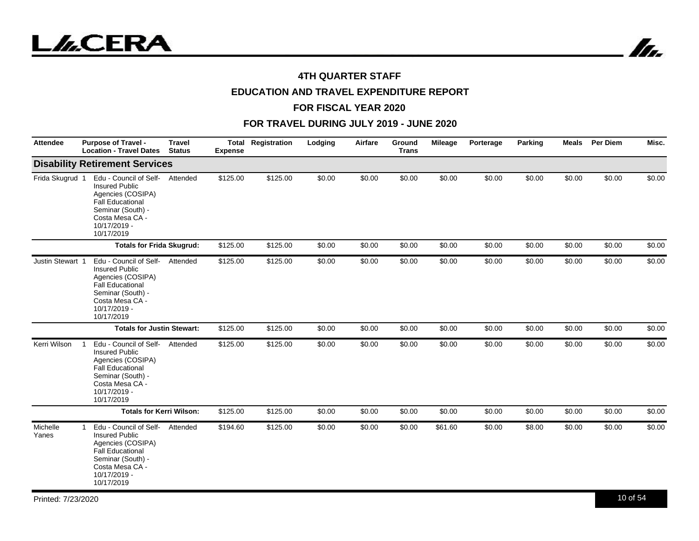



# **EDUCATION AND TRAVEL EXPENDITURE REPORT**

#### **FOR FISCAL YEAR 2020**

| <b>Attendee</b>   | <b>Purpose of Travel -</b><br><b>Location - Travel Dates</b>                                                                                                          | <b>Travel</b><br><b>Status</b> | <b>Expense</b> | <b>Total Registration</b> | Lodging | Airfare | Ground<br><b>Trans</b> | <b>Mileage</b> | Porterage | Parking | <b>Meals</b> | <b>Per Diem</b> | Misc.  |
|-------------------|-----------------------------------------------------------------------------------------------------------------------------------------------------------------------|--------------------------------|----------------|---------------------------|---------|---------|------------------------|----------------|-----------|---------|--------------|-----------------|--------|
|                   | <b>Disability Retirement Services</b>                                                                                                                                 |                                |                |                           |         |         |                        |                |           |         |              |                 |        |
| Frida Skugrud 1   | Edu - Council of Self-<br><b>Insured Public</b><br>Agencies (COSIPA)<br><b>Fall Educational</b><br>Seminar (South) -<br>Costa Mesa CA -<br>10/17/2019 -<br>10/17/2019 | Attended                       | \$125.00       | \$125.00                  | \$0.00  | \$0.00  | \$0.00                 | \$0.00         | \$0.00    | \$0.00  | \$0.00       | \$0.00          | \$0.00 |
|                   | <b>Totals for Frida Skugrud:</b>                                                                                                                                      |                                | \$125.00       | \$125.00                  | \$0.00  | \$0.00  | \$0.00                 | \$0.00         | \$0.00    | \$0.00  | \$0.00       | \$0.00          | \$0.00 |
| Justin Stewart 1  | Edu - Council of Self-<br><b>Insured Public</b><br>Agencies (COSIPA)<br><b>Fall Educational</b><br>Seminar (South) -<br>Costa Mesa CA -<br>10/17/2019 -<br>10/17/2019 | Attended                       | \$125.00       | \$125.00                  | \$0.00  | \$0.00  | \$0.00                 | \$0.00         | \$0.00    | \$0.00  | \$0.00       | \$0.00          | \$0.00 |
|                   | <b>Totals for Justin Stewart:</b>                                                                                                                                     |                                | \$125.00       | \$125.00                  | \$0.00  | \$0.00  | \$0.00                 | \$0.00         | \$0.00    | \$0.00  | \$0.00       | \$0.00          | \$0.00 |
| Kerri Wilson      | Edu - Council of Self-<br><b>Insured Public</b><br>Agencies (COSIPA)<br><b>Fall Educational</b><br>Seminar (South) -<br>Costa Mesa CA -<br>10/17/2019 -<br>10/17/2019 | Attended                       | \$125.00       | \$125.00                  | \$0.00  | \$0.00  | \$0.00                 | \$0.00         | \$0.00    | \$0.00  | \$0.00       | \$0.00          | \$0.00 |
|                   | <b>Totals for Kerri Wilson:</b>                                                                                                                                       |                                | \$125.00       | \$125.00                  | \$0.00  | \$0.00  | \$0.00                 | \$0.00         | \$0.00    | \$0.00  | \$0.00       | \$0.00          | \$0.00 |
| Michelle<br>Yanes | Edu - Council of Self-<br><b>Insured Public</b><br>Agencies (COSIPA)<br><b>Fall Educational</b><br>Seminar (South) -<br>Costa Mesa CA -<br>10/17/2019 -<br>10/17/2019 | Attended                       | \$194.60       | \$125.00                  | \$0.00  | \$0.00  | \$0.00                 | \$61.60        | \$0.00    | \$8.00  | \$0.00       | \$0.00          | \$0.00 |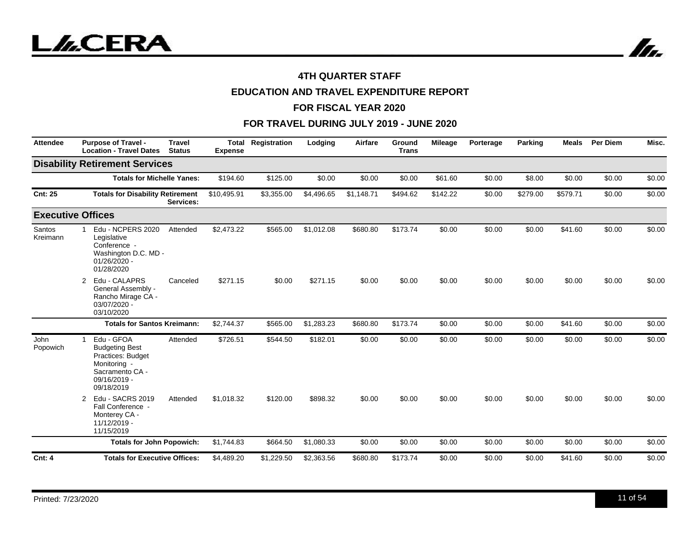

# **EDUCATION AND TRAVEL EXPENDITURE REPORT**

#### **FOR FISCAL YEAR 2020**

| <b>Attendee</b>         | <b>Purpose of Travel -</b><br><b>Location - Travel Dates</b>                                                              | <b>Travel</b><br><b>Status</b> | <b>Expense</b> | <b>Total Registration</b> | Lodging    | Airfare    | Ground<br><b>Trans</b> | <b>Mileage</b> | Porterage | Parking  | <b>Meals</b> | <b>Per Diem</b> | Misc.  |
|-------------------------|---------------------------------------------------------------------------------------------------------------------------|--------------------------------|----------------|---------------------------|------------|------------|------------------------|----------------|-----------|----------|--------------|-----------------|--------|
|                         | <b>Disability Retirement Services</b>                                                                                     |                                |                |                           |            |            |                        |                |           |          |              |                 |        |
|                         | <b>Totals for Michelle Yanes:</b>                                                                                         |                                | \$194.60       | \$125.00                  | \$0.00     | \$0.00     | \$0.00                 | \$61.60        | \$0.00    | \$8.00   | \$0.00       | \$0.00          | \$0.00 |
| <b>Cnt: 25</b>          | <b>Totals for Disability Retirement</b>                                                                                   | Services:                      | \$10,495.91    | \$3,355.00                | \$4,496.65 | \$1,148.71 | \$494.62               | \$142.22       | \$0.00    | \$279.00 | \$579.71     | \$0.00          | \$0.00 |
|                         | <b>Executive Offices</b>                                                                                                  |                                |                |                           |            |            |                        |                |           |          |              |                 |        |
| Santos<br>Kreimann      | Edu - NCPERS 2020<br>Legislative<br>Conference -<br>Washington D.C. MD -<br>$01/26/2020 -$<br>01/28/2020                  | Attended                       | \$2,473.22     | \$565.00                  | \$1,012.08 | \$680.80   | \$173.74               | \$0.00         | \$0.00    | \$0.00   | \$41.60      | \$0.00          | \$0.00 |
|                         | Edu - CALAPRS<br>2<br>General Assembly -<br>Rancho Mirage CA -<br>03/07/2020 -<br>03/10/2020                              | Canceled                       | \$271.15       | \$0.00                    | \$271.15   | \$0.00     | \$0.00                 | \$0.00         | \$0.00    | \$0.00   | \$0.00       | \$0.00          | \$0.00 |
|                         | <b>Totals for Santos Kreimann:</b>                                                                                        |                                | \$2,744.37     | \$565.00                  | \$1,283.23 | \$680.80   | \$173.74               | \$0.00         | \$0.00    | \$0.00   | \$41.60      | \$0.00          | \$0.00 |
| <b>John</b><br>Popowich | Edu - GFOA<br><b>Budgeting Best</b><br>Practices: Budget<br>Monitoring -<br>Sacramento CA -<br>09/16/2019 -<br>09/18/2019 | Attended                       | \$726.51       | \$544.50                  | \$182.01   | \$0.00     | \$0.00                 | \$0.00         | \$0.00    | \$0.00   | \$0.00       | \$0.00          | \$0.00 |
|                         | Edu - SACRS 2019<br>2<br>Fall Conference -<br>Monterey CA -<br>11/12/2019 -<br>11/15/2019                                 | Attended                       | \$1,018.32     | \$120.00                  | \$898.32   | \$0.00     | \$0.00                 | \$0.00         | \$0.00    | \$0.00   | \$0.00       | \$0.00          | \$0.00 |
|                         | <b>Totals for John Popowich:</b>                                                                                          |                                | \$1,744.83     | \$664.50                  | \$1.080.33 | \$0.00     | \$0.00                 | \$0.00         | \$0.00    | \$0.00   | \$0.00       | \$0.00          | \$0.00 |
| <b>Cnt: 4</b>           | <b>Totals for Executive Offices:</b>                                                                                      |                                | \$4,489.20     | \$1,229.50                | \$2,363.56 | \$680.80   | \$173.74               | \$0.00         | \$0.00    | \$0.00   | \$41.60      | \$0.00          | \$0.00 |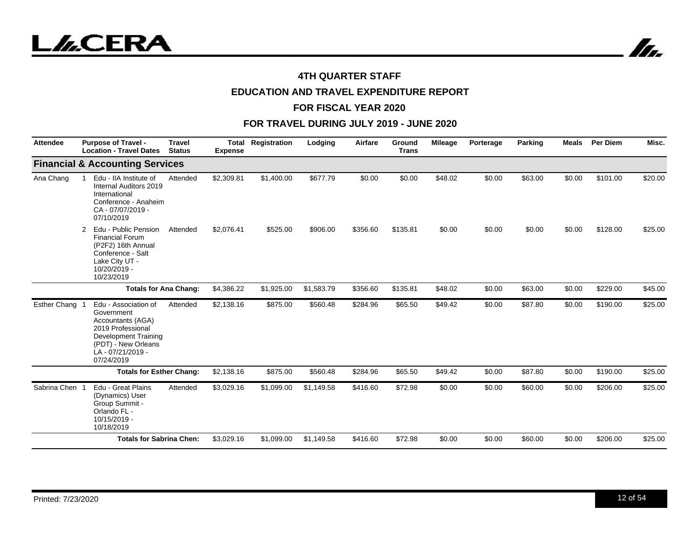



# **EDUCATION AND TRAVEL EXPENDITURE REPORT**

#### **FOR FISCAL YEAR 2020**

| <b>Attendee</b> | <b>Purpose of Travel -</b><br><b>Location - Travel Dates</b>                                                                                                   | <b>Travel</b><br><b>Status</b> | <b>Total</b><br><b>Expense</b> | Registration | Lodging    | Airfare  | <b>Ground</b><br><b>Trans</b> | Mileage | Porterage | Parking | <b>Meals</b> | Per Diem | Misc.   |
|-----------------|----------------------------------------------------------------------------------------------------------------------------------------------------------------|--------------------------------|--------------------------------|--------------|------------|----------|-------------------------------|---------|-----------|---------|--------------|----------|---------|
|                 | <b>Financial &amp; Accounting Services</b>                                                                                                                     |                                |                                |              |            |          |                               |         |           |         |              |          |         |
| Ana Chang       | Edu - IIA Institute of<br>Internal Auditors 2019<br>International<br>Conference - Anaheim<br>CA - 07/07/2019 -<br>07/10/2019                                   | Attended                       | \$2,309.81                     | \$1,400.00   | \$677.79   | \$0.00   | \$0.00                        | \$48.02 | \$0.00    | \$63.00 | \$0.00       | \$101.00 | \$20.00 |
|                 | Edu - Public Pension<br>2<br><b>Financial Forum</b><br>(P2F2) 16th Annual<br>Conference - Salt<br>Lake City UT -<br>10/20/2019 -<br>10/23/2019                 | Attended                       | \$2,076.41                     | \$525.00     | \$906.00   | \$356.60 | \$135.81                      | \$0.00  | \$0.00    | \$0.00  | \$0.00       | \$128.00 | \$25.00 |
|                 | <b>Totals for Ana Chang:</b>                                                                                                                                   |                                | \$4,386.22                     | \$1,925.00   | \$1,583.79 | \$356.60 | \$135.81                      | \$48.02 | \$0.00    | \$63.00 | \$0.00       | \$229.00 | \$45.00 |
| Esther Chang    | Edu - Association of<br>Government<br>Accountants (AGA)<br>2019 Professional<br>Development Training<br>(PDT) - New Orleans<br>LA - 07/21/2019 -<br>07/24/2019 | Attended                       | \$2,138.16                     | \$875.00     | \$560.48   | \$284.96 | \$65.50                       | \$49.42 | \$0.00    | \$87.80 | \$0.00       | \$190.00 | \$25.00 |
|                 | <b>Totals for Esther Chang:</b>                                                                                                                                |                                | \$2,138.16                     | \$875.00     | \$560.48   | \$284.96 | \$65.50                       | \$49.42 | \$0.00    | \$87.80 | \$0.00       | \$190.00 | \$25.00 |
| Sabrina Chen    | Edu - Great Plains<br>(Dynamics) User<br>Group Summit -<br>Orlando FL -<br>10/15/2019 -<br>10/18/2019                                                          | Attended                       | \$3,029.16                     | \$1,099.00   | \$1,149.58 | \$416.60 | \$72.98                       | \$0.00  | \$0.00    | \$60.00 | \$0.00       | \$206.00 | \$25.00 |
|                 | <b>Totals for Sabrina Chen:</b>                                                                                                                                |                                | \$3,029.16                     | \$1,099.00   | \$1,149.58 | \$416.60 | \$72.98                       | \$0.00  | \$0.00    | \$60.00 | \$0.00       | \$206.00 | \$25.00 |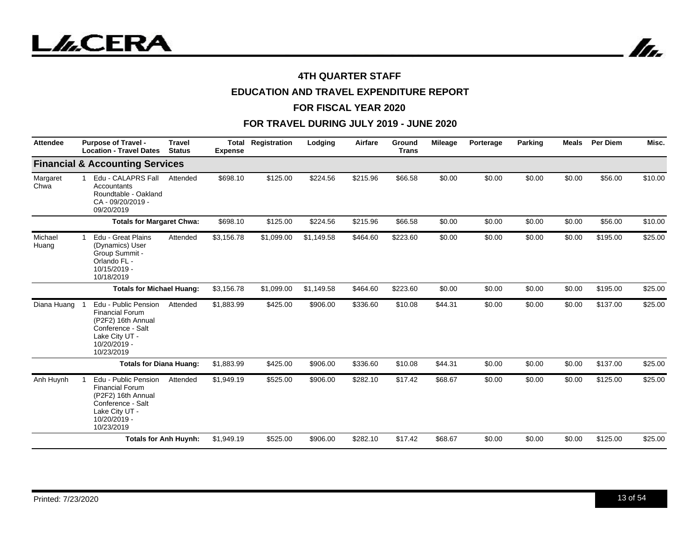



# **EDUCATION AND TRAVEL EXPENDITURE REPORT**

#### **FOR FISCAL YEAR 2020**

| <b>Attendee</b>  | <b>Purpose of Travel -</b><br><b>Location - Travel Dates</b>                                                                              | <b>Travel</b><br><b>Status</b> | <b>Expense</b> | <b>Total Registration</b> | Lodging    | Airfare  | Ground<br><b>Trans</b> | <b>Mileage</b> | Porterage | Parking | <b>Meals</b> | <b>Per Diem</b> | Misc.   |
|------------------|-------------------------------------------------------------------------------------------------------------------------------------------|--------------------------------|----------------|---------------------------|------------|----------|------------------------|----------------|-----------|---------|--------------|-----------------|---------|
|                  | <b>Financial &amp; Accounting Services</b>                                                                                                |                                |                |                           |            |          |                        |                |           |         |              |                 |         |
| Margaret<br>Chwa | Edu - CALAPRS Fall<br>Accountants<br>Roundtable - Oakland<br>CA-09/20/2019-<br>09/20/2019                                                 | Attended                       | \$698.10       | \$125.00                  | \$224.56   | \$215.96 | \$66.58                | \$0.00         | \$0.00    | \$0.00  | \$0.00       | \$56.00         | \$10.00 |
|                  | <b>Totals for Margaret Chwa:</b>                                                                                                          |                                | \$698.10       | \$125.00                  | \$224.56   | \$215.96 | \$66.58                | \$0.00         | \$0.00    | \$0.00  | \$0.00       | \$56.00         | \$10.00 |
| Michael<br>Huang | Edu - Great Plains<br>(Dynamics) User<br>Group Summit -<br>Orlando FL -<br>10/15/2019 -<br>10/18/2019                                     | Attended                       | \$3,156.78     | \$1,099.00                | \$1,149.58 | \$464.60 | \$223.60               | \$0.00         | \$0.00    | \$0.00  | \$0.00       | \$195.00        | \$25.00 |
|                  | <b>Totals for Michael Huang:</b>                                                                                                          |                                | \$3,156.78     | \$1,099.00                | \$1,149.58 | \$464.60 | \$223.60               | \$0.00         | \$0.00    | \$0.00  | \$0.00       | \$195.00        | \$25.00 |
| Diana Huang      | Edu - Public Pension<br><b>Financial Forum</b><br>(P2F2) 16th Annual<br>Conference - Salt<br>Lake City UT -<br>10/20/2019 -<br>10/23/2019 | Attended                       | \$1,883.99     | \$425.00                  | \$906.00   | \$336.60 | \$10.08                | \$44.31        | \$0.00    | \$0.00  | \$0.00       | \$137.00        | \$25.00 |
|                  | <b>Totals for Diana Huang:</b>                                                                                                            |                                | \$1,883.99     | \$425.00                  | \$906.00   | \$336.60 | \$10.08                | \$44.31        | \$0.00    | \$0.00  | \$0.00       | \$137.00        | \$25.00 |
| Anh Huynh        | Edu - Public Pension<br><b>Financial Forum</b><br>(P2F2) 16th Annual<br>Conference - Salt<br>Lake City UT -<br>10/20/2019 -<br>10/23/2019 | Attended                       | \$1,949.19     | \$525.00                  | \$906.00   | \$282.10 | \$17.42                | \$68.67        | \$0.00    | \$0.00  | \$0.00       | \$125.00        | \$25.00 |
|                  |                                                                                                                                           | <b>Totals for Anh Huynh:</b>   | \$1,949.19     | \$525.00                  | \$906.00   | \$282.10 | \$17.42                | \$68.67        | \$0.00    | \$0.00  | \$0.00       | \$125.00        | \$25.00 |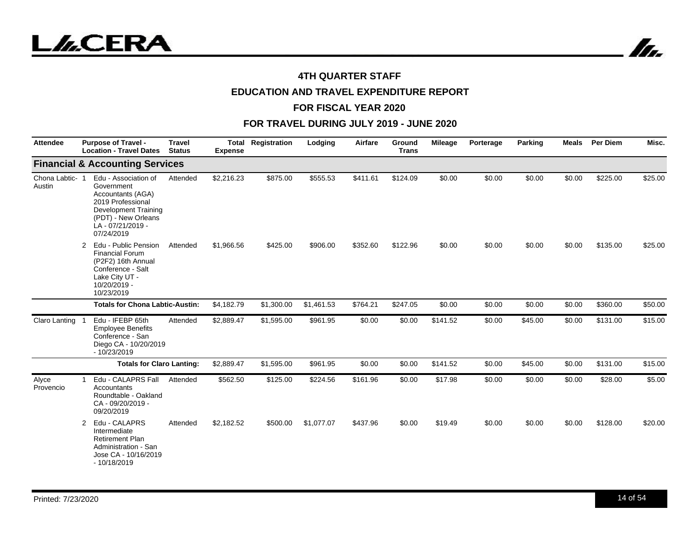



# **EDUCATION AND TRAVEL EXPENDITURE REPORT**

#### **FOR FISCAL YEAR 2020**

| <b>Attendee</b>         | <b>Purpose of Travel -</b><br><b>Location - Travel Dates</b>                                                                                                        | <b>Travel</b><br><b>Status</b> | Total<br><b>Expense</b> | Registration | Lodging    | Airfare  | Ground<br><b>Trans</b> | <b>Mileage</b> | Porterage | Parking | <b>Meals</b> | Per Diem | Misc.   |
|-------------------------|---------------------------------------------------------------------------------------------------------------------------------------------------------------------|--------------------------------|-------------------------|--------------|------------|----------|------------------------|----------------|-----------|---------|--------------|----------|---------|
|                         | <b>Financial &amp; Accounting Services</b>                                                                                                                          |                                |                         |              |            |          |                        |                |           |         |              |          |         |
| Chona Labtic-<br>Austin | Edu - Association of<br>Government<br>Accountants (AGA)<br>2019 Professional<br><b>Development Training</b><br>(PDT) - New Orleans<br>LA-07/21/2019 -<br>07/24/2019 | Attended                       | \$2,216.23              | \$875.00     | \$555.53   | \$411.61 | \$124.09               | \$0.00         | \$0.00    | \$0.00  | \$0.00       | \$225.00 | \$25.00 |
|                         | Edu - Public Pension<br>2<br><b>Financial Forum</b><br>(P2F2) 16th Annual<br>Conference - Salt<br>Lake City UT -<br>10/20/2019 -<br>10/23/2019                      | Attended                       | \$1,966.56              | \$425.00     | \$906.00   | \$352.60 | \$122.96               | \$0.00         | \$0.00    | \$0.00  | \$0.00       | \$135.00 | \$25.00 |
|                         | <b>Totals for Chona Labtic-Austin:</b>                                                                                                                              |                                | \$4,182.79              | \$1,300.00   | \$1,461.53 | \$764.21 | \$247.05               | \$0.00         | \$0.00    | \$0.00  | \$0.00       | \$360.00 | \$50.00 |
| Claro Lanting           | Edu - IFEBP 65th<br><b>Employee Benefits</b><br>Conference - San<br>Diego CA - 10/20/2019<br>$-10/23/2019$                                                          | Attended                       | \$2,889.47              | \$1,595.00   | \$961.95   | \$0.00   | \$0.00                 | \$141.52       | \$0.00    | \$45.00 | \$0.00       | \$131.00 | \$15.00 |
|                         | <b>Totals for Claro Lanting:</b>                                                                                                                                    |                                | \$2,889.47              | \$1,595.00   | \$961.95   | \$0.00   | \$0.00                 | \$141.52       | \$0.00    | \$45.00 | \$0.00       | \$131.00 | \$15.00 |
| Alyce<br>Provencio      | Edu - CALAPRS Fall<br>Accountants<br>Roundtable - Oakland<br>CA - 09/20/2019 -<br>09/20/2019                                                                        | Attended                       | \$562.50                | \$125.00     | \$224.56   | \$161.96 | \$0.00                 | \$17.98        | \$0.00    | \$0.00  | \$0.00       | \$28.00  | \$5.00  |
|                         | Edu - CALAPRS<br>2<br>Intermediate<br><b>Retirement Plan</b><br>Administration - San<br>Jose CA - 10/16/2019<br>$-10/18/2019$                                       | Attended                       | \$2,182.52              | \$500.00     | \$1,077.07 | \$437.96 | \$0.00                 | \$19.49        | \$0.00    | \$0.00  | \$0.00       | \$128.00 | \$20.00 |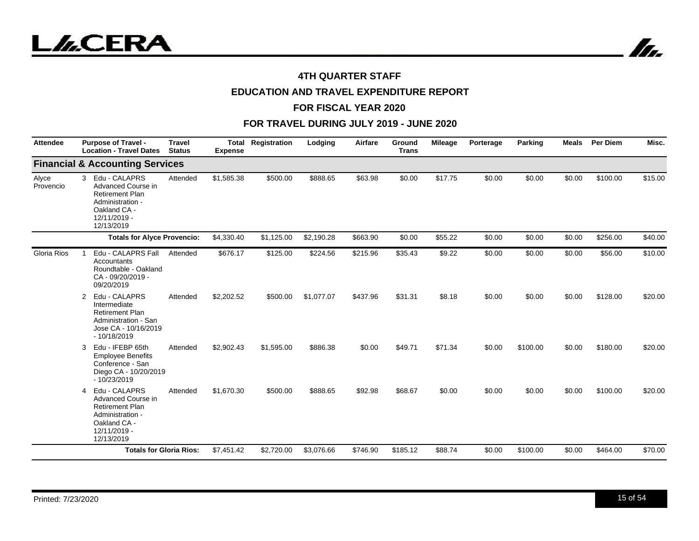



# **EDUCATION AND TRAVEL EXPENDITURE REPORT**

#### **FOR FISCAL YEAR 2020**

| <b>Attendee</b>    | <b>Purpose of Travel -</b><br><b>Location - Travel Dates</b>                                                                                    | <b>Travel</b><br><b>Status</b> | Total<br><b>Expense</b> | Registration | Lodging    | Airfare  | Ground<br><b>Trans</b> | <b>Mileage</b> | Porterage | Parking  | <b>Meals</b> | Per Diem | Misc.   |
|--------------------|-------------------------------------------------------------------------------------------------------------------------------------------------|--------------------------------|-------------------------|--------------|------------|----------|------------------------|----------------|-----------|----------|--------------|----------|---------|
|                    | <b>Financial &amp; Accounting Services</b>                                                                                                      |                                |                         |              |            |          |                        |                |           |          |              |          |         |
| Alyce<br>Provencio | $\mathbf{3}$<br>Edu - CALAPRS<br>Advanced Course in<br><b>Retirement Plan</b><br>Administration -<br>Oakland CA -<br>12/11/2019 -<br>12/13/2019 | Attended                       | \$1,585.38              | \$500.00     | \$888.65   | \$63.98  | \$0.00                 | \$17.75        | \$0.00    | \$0.00   | \$0.00       | \$100.00 | \$15.00 |
|                    | <b>Totals for Alyce Provencio:</b>                                                                                                              |                                | \$4,330.40              | \$1,125.00   | \$2,190.28 | \$663.90 | \$0.00                 | \$55.22        | \$0.00    | \$0.00   | \$0.00       | \$256.00 | \$40.00 |
| <b>Gloria Rios</b> | Edu - CALAPRS Fall<br>Accountants<br>Roundtable - Oakland<br>CA - 09/20/2019 -<br>09/20/2019                                                    | Attended                       | \$676.17                | \$125.00     | \$224.56   | \$215.96 | \$35.43                | \$9.22         | \$0.00    | \$0.00   | \$0.00       | \$56.00  | \$10.00 |
|                    | Edu - CALAPRS<br>2<br>Intermediate<br><b>Retirement Plan</b><br>Administration - San<br>Jose CA - 10/16/2019<br>$-10/18/2019$                   | Attended                       | \$2,202.52              | \$500.00     | \$1,077.07 | \$437.96 | \$31.31                | \$8.18         | \$0.00    | \$0.00   | \$0.00       | \$128.00 | \$20.00 |
|                    | Edu - IFEBP 65th<br>3<br><b>Employee Benefits</b><br>Conference - San<br>Diego CA - 10/20/2019<br>$-10/23/2019$                                 | Attended                       | \$2,902.43              | \$1,595.00   | \$886.38   | \$0.00   | \$49.71                | \$71.34        | \$0.00    | \$100.00 | \$0.00       | \$180.00 | \$20.00 |
|                    | Edu - CALAPRS<br>4<br>Advanced Course in<br><b>Retirement Plan</b><br>Administration -<br>Oakland CA -<br>12/11/2019 -<br>12/13/2019            | Attended                       | \$1,670.30              | \$500.00     | \$888.65   | \$92.98  | \$68.67                | \$0.00         | \$0.00    | \$0.00   | \$0.00       | \$100.00 | \$20.00 |
|                    | <b>Totals for Gloria Rios:</b>                                                                                                                  |                                | \$7,451.42              | \$2,720.00   | \$3,076.66 | \$746.90 | \$185.12               | \$88.74        | \$0.00    | \$100.00 | \$0.00       | \$464.00 | \$70.00 |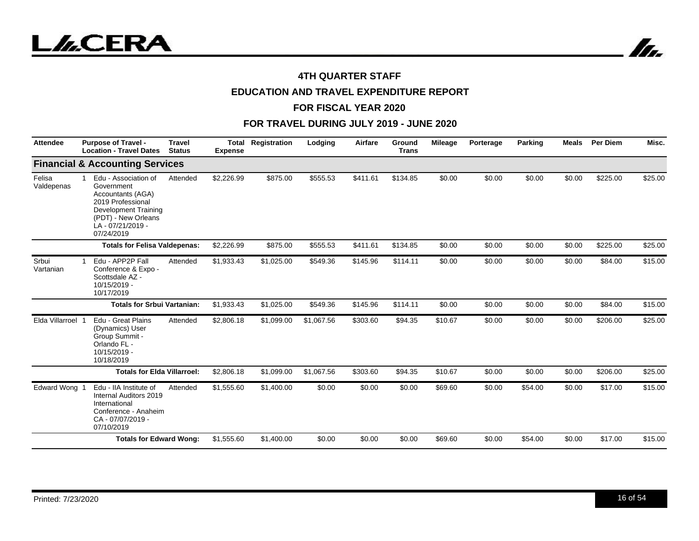



# **EDUCATION AND TRAVEL EXPENDITURE REPORT**

#### **FOR FISCAL YEAR 2020**

| Attendee             | <b>Purpose of Travel -</b><br><b>Location - Travel Dates</b>                                                                                                            | <b>Travel</b><br><b>Status</b> | <b>Total</b><br><b>Expense</b> | Registration | Lodging    | Airfare  | Ground<br><b>Trans</b> | <b>Mileage</b> | Porterage | Parking | <b>Meals</b> | <b>Per Diem</b> | Misc.   |
|----------------------|-------------------------------------------------------------------------------------------------------------------------------------------------------------------------|--------------------------------|--------------------------------|--------------|------------|----------|------------------------|----------------|-----------|---------|--------------|-----------------|---------|
|                      | <b>Financial &amp; Accounting Services</b>                                                                                                                              |                                |                                |              |            |          |                        |                |           |         |              |                 |         |
| Felisa<br>Valdepenas | Edu - Association of<br>1<br>Government<br>Accountants (AGA)<br>2019 Professional<br><b>Development Training</b><br>(PDT) - New Orleans<br>LA-07/21/2019-<br>07/24/2019 | Attended                       | \$2,226.99                     | \$875.00     | \$555.53   | \$411.61 | \$134.85               | \$0.00         | \$0.00    | \$0.00  | \$0.00       | \$225.00        | \$25.00 |
|                      | <b>Totals for Felisa Valdepenas:</b>                                                                                                                                    |                                | \$2,226.99                     | \$875.00     | \$555.53   | \$411.61 | \$134.85               | \$0.00         | \$0.00    | \$0.00  | \$0.00       | \$225.00        | \$25.00 |
| Srbui<br>Vartanian   | Edu - APP2P Fall<br>Conference & Expo -<br>Scottsdale AZ -<br>10/15/2019 -<br>10/17/2019                                                                                | Attended                       | \$1,933.43                     | \$1,025.00   | \$549.36   | \$145.96 | \$114.11               | \$0.00         | \$0.00    | \$0.00  | \$0.00       | \$84.00         | \$15.00 |
|                      | <b>Totals for Srbui Vartanian:</b>                                                                                                                                      |                                | \$1,933.43                     | \$1,025.00   | \$549.36   | \$145.96 | \$114.11               | \$0.00         | \$0.00    | \$0.00  | \$0.00       | \$84.00         | \$15.00 |
| Elda Villarroel      | Edu - Great Plains<br>(Dynamics) User<br>Group Summit -<br>Orlando FL -<br>10/15/2019 -<br>10/18/2019                                                                   | Attended                       | \$2,806.18                     | \$1,099.00   | \$1,067.56 | \$303.60 | \$94.35                | \$10.67        | \$0.00    | \$0.00  | \$0.00       | \$206.00        | \$25.00 |
|                      | <b>Totals for Elda Villarroel:</b>                                                                                                                                      |                                | \$2,806.18                     | \$1,099.00   | \$1,067.56 | \$303.60 | \$94.35                | \$10.67        | \$0.00    | \$0.00  | \$0.00       | \$206.00        | \$25.00 |
| <b>Edward Wong</b>   | Edu - IIA Institute of<br>Internal Auditors 2019<br>International<br>Conference - Anaheim<br>CA - 07/07/2019 -<br>07/10/2019                                            | Attended                       | \$1,555.60                     | \$1,400.00   | \$0.00     | \$0.00   | \$0.00                 | \$69.60        | \$0.00    | \$54.00 | \$0.00       | \$17.00         | \$15.00 |
|                      | <b>Totals for Edward Wong:</b>                                                                                                                                          |                                | \$1,555.60                     | \$1,400.00   | \$0.00     | \$0.00   | \$0.00                 | \$69.60        | \$0.00    | \$54.00 | \$0.00       | \$17.00         | \$15.00 |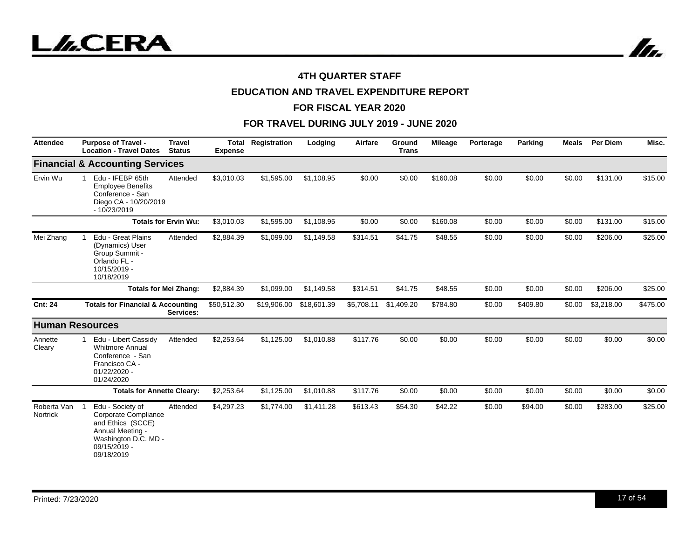



# **EDUCATION AND TRAVEL EXPENDITURE REPORT**

#### **FOR FISCAL YEAR 2020**

| <b>Attendee</b>         | <b>Purpose of Travel -</b><br><b>Location - Travel Dates</b>                                                                            | <b>Travel</b><br><b>Status</b> | Total<br><b>Expense</b> | Registration | Lodging     | Airfare    | Ground<br><b>Trans</b> | <b>Mileage</b> | Porterage | Parking  | <b>Meals</b> | <b>Per Diem</b> | Misc.    |
|-------------------------|-----------------------------------------------------------------------------------------------------------------------------------------|--------------------------------|-------------------------|--------------|-------------|------------|------------------------|----------------|-----------|----------|--------------|-----------------|----------|
|                         | <b>Financial &amp; Accounting Services</b>                                                                                              |                                |                         |              |             |            |                        |                |           |          |              |                 |          |
| Ervin Wu                | Edu - IFEBP 65th<br><b>Employee Benefits</b><br>Conference - San<br>Diego CA - 10/20/2019<br>$-10/23/2019$                              | Attended                       | \$3,010.03              | \$1,595.00   | \$1,108.95  | \$0.00     | \$0.00                 | \$160.08       | \$0.00    | \$0.00   | \$0.00       | \$131.00        | \$15.00  |
|                         |                                                                                                                                         | <b>Totals for Ervin Wu:</b>    | \$3,010.03              | \$1,595.00   | \$1,108.95  | \$0.00     | \$0.00                 | \$160.08       | \$0.00    | \$0.00   | \$0.00       | \$131.00        | \$15.00  |
| Mei Zhang               | Edu - Great Plains<br>(Dynamics) User<br>Group Summit -<br>Orlando FL -<br>10/15/2019 -<br>10/18/2019                                   | Attended                       | \$2,884.39              | \$1,099.00   | \$1,149.58  | \$314.51   | \$41.75                | \$48.55        | \$0.00    | \$0.00   | \$0.00       | \$206.00        | \$25.00  |
|                         |                                                                                                                                         | <b>Totals for Mei Zhang:</b>   | \$2,884.39              | \$1,099.00   | \$1,149.58  | \$314.51   | \$41.75                | \$48.55        | \$0.00    | \$0.00   | \$0.00       | \$206.00        | \$25.00  |
| <b>Cnt: 24</b>          | <b>Totals for Financial &amp; Accounting</b>                                                                                            | Services:                      | \$50,512.30             | \$19,906.00  | \$18,601.39 | \$5,708.11 | \$1,409.20             | \$784.80       | \$0.00    | \$409.80 | \$0.00       | \$3,218.00      | \$475.00 |
|                         | <b>Human Resources</b>                                                                                                                  |                                |                         |              |             |            |                        |                |           |          |              |                 |          |
| Annette<br>Cleary       | Edu - Libert Cassidy<br><b>Whitmore Annual</b><br>Conference - San<br>Francisco CA -<br>$01/22/2020 -$<br>01/24/2020                    | Attended                       | \$2,253.64              | \$1,125.00   | \$1,010.88  | \$117.76   | \$0.00                 | \$0.00         | \$0.00    | \$0.00   | \$0.00       | \$0.00          | \$0.00   |
|                         | <b>Totals for Annette Cleary:</b>                                                                                                       |                                | \$2,253.64              | \$1,125.00   | \$1,010.88  | \$117.76   | \$0.00                 | \$0.00         | \$0.00    | \$0.00   | \$0.00       | \$0.00          | \$0.00   |
| Roberta Van<br>Nortrick | Edu - Society of<br>Corporate Compliance<br>and Ethics (SCCE)<br>Annual Meeting -<br>Washington D.C. MD -<br>09/15/2019 -<br>09/18/2019 | Attended                       | \$4,297.23              | \$1,774.00   | \$1,411.28  | \$613.43   | \$54.30                | \$42.22        | \$0.00    | \$94.00  | \$0.00       | \$283.00        | \$25.00  |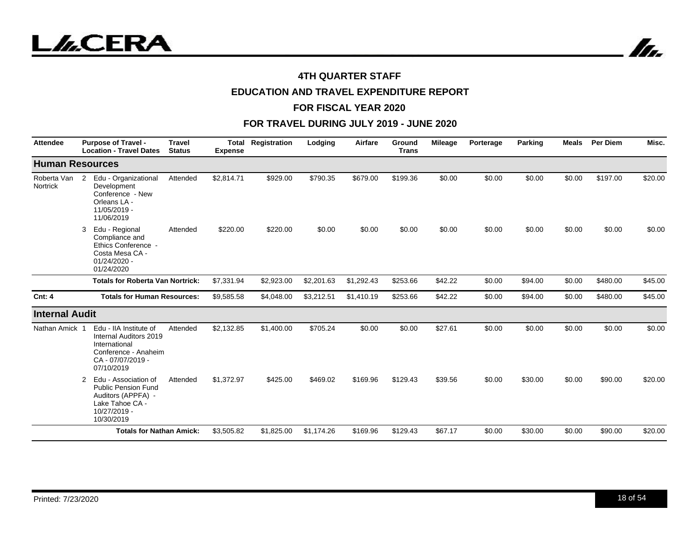

In.

## **4TH QUARTER STAFF**

# **EDUCATION AND TRAVEL EXPENDITURE REPORT**

#### **FOR FISCAL YEAR 2020**

| <b>Attendee</b>         | <b>Purpose of Travel -</b><br><b>Location - Travel Dates</b>                                                                   | <b>Travel</b><br><b>Status</b> | <b>Total</b><br><b>Expense</b> | Registration | Lodging    | Airfare    | Ground<br><b>Trans</b> | <b>Mileage</b> | Porterage | Parking | <b>Meals</b> | <b>Per Diem</b> | Misc.   |
|-------------------------|--------------------------------------------------------------------------------------------------------------------------------|--------------------------------|--------------------------------|--------------|------------|------------|------------------------|----------------|-----------|---------|--------------|-----------------|---------|
| <b>Human Resources</b>  |                                                                                                                                |                                |                                |              |            |            |                        |                |           |         |              |                 |         |
| Roberta Van<br>Nortrick | Edu - Organizational<br>$\mathbf{2}$<br>Development<br>Conference - New<br>Orleans LA -<br>11/05/2019 -<br>11/06/2019          | Attended                       | \$2,814.71                     | \$929.00     | \$790.35   | \$679.00   | \$199.36               | \$0.00         | \$0.00    | \$0.00  | \$0.00       | \$197.00        | \$20.00 |
|                         | Edu - Regional<br>3<br>Compliance and<br>Ethics Conference -<br>Costa Mesa CA -<br>$01/24/2020$ -<br>01/24/2020                | Attended                       | \$220.00                       | \$220.00     | \$0.00     | \$0.00     | \$0.00                 | \$0.00         | \$0.00    | \$0.00  | \$0.00       | \$0.00          | \$0.00  |
|                         | <b>Totals for Roberta Van Nortrick:</b>                                                                                        |                                | \$7,331.94                     | \$2,923.00   | \$2,201.63 | \$1,292.43 | \$253.66               | \$42.22        | \$0.00    | \$94.00 | \$0.00       | \$480.00        | \$45.00 |
| <b>Cnt: 4</b>           | <b>Totals for Human Resources:</b>                                                                                             |                                | \$9,585.58                     | \$4,048.00   | \$3,212.51 | \$1,410.19 | \$253.66               | \$42.22        | \$0.00    | \$94.00 | \$0.00       | \$480.00        | \$45.00 |
| <b>Internal Audit</b>   |                                                                                                                                |                                |                                |              |            |            |                        |                |           |         |              |                 |         |
| Nathan Amick            | Edu - IIA Institute of<br>Internal Auditors 2019<br>International<br>Conference - Anaheim<br>CA - 07/07/2019 -<br>07/10/2019   | Attended                       | \$2,132.85                     | \$1,400.00   | \$705.24   | \$0.00     | \$0.00                 | \$27.61        | \$0.00    | \$0.00  | \$0.00       | \$0.00          | \$0.00  |
|                         | Edu - Association of<br>2<br><b>Public Pension Fund</b><br>Auditors (APPFA) -<br>Lake Tahoe CA -<br>10/27/2019 -<br>10/30/2019 | Attended                       | \$1,372.97                     | \$425.00     | \$469.02   | \$169.96   | \$129.43               | \$39.56        | \$0.00    | \$30.00 | \$0.00       | \$90.00         | \$20.00 |
|                         | <b>Totals for Nathan Amick:</b>                                                                                                |                                | \$3,505.82                     | \$1,825.00   | \$1,174.26 | \$169.96   | \$129.43               | \$67.17        | \$0.00    | \$30.00 | \$0.00       | \$90.00         | \$20.00 |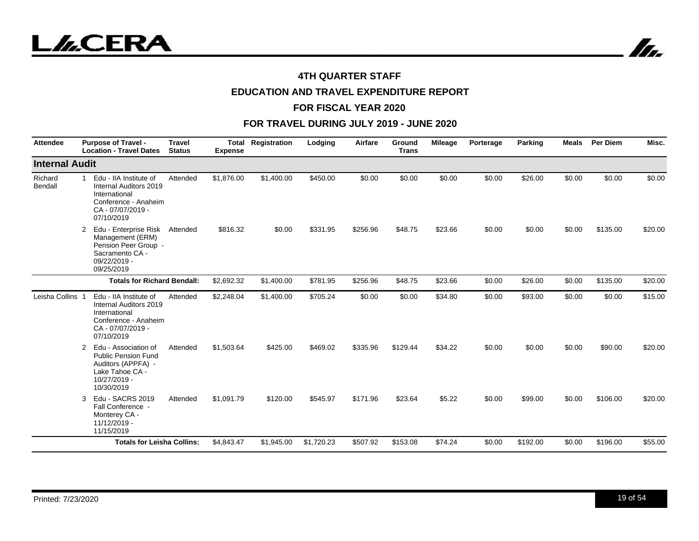



# **EDUCATION AND TRAVEL EXPENDITURE REPORT**

#### **FOR FISCAL YEAR 2020**

| <b>Attendee</b>       | <b>Purpose of Travel -</b><br><b>Location - Travel Dates</b>                                                                              | <b>Travel</b><br><b>Status</b> | Total<br><b>Expense</b> | Registration | Lodging    | Airfare  | Ground<br><b>Trans</b> | <b>Mileage</b> | Porterage | Parking  | Meals  | <b>Per Diem</b> | Misc.   |
|-----------------------|-------------------------------------------------------------------------------------------------------------------------------------------|--------------------------------|-------------------------|--------------|------------|----------|------------------------|----------------|-----------|----------|--------|-----------------|---------|
| <b>Internal Audit</b> |                                                                                                                                           |                                |                         |              |            |          |                        |                |           |          |        |                 |         |
| Richard<br>Bendall    | Edu - IIA Institute of<br>$\mathbf{1}$<br>Internal Auditors 2019<br>International<br>Conference - Anaheim<br>CA-07/07/2019-<br>07/10/2019 | Attended                       | \$1,876.00              | \$1,400.00   | \$450.00   | \$0.00   | \$0.00                 | \$0.00         | \$0.00    | \$26.00  | \$0.00 | \$0.00          | \$0.00  |
|                       | Edu - Enterprise Risk<br>2<br>Management (ERM)<br>Pension Peer Group -<br>Sacramento CA -<br>09/22/2019 -<br>09/25/2019                   | Attended                       | \$816.32                | \$0.00       | \$331.95   | \$256.96 | \$48.75                | \$23.66        | \$0.00    | \$0.00   | \$0.00 | \$135.00        | \$20.00 |
|                       | <b>Totals for Richard Bendall:</b>                                                                                                        |                                | \$2,692.32              | \$1,400.00   | \$781.95   | \$256.96 | \$48.75                | \$23.66        | \$0.00    | \$26.00  | \$0.00 | \$135.00        | \$20.00 |
| Leisha Collins        | Edu - IIA Institute of<br>Internal Auditors 2019<br>International<br>Conference - Anaheim<br>CA - 07/07/2019 -<br>07/10/2019              | Attended                       | \$2,248.04              | \$1,400.00   | \$705.24   | \$0.00   | \$0.00                 | \$34.80        | \$0.00    | \$93.00  | \$0.00 | \$0.00          | \$15.00 |
|                       | 2<br>Edu - Association of<br><b>Public Pension Fund</b><br>Auditors (APPFA) -<br>Lake Tahoe CA -<br>10/27/2019 -<br>10/30/2019            | Attended                       | \$1,503.64              | \$425.00     | \$469.02   | \$335.96 | \$129.44               | \$34.22        | \$0.00    | \$0.00   | \$0.00 | \$90.00         | \$20.00 |
|                       | Edu - SACRS 2019<br>3<br>Fall Conference -<br>Monterey CA -<br>11/12/2019 -<br>11/15/2019                                                 | Attended                       | \$1,091.79              | \$120.00     | \$545.97   | \$171.96 | \$23.64                | \$5.22         | \$0.00    | \$99.00  | \$0.00 | \$106.00        | \$20.00 |
|                       | <b>Totals for Leisha Collins:</b>                                                                                                         |                                | \$4,843.47              | \$1,945.00   | \$1,720.23 | \$507.92 | \$153.08               | \$74.24        | \$0.00    | \$192.00 | \$0.00 | \$196.00        | \$55.00 |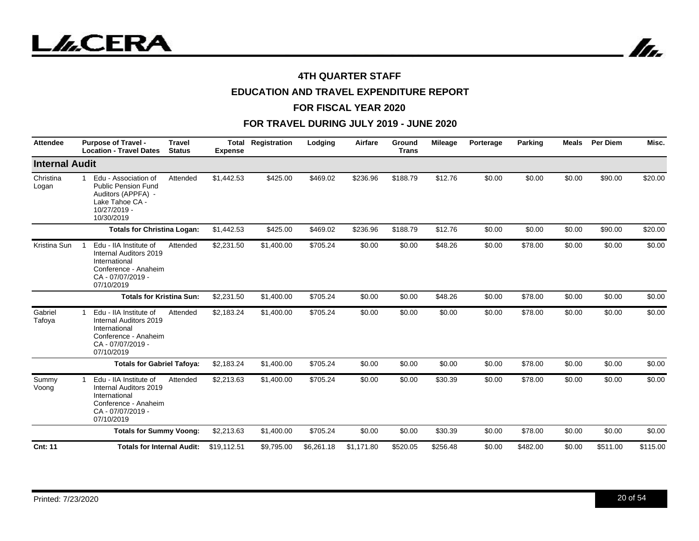



# **EDUCATION AND TRAVEL EXPENDITURE REPORT**

#### **FOR FISCAL YEAR 2020**

| <b>Attendee</b>       | <b>Purpose of Travel -</b><br><b>Location - Travel Dates</b>                                                                              | <b>Travel</b><br><b>Status</b> | Total<br><b>Expense</b> | Registration | Lodging    | Airfare    | Ground<br><b>Trans</b> | <b>Mileage</b> | Porterage | <b>Parking</b> | <b>Meals</b> | Per Diem | Misc.    |
|-----------------------|-------------------------------------------------------------------------------------------------------------------------------------------|--------------------------------|-------------------------|--------------|------------|------------|------------------------|----------------|-----------|----------------|--------------|----------|----------|
| <b>Internal Audit</b> |                                                                                                                                           |                                |                         |              |            |            |                        |                |           |                |              |          |          |
| Christina<br>Logan    | Edu - Association of<br>$\mathbf{1}$<br><b>Public Pension Fund</b><br>Auditors (APPFA) -<br>Lake Tahoe CA -<br>10/27/2019 -<br>10/30/2019 | Attended                       | \$1,442.53              | \$425.00     | \$469.02   | \$236.96   | \$188.79               | \$12.76        | \$0.00    | \$0.00         | \$0.00       | \$90.00  | \$20.00  |
|                       | <b>Totals for Christina Logan:</b>                                                                                                        |                                | \$1,442.53              | \$425.00     | \$469.02   | \$236.96   | \$188.79               | \$12.76        | \$0.00    | \$0.00         | \$0.00       | \$90.00  | \$20.00  |
| Kristina Sun          | Edu - IIA Institute of<br>Internal Auditors 2019<br>International<br>Conference - Anaheim<br>CA-07/07/2019-<br>07/10/2019                 | Attended                       | \$2,231.50              | \$1,400.00   | \$705.24   | \$0.00     | \$0.00                 | \$48.26        | \$0.00    | \$78.00        | \$0.00       | \$0.00   | \$0.00   |
|                       | <b>Totals for Kristina Sun:</b>                                                                                                           |                                | \$2,231.50              | \$1,400.00   | \$705.24   | \$0.00     | \$0.00                 | \$48.26        | \$0.00    | \$78.00        | \$0.00       | \$0.00   | \$0.00   |
| Gabriel<br>Tafoya     | Edu - IIA Institute of<br>$\mathbf 1$<br>Internal Auditors 2019<br>International<br>Conference - Anaheim<br>CA-07/07/2019-<br>07/10/2019  | Attended                       | \$2,183.24              | \$1,400.00   | \$705.24   | \$0.00     | \$0.00                 | \$0.00         | \$0.00    | \$78.00        | \$0.00       | \$0.00   | \$0.00   |
|                       | <b>Totals for Gabriel Tafoya:</b>                                                                                                         |                                | \$2,183.24              | \$1,400.00   | \$705.24   | \$0.00     | \$0.00                 | \$0.00         | \$0.00    | \$78.00        | \$0.00       | \$0.00   | \$0.00   |
| Summy<br>Voong        | Edu - IIA Institute of<br>1<br>Internal Auditors 2019<br>International<br>Conference - Anaheim<br>CA-07/07/2019-<br>07/10/2019            | Attended                       | \$2,213.63              | \$1,400.00   | \$705.24   | \$0.00     | \$0.00                 | \$30.39        | \$0.00    | \$78.00        | \$0.00       | \$0.00   | \$0.00   |
|                       | <b>Totals for Summy Voong:</b>                                                                                                            |                                | \$2,213.63              | \$1,400.00   | \$705.24   | \$0.00     | \$0.00                 | \$30.39        | \$0.00    | \$78.00        | \$0.00       | \$0.00   | \$0.00   |
| <b>Cnt: 11</b>        | <b>Totals for Internal Audit:</b>                                                                                                         |                                | \$19,112.51             | \$9,795.00   | \$6,261.18 | \$1,171.80 | \$520.05               | \$256.48       | \$0.00    | \$482.00       | \$0.00       | \$511.00 | \$115.00 |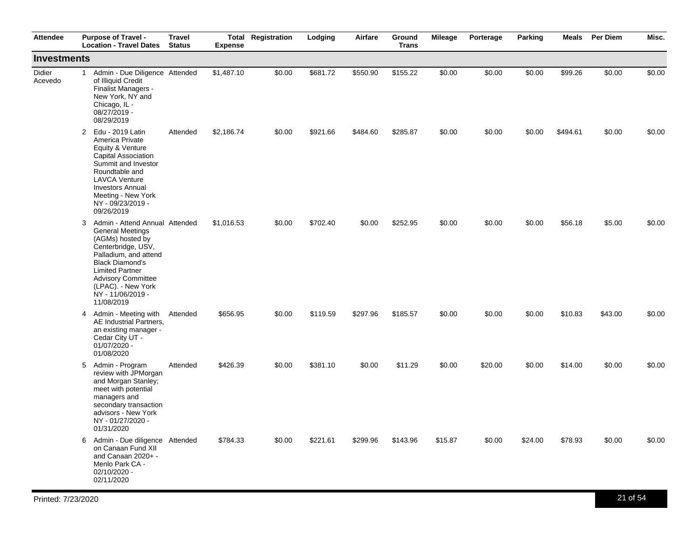| <b>Attendee</b>          |              | <b>Purpose of Travel -</b><br><b>Location - Travel Dates</b>                                                                                                                                                                                                             | <b>Travel</b><br><b>Status</b> | <b>Expense</b> | <b>Total Registration</b> | Lodging  | Airfare  | Ground<br><b>Trans</b> | Mileage | Porterage | Parking | Meals    | <b>Per Diem</b> | Misc.  |
|--------------------------|--------------|--------------------------------------------------------------------------------------------------------------------------------------------------------------------------------------------------------------------------------------------------------------------------|--------------------------------|----------------|---------------------------|----------|----------|------------------------|---------|-----------|---------|----------|-----------------|--------|
| <b>Investments</b>       |              |                                                                                                                                                                                                                                                                          |                                |                |                           |          |          |                        |         |           |         |          |                 |        |
| <b>Didier</b><br>Acevedo | $\mathbf{1}$ | Admin - Due Diligence Attended<br>of Illiquid Credit<br>Finalist Managers -<br>New York, NY and<br>Chicago, IL -<br>08/27/2019 -<br>08/29/2019                                                                                                                           |                                | \$1,487.10     | \$0.00                    | \$681.72 | \$550.90 | \$155.22               | \$0.00  | \$0.00    | \$0.00  | \$99.26  | \$0.00          | \$0.00 |
|                          | $\mathbf{2}$ | Edu - 2019 Latin<br>America Private<br>Equity & Venture<br>Capital Association<br>Summit and Investor<br>Roundtable and<br><b>LAVCA Venture</b><br><b>Investors Annual</b><br>Meeting - New York<br>NY - 09/23/2019 -<br>09/26/2019                                      | Attended                       | \$2,186.74     | \$0.00                    | \$921.66 | \$484.60 | \$285.87               | \$0.00  | \$0.00    | \$0.00  | \$494.61 | \$0.00          | \$0.00 |
|                          |              | 3 Admin - Attend Annual Attended<br><b>General Meetings</b><br>(AGMs) hosted by<br>Centerbridge, USV,<br>Palladium, and attend<br><b>Black Diamond's</b><br><b>Limited Partner</b><br><b>Advisory Committee</b><br>(LPAC). - New York<br>NY - 11/06/2019 -<br>11/08/2019 |                                | \$1,016.53     | \$0.00                    | \$702.40 | \$0.00   | \$252.95               | \$0.00  | \$0.00    | \$0.00  | \$56.18  | \$5.00          | \$0.00 |
|                          |              | 4 Admin - Meeting with<br>AE Industrial Partners,<br>an existing manager -<br>Cedar City UT -<br>01/07/2020 -<br>01/08/2020                                                                                                                                              | Attended                       | \$656.95       | \$0.00                    | \$119.59 | \$297.96 | \$185.57               | \$0.00  | \$0.00    | \$0.00  | \$10.83  | \$43.00         | \$0.00 |
|                          |              | 5 Admin - Program<br>review with JPMorgan<br>and Morgan Stanley;<br>meet with potential<br>managers and<br>secondary transaction<br>advisors - New York<br>NY - 01/27/2020 -<br>01/31/2020                                                                               | Attended                       | \$426.39       | \$0.00                    | \$381.10 | \$0.00   | \$11.29                | \$0.00  | \$20.00   | \$0.00  | \$14.00  | \$0.00          | \$0.00 |
|                          |              | 6 Admin - Due diligence Attended<br>on Canaan Fund XII<br>and Canaan 2020+ -<br>Menlo Park CA -<br>02/10/2020 -<br>02/11/2020                                                                                                                                            |                                | \$784.33       | \$0.00                    | \$221.61 | \$299.96 | \$143.96               | \$15.87 | \$0.00    | \$24.00 | \$78.93  | \$0.00          | \$0.00 |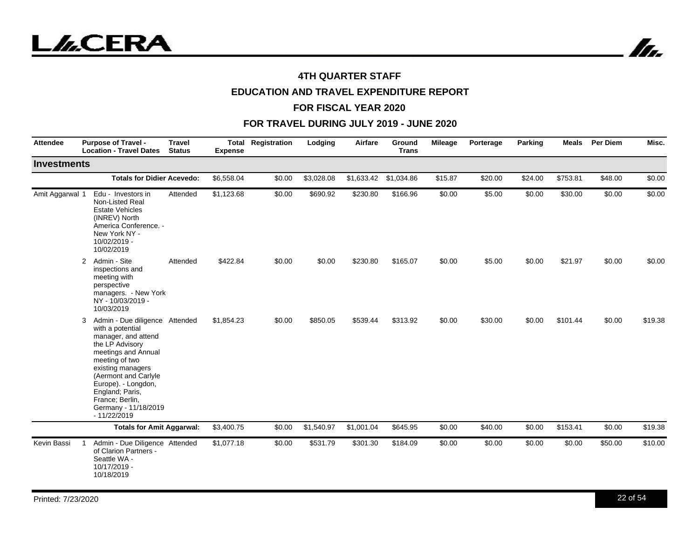

# **EDUCATION AND TRAVEL EXPENDITURE REPORT**

#### **FOR FISCAL YEAR 2020**

| <b>Attendee</b>    | <b>Purpose of Travel -</b><br><b>Location - Travel Dates</b>                                                                                                                                                                                                                                  | <b>Travel</b><br><b>Status</b> | <b>Expense</b> | <b>Total Registration</b> | Lodging    | Airfare    | Ground<br><b>Trans</b> | <b>Mileage</b> | Porterage | Parking | <b>Meals</b> | Per Diem | Misc.   |
|--------------------|-----------------------------------------------------------------------------------------------------------------------------------------------------------------------------------------------------------------------------------------------------------------------------------------------|--------------------------------|----------------|---------------------------|------------|------------|------------------------|----------------|-----------|---------|--------------|----------|---------|
| <b>Investments</b> |                                                                                                                                                                                                                                                                                               |                                |                |                           |            |            |                        |                |           |         |              |          |         |
|                    | <b>Totals for Didier Acevedo:</b>                                                                                                                                                                                                                                                             |                                | \$6,558.04     | \$0.00                    | \$3,028.08 | \$1,633.42 | \$1,034.86             | \$15.87        | \$20.00   | \$24.00 | \$753.81     | \$48.00  | \$0.00  |
| Amit Aggarwal 1    | Edu - Investors in<br>Non-Listed Real<br><b>Estate Vehicles</b><br>(INREV) North<br>America Conference. -<br>New York NY -<br>10/02/2019 -<br>10/02/2019                                                                                                                                      | Attended                       | \$1,123.68     | \$0.00                    | \$690.92   | \$230.80   | \$166.96               | \$0.00         | \$5.00    | \$0.00  | \$30.00      | \$0.00   | \$0.00  |
|                    | Admin - Site<br>$\overline{2}$<br>inspections and<br>meeting with<br>perspective<br>managers. - New York<br>NY - 10/03/2019 -<br>10/03/2019                                                                                                                                                   | Attended                       | \$422.84       | \$0.00                    | \$0.00     | \$230.80   | \$165.07               | \$0.00         | \$5.00    | \$0.00  | \$21.97      | \$0.00   | \$0.00  |
|                    | Admin - Due diligence Attended<br>3<br>with a potential<br>manager, and attend<br>the LP Advisory<br>meetings and Annual<br>meeting of two<br>existing managers<br>(Aermont and Carlyle<br>Europe). - Longdon,<br>England; Paris,<br>France; Berlin,<br>Germany - 11/18/2019<br>$-11/22/2019$ |                                | \$1,854.23     | \$0.00                    | \$850.05   | \$539.44   | \$313.92               | \$0.00         | \$30.00   | \$0.00  | \$101.44     | \$0.00   | \$19.38 |
|                    | <b>Totals for Amit Aggarwal:</b>                                                                                                                                                                                                                                                              |                                | \$3,400.75     | \$0.00                    | \$1,540.97 | \$1,001.04 | \$645.95               | \$0.00         | \$40.00   | \$0.00  | \$153.41     | \$0.00   | \$19.38 |
| Kevin Bassi        | Admin - Due Diligence Attended<br>1<br>of Clarion Partners -<br>Seattle WA -<br>10/17/2019 -<br>10/18/2019                                                                                                                                                                                    |                                | \$1,077.18     | \$0.00                    | \$531.79   | \$301.30   | \$184.09               | \$0.00         | \$0.00    | \$0.00  | \$0.00       | \$50.00  | \$10.00 |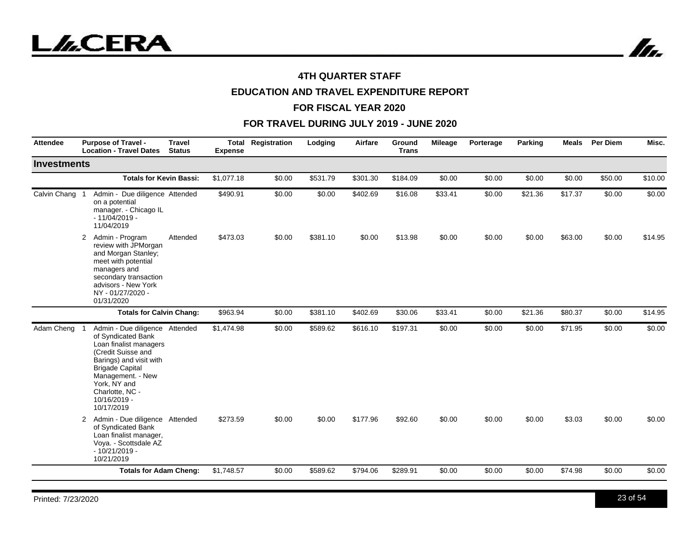In.

## **4TH QUARTER STAFF**

# **EDUCATION AND TRAVEL EXPENDITURE REPORT**

#### **FOR FISCAL YEAR 2020**

| <b>Attendee</b>    | <b>Purpose of Travel -</b><br><b>Location - Travel Dates</b>                                                                                                                                                                                    | <b>Travel</b><br><b>Status</b> | Total<br><b>Expense</b> | Registration | Lodging  | Airfare  | Ground<br><b>Trans</b> | Mileage | Porterage | Parking | Meals   | <b>Per Diem</b> | Misc.   |
|--------------------|-------------------------------------------------------------------------------------------------------------------------------------------------------------------------------------------------------------------------------------------------|--------------------------------|-------------------------|--------------|----------|----------|------------------------|---------|-----------|---------|---------|-----------------|---------|
| <b>Investments</b> |                                                                                                                                                                                                                                                 |                                |                         |              |          |          |                        |         |           |         |         |                 |         |
|                    | <b>Totals for Kevin Bassi:</b>                                                                                                                                                                                                                  |                                | \$1,077.18              | \$0.00       | \$531.79 | \$301.30 | \$184.09               | \$0.00  | \$0.00    | \$0.00  | \$0.00  | \$50.00         | \$10.00 |
| Calvin Chang       | Admin - Due diligence Attended<br>on a potential<br>manager. - Chicago IL<br>$-11/04/2019 -$<br>11/04/2019                                                                                                                                      |                                | \$490.91                | \$0.00       | \$0.00   | \$402.69 | \$16.08                | \$33.41 | \$0.00    | \$21.36 | \$17.37 | \$0.00          | \$0.00  |
|                    | Admin - Program<br>$\overline{2}$<br>review with JPMorgan<br>and Morgan Stanley;<br>meet with potential<br>managers and<br>secondary transaction<br>advisors - New York<br>NY - 01/27/2020 -<br>01/31/2020                                      | Attended                       | \$473.03                | \$0.00       | \$381.10 | \$0.00   | \$13.98                | \$0.00  | \$0.00    | \$0.00  | \$63.00 | \$0.00          | \$14.95 |
|                    | <b>Totals for Calvin Chang:</b>                                                                                                                                                                                                                 |                                | \$963.94                | \$0.00       | \$381.10 | \$402.69 | \$30.06                | \$33.41 | \$0.00    | \$21.36 | \$80.37 | \$0.00          | \$14.95 |
| Adam Cheng 1       | Admin - Due diligence Attended<br>of Syndicated Bank<br>Loan finalist managers<br>(Credit Suisse and<br>Barings) and visit with<br><b>Brigade Capital</b><br>Management. - New<br>York, NY and<br>Charlotte, NC -<br>10/16/2019 -<br>10/17/2019 |                                | \$1,474.98              | \$0.00       | \$589.62 | \$616.10 | \$197.31               | \$0.00  | \$0.00    | \$0.00  | \$71.95 | \$0.00          | \$0.00  |
|                    | 2 Admin - Due diligence Attended<br>of Syndicated Bank<br>Loan finalist manager,<br>Voya. - Scottsdale AZ<br>$-10/21/2019 -$<br>10/21/2019                                                                                                      |                                | \$273.59                | \$0.00       | \$0.00   | \$177.96 | \$92.60                | \$0.00  | \$0.00    | \$0.00  | \$3.03  | \$0.00          | \$0.00  |
|                    | <b>Totals for Adam Cheng:</b>                                                                                                                                                                                                                   |                                | \$1,748.57              | \$0.00       | \$589.62 | \$794.06 | \$289.91               | \$0.00  | \$0.00    | \$0.00  | \$74.98 | \$0.00          | \$0.00  |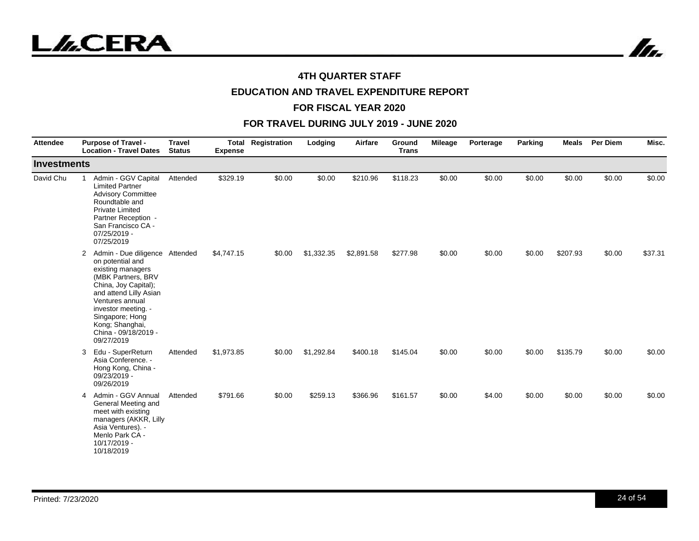



# **EDUCATION AND TRAVEL EXPENDITURE REPORT**

#### **FOR FISCAL YEAR 2020**

| <b>Attendee</b>    | <b>Purpose of Travel -</b><br><b>Location - Travel Dates</b>                                                                                                                                                                                                               | <b>Travel</b><br><b>Status</b> | Total<br><b>Expense</b> | Registration | Lodging    | Airfare    | Ground<br><b>Trans</b> | <b>Mileage</b> | Porterage | Parking | Meals    | Per Diem | Misc.   |
|--------------------|----------------------------------------------------------------------------------------------------------------------------------------------------------------------------------------------------------------------------------------------------------------------------|--------------------------------|-------------------------|--------------|------------|------------|------------------------|----------------|-----------|---------|----------|----------|---------|
| <b>Investments</b> |                                                                                                                                                                                                                                                                            |                                |                         |              |            |            |                        |                |           |         |          |          |         |
| David Chu          | Admin - GGV Capital<br><b>Limited Partner</b><br><b>Advisory Committee</b><br>Roundtable and<br><b>Private Limited</b><br>Partner Reception -<br>San Francisco CA -<br>07/25/2019 -<br>07/25/2019                                                                          | Attended                       | \$329.19                | \$0.00       | \$0.00     | \$210.96   | \$118.23               | \$0.00         | \$0.00    | \$0.00  | \$0.00   | \$0.00   | \$0.00  |
|                    | Admin - Due diligence Attended<br>2<br>on potential and<br>existing managers<br>(MBK Partners, BRV<br>China, Joy Capital);<br>and attend Lilly Asian<br>Ventures annual<br>investor meeting. -<br>Singapore; Hong<br>Kong; Shanghai,<br>China - 09/18/2019 -<br>09/27/2019 |                                | \$4,747.15              | \$0.00       | \$1,332.35 | \$2,891.58 | \$277.98               | \$0.00         | \$0.00    | \$0.00  | \$207.93 | \$0.00   | \$37.31 |
|                    | Edu - SuperReturn<br>3<br>Asia Conference. -<br>Hong Kong, China -<br>09/23/2019 -<br>09/26/2019                                                                                                                                                                           | Attended                       | \$1,973.85              | \$0.00       | \$1,292.84 | \$400.18   | \$145.04               | \$0.00         | \$0.00    | \$0.00  | \$135.79 | \$0.00   | \$0.00  |
|                    | Admin - GGV Annual<br>4<br>General Meeting and<br>meet with existing<br>managers (AKKR, Lilly<br>Asia Ventures). -<br>Menlo Park CA -<br>10/17/2019 -<br>10/18/2019                                                                                                        | Attended                       | \$791.66                | \$0.00       | \$259.13   | \$366.96   | \$161.57               | \$0.00         | \$4.00    | \$0.00  | \$0.00   | \$0.00   | \$0.00  |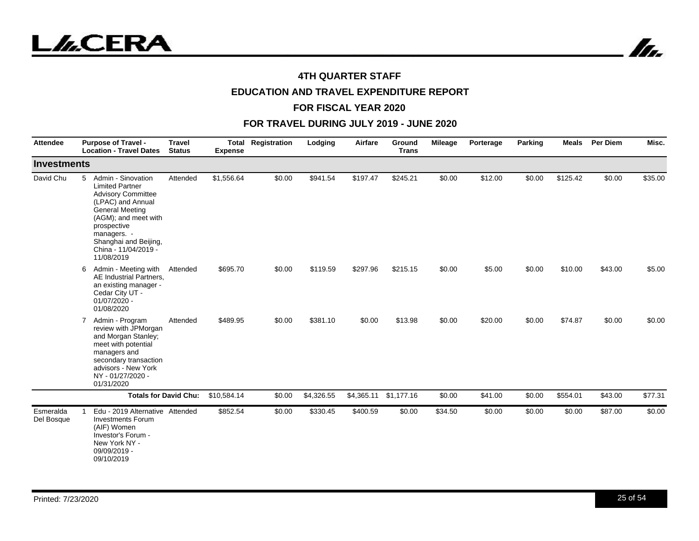



# **EDUCATION AND TRAVEL EXPENDITURE REPORT**

#### **FOR FISCAL YEAR 2020**

| <b>Attendee</b>         | <b>Purpose of Travel -</b><br><b>Location - Travel Dates</b>                                                                                                                                                                                       | <b>Travel</b><br><b>Status</b> | <b>Expense</b> | <b>Total Registration</b> | Lodging    | Airfare    | Ground<br><b>Trans</b> | <b>Mileage</b> | Porterage | Parking | <b>Meals</b> | <b>Per Diem</b> | Misc.   |
|-------------------------|----------------------------------------------------------------------------------------------------------------------------------------------------------------------------------------------------------------------------------------------------|--------------------------------|----------------|---------------------------|------------|------------|------------------------|----------------|-----------|---------|--------------|-----------------|---------|
| <b>Investments</b>      |                                                                                                                                                                                                                                                    |                                |                |                           |            |            |                        |                |           |         |              |                 |         |
| David Chu               | Admin - Sinovation<br>5<br><b>Limited Partner</b><br><b>Advisory Committee</b><br>(LPAC) and Annual<br><b>General Meeting</b><br>(AGM); and meet with<br>prospective<br>managers. -<br>Shanghai and Beijing,<br>China - 11/04/2019 -<br>11/08/2019 | Attended                       | \$1,556.64     | \$0.00                    | \$941.54   | \$197.47   | \$245.21               | \$0.00         | \$12.00   | \$0.00  | \$125.42     | \$0.00          | \$35.00 |
|                         | Admin - Meeting with<br>6<br>AE Industrial Partners,<br>an existing manager -<br>Cedar City UT -<br>01/07/2020 -<br>01/08/2020                                                                                                                     | Attended                       | \$695.70       | \$0.00                    | \$119.59   | \$297.96   | \$215.15               | \$0.00         | \$5.00    | \$0.00  | \$10.00      | \$43.00         | \$5.00  |
|                         | Admin - Program<br>$\mathbf{7}$<br>review with JPMorgan<br>and Morgan Stanley;<br>meet with potential<br>managers and<br>secondary transaction<br>advisors - New York<br>NY - 01/27/2020 -<br>01/31/2020                                           | Attended                       | \$489.95       | \$0.00                    | \$381.10   | \$0.00     | \$13.98                | \$0.00         | \$20.00   | \$0.00  | \$74.87      | \$0.00          | \$0.00  |
|                         |                                                                                                                                                                                                                                                    | <b>Totals for David Chu:</b>   | \$10,584.14    | \$0.00                    | \$4,326.55 | \$4,365.11 | \$1,177.16             | \$0.00         | \$41.00   | \$0.00  | \$554.01     | \$43.00         | \$77.31 |
| Esmeralda<br>Del Bosque | Edu - 2019 Alternative Attended<br><b>Investments Forum</b><br>(AIF) Women<br>Investor's Forum -<br>New York NY -<br>09/09/2019 -<br>09/10/2019                                                                                                    |                                | \$852.54       | \$0.00                    | \$330.45   | \$400.59   | \$0.00                 | \$34.50        | \$0.00    | \$0.00  | \$0.00       | \$87.00         | \$0.00  |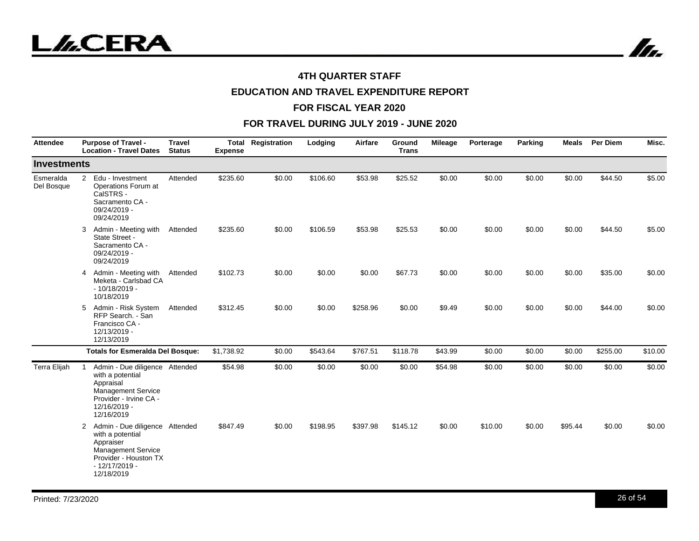

In.

## **4TH QUARTER STAFF**

# **EDUCATION AND TRAVEL EXPENDITURE REPORT**

#### **FOR FISCAL YEAR 2020**

| <b>Attendee</b>         | <b>Purpose of Travel -</b><br><b>Location - Travel Dates</b>                                                                                             | <b>Travel</b><br><b>Status</b> | <b>Expense</b> | <b>Total Registration</b> | Lodging  | Airfare  | Ground<br><b>Trans</b> | <b>Mileage</b> | Porterage | Parking | Meals   | <b>Per Diem</b> | Misc.   |
|-------------------------|----------------------------------------------------------------------------------------------------------------------------------------------------------|--------------------------------|----------------|---------------------------|----------|----------|------------------------|----------------|-----------|---------|---------|-----------------|---------|
| Investments             |                                                                                                                                                          |                                |                |                           |          |          |                        |                |           |         |         |                 |         |
| Esmeralda<br>Del Bosque | 2 Edu - Investment<br>Operations Forum at<br>CalSTRS -<br>Sacramento CA -<br>09/24/2019 -<br>09/24/2019                                                  | Attended                       | \$235.60       | \$0.00                    | \$106.60 | \$53.98  | \$25.52                | \$0.00         | \$0.00    | \$0.00  | \$0.00  | \$44.50         | \$5.00  |
|                         | Admin - Meeting with<br>3<br>State Street -<br>Sacramento CA -<br>09/24/2019 -<br>09/24/2019                                                             | Attended                       | \$235.60       | \$0.00                    | \$106.59 | \$53.98  | \$25.53                | \$0.00         | \$0.00    | \$0.00  | \$0.00  | \$44.50         | \$5.00  |
|                         | Admin - Meeting with<br>4<br>Meketa - Carlsbad CA<br>$-10/18/2019 -$<br>10/18/2019                                                                       | Attended                       | \$102.73       | \$0.00                    | \$0.00   | \$0.00   | \$67.73                | \$0.00         | \$0.00    | \$0.00  | \$0.00  | \$35.00         | \$0.00  |
|                         | Admin - Risk System<br>5<br>RFP Search. - San<br>Francisco CA -<br>12/13/2019 -<br>12/13/2019                                                            | Attended                       | \$312.45       | \$0.00                    | \$0.00   | \$258.96 | \$0.00                 | \$9.49         | \$0.00    | \$0.00  | \$0.00  | \$44.00         | \$0.00  |
|                         | <b>Totals for Esmeralda Del Bosque:</b>                                                                                                                  |                                | \$1,738.92     | \$0.00                    | \$543.64 | \$767.51 | \$118.78               | \$43.99        | \$0.00    | \$0.00  | \$0.00  | \$255.00        | \$10.00 |
| Terra Elijah            | Admin - Due diligence Attended<br>with a potential<br>Appraisal<br><b>Management Service</b><br>Provider - Irvine CA -<br>12/16/2019 -<br>12/16/2019     |                                | \$54.98        | \$0.00                    | \$0.00   | \$0.00   | \$0.00                 | \$54.98        | \$0.00    | \$0.00  | \$0.00  | \$0.00          | \$0.00  |
|                         | 2 Admin - Due diligence Attended<br>with a potential<br>Appraiser<br><b>Management Service</b><br>Provider - Houston TX<br>$-12/17/2019 -$<br>12/18/2019 |                                | \$847.49       | \$0.00                    | \$198.95 | \$397.98 | \$145.12               | \$0.00         | \$10.00   | \$0.00  | \$95.44 | \$0.00          | \$0.00  |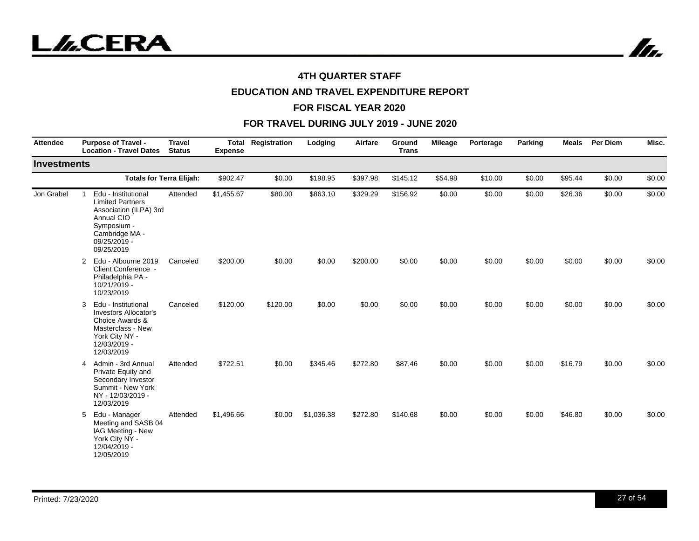

# **EDUCATION AND TRAVEL EXPENDITURE REPORT**

#### **FOR FISCAL YEAR 2020**

| <b>Attendee</b>    | <b>Purpose of Travel -</b><br><b>Location - Travel Dates</b>                                                                                          | <b>Travel</b><br><b>Status</b> | Total<br><b>Expense</b> | Registration | Lodging    | Airfare  | Ground<br><b>Trans</b> | <b>Mileage</b> | Porterage | <b>Parking</b> | <b>Meals</b> | Per Diem | Misc.  |
|--------------------|-------------------------------------------------------------------------------------------------------------------------------------------------------|--------------------------------|-------------------------|--------------|------------|----------|------------------------|----------------|-----------|----------------|--------------|----------|--------|
| <b>Investments</b> |                                                                                                                                                       |                                |                         |              |            |          |                        |                |           |                |              |          |        |
|                    | <b>Totals for Terra Elijah:</b>                                                                                                                       |                                | \$902.47                | \$0.00       | \$198.95   | \$397.98 | \$145.12               | \$54.98        | \$10.00   | \$0.00         | \$95.44      | \$0.00   | \$0.00 |
| Jon Grabel         | Edu - Institutional<br><b>Limited Partners</b><br>Association (ILPA) 3rd<br>Annual CIO<br>Symposium -<br>Cambridge MA -<br>09/25/2019 -<br>09/25/2019 | Attended                       | \$1,455.67              | \$80.00      | \$863.10   | \$329.29 | \$156.92               | \$0.00         | \$0.00    | \$0.00         | \$26.36      | \$0.00   | \$0.00 |
|                    | Edu - Albourne 2019<br>$\overline{2}$<br>Client Conference -<br>Philadelphia PA -<br>10/21/2019 -<br>10/23/2019                                       | Canceled                       | \$200.00                | \$0.00       | \$0.00     | \$200.00 | \$0.00                 | \$0.00         | \$0.00    | \$0.00         | \$0.00       | \$0.00   | \$0.00 |
|                    | 3<br>Edu - Institutional<br><b>Investors Allocator's</b><br>Choice Awards &<br>Masterclass - New<br>York City NY -<br>12/03/2019 -<br>12/03/2019      | Canceled                       | \$120.00                | \$120.00     | \$0.00     | \$0.00   | \$0.00                 | \$0.00         | \$0.00    | \$0.00         | \$0.00       | \$0.00   | \$0.00 |
|                    | Admin - 3rd Annual<br>4<br>Private Equity and<br>Secondary Investor<br>Summit - New York<br>NY - 12/03/2019 -<br>12/03/2019                           | Attended                       | \$722.51                | \$0.00       | \$345.46   | \$272.80 | \$87.46                | \$0.00         | \$0.00    | \$0.00         | \$16.79      | \$0.00   | \$0.00 |
|                    | Edu - Manager<br>5<br>Meeting and SASB 04<br>IAG Meeting - New<br>York City NY -<br>12/04/2019 -<br>12/05/2019                                        | Attended                       | \$1,496.66              | \$0.00       | \$1,036.38 | \$272.80 | \$140.68               | \$0.00         | \$0.00    | \$0.00         | \$46.80      | \$0.00   | \$0.00 |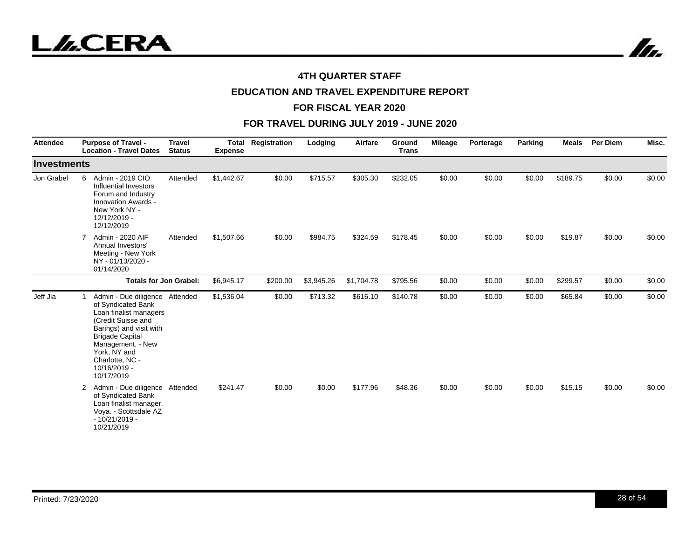



# **EDUCATION AND TRAVEL EXPENDITURE REPORT**

#### **FOR FISCAL YEAR 2020**

| <b>Attendee</b>    | <b>Purpose of Travel -</b><br><b>Location - Travel Dates</b>                                                                                                                                                                                    | <b>Travel</b><br><b>Status</b> | Total<br><b>Expense</b> | Registration | Lodging    | Airfare    | Ground<br><b>Trans</b> | <b>Mileage</b> | Porterage | Parking | <b>Meals</b> | <b>Per Diem</b> | Misc.  |
|--------------------|-------------------------------------------------------------------------------------------------------------------------------------------------------------------------------------------------------------------------------------------------|--------------------------------|-------------------------|--------------|------------|------------|------------------------|----------------|-----------|---------|--------------|-----------------|--------|
| <b>Investments</b> |                                                                                                                                                                                                                                                 |                                |                         |              |            |            |                        |                |           |         |              |                 |        |
| Jon Grabel         | Admin - 2019 CIO<br>6<br>Influential Investors<br>Forum and Industry<br>Innovation Awards -<br>New York NY -<br>12/12/2019 -<br>12/12/2019                                                                                                      | Attended                       | \$1,442.67              | \$0.00       | \$715.57   | \$305.30   | \$232.05               | \$0.00         | \$0.00    | \$0.00  | \$189.75     | \$0.00          | \$0.00 |
|                    | Admin - 2020 AIF<br>7<br>Annual Investors'<br>Meeting - New York<br>NY - 01/13/2020 -<br>01/14/2020                                                                                                                                             | Attended                       | \$1,507.66              | \$0.00       | \$984.75   | \$324.59   | \$178.45               | \$0.00         | \$0.00    | \$0.00  | \$19.87      | \$0.00          | \$0.00 |
|                    | <b>Totals for Jon Grabel:</b>                                                                                                                                                                                                                   |                                | \$6,945.17              | \$200.00     | \$3,945.26 | \$1,704.78 | \$795.56               | \$0.00         | \$0.00    | \$0.00  | \$299.57     | \$0.00          | \$0.00 |
| Jeff Jia           | Admin - Due diligence Attended<br>of Syndicated Bank<br>Loan finalist managers<br>(Credit Suisse and<br>Barings) and visit with<br><b>Brigade Capital</b><br>Management. - New<br>York, NY and<br>Charlotte, NC -<br>10/16/2019 -<br>10/17/2019 |                                | \$1,536.04              | \$0.00       | \$713.32   | \$616.10   | \$140.78               | \$0.00         | \$0.00    | \$0.00  | \$65.84      | \$0.00          | \$0.00 |
|                    | Admin - Due diligence Attended<br>$\mathbf{2}$<br>of Syndicated Bank<br>Loan finalist manager,<br>Voya. - Scottsdale AZ<br>$-10/21/2019 -$<br>10/21/2019                                                                                        |                                | \$241.47                | \$0.00       | \$0.00     | \$177.96   | \$48.36                | \$0.00         | \$0.00    | \$0.00  | \$15.15      | \$0.00          | \$0.00 |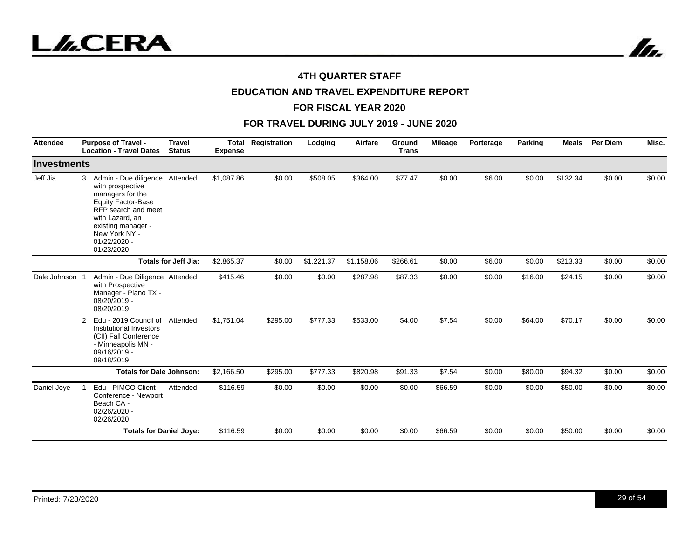



# **EDUCATION AND TRAVEL EXPENDITURE REPORT**

#### **FOR FISCAL YEAR 2020**

| <b>Attendee</b>    | <b>Travel</b><br><b>Purpose of Travel -</b><br><b>Location - Travel Dates</b><br><b>Status</b>                                                                                                                            | <b>Expense</b> | <b>Total Registration</b> | Lodging    | Airfare    | Ground<br><b>Trans</b> | Mileage | Porterage | Parking | <b>Meals</b> | <b>Per Diem</b> | Misc.  |
|--------------------|---------------------------------------------------------------------------------------------------------------------------------------------------------------------------------------------------------------------------|----------------|---------------------------|------------|------------|------------------------|---------|-----------|---------|--------------|-----------------|--------|
| <b>Investments</b> |                                                                                                                                                                                                                           |                |                           |            |            |                        |         |           |         |              |                 |        |
| Jeff Jia           | Admin - Due diligence Attended<br>3<br>with prospective<br>managers for the<br><b>Equity Factor-Base</b><br>RFP search and meet<br>with Lazard, an<br>existing manager -<br>New York NY -<br>$01/22/2020 -$<br>01/23/2020 | \$1,087.86     | \$0.00                    | \$508.05   | \$364.00   | \$77.47                | \$0.00  | \$6.00    | \$0.00  | \$132.34     | \$0.00          | \$0.00 |
|                    | <b>Totals for Jeff Jia:</b>                                                                                                                                                                                               | \$2,865.37     | \$0.00                    | \$1,221.37 | \$1,158.06 | \$266.61               | \$0.00  | \$6.00    | \$0.00  | \$213.33     | \$0.00          | \$0.00 |
| Dale Johnson       | Admin - Due Diligence Attended<br>with Prospective<br>Manager - Plano TX -<br>08/20/2019 -<br>08/20/2019                                                                                                                  | \$415.46       | \$0.00                    | \$0.00     | \$287.98   | \$87.33                | \$0.00  | \$0.00    | \$16.00 | \$24.15      | \$0.00          | \$0.00 |
|                    | Edu - 2019 Council of Attended<br>2<br>Institutional Investors<br>(CII) Fall Conference<br>- Minneapolis MN -<br>09/16/2019 -<br>09/18/2019                                                                               | \$1,751.04     | \$295.00                  | \$777.33   | \$533.00   | \$4.00                 | \$7.54  | \$0.00    | \$64.00 | \$70.17      | \$0.00          | \$0.00 |
|                    | <b>Totals for Dale Johnson:</b>                                                                                                                                                                                           | \$2,166.50     | \$295.00                  | \$777.33   | \$820.98   | \$91.33                | \$7.54  | \$0.00    | \$80.00 | \$94.32      | \$0.00          | \$0.00 |
| Daniel Joye        | Edu - PIMCO Client<br>Attended<br>Conference - Newport<br>Beach CA -<br>02/26/2020 -<br>02/26/2020                                                                                                                        | \$116.59       | \$0.00                    | \$0.00     | \$0.00     | \$0.00                 | \$66.59 | \$0.00    | \$0.00  | \$50.00      | \$0.00          | \$0.00 |
|                    | <b>Totals for Daniel Joye:</b>                                                                                                                                                                                            | \$116.59       | \$0.00                    | \$0.00     | \$0.00     | \$0.00                 | \$66.59 | \$0.00    | \$0.00  | \$50.00      | \$0.00          | \$0.00 |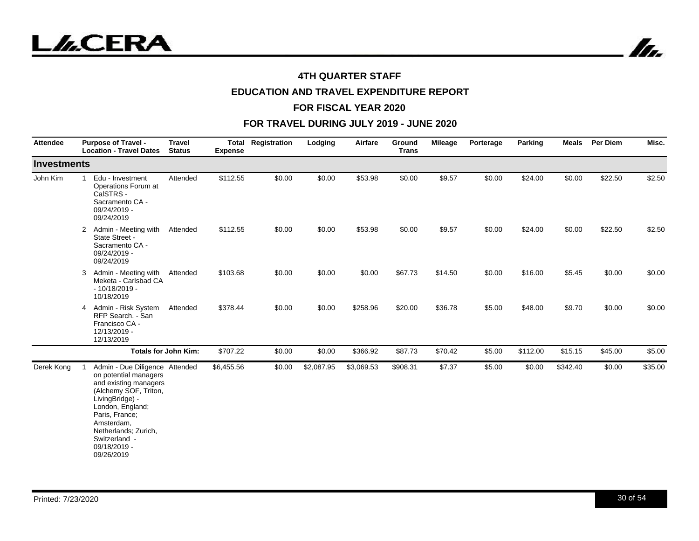

In.

## **4TH QUARTER STAFF**

# **EDUCATION AND TRAVEL EXPENDITURE REPORT**

#### **FOR FISCAL YEAR 2020**

| <b>Attendee</b> | <b>Purpose of Travel -</b><br><b>Location - Travel Dates</b>                                                                                                                                                                                            | <b>Travel</b><br><b>Status</b> | <b>Expense</b> | <b>Total Registration</b> | Lodging    | Airfare    | Ground<br><b>Trans</b> | Mileage | Porterage | Parking  | Meals    | <b>Per Diem</b> | Misc.   |
|-----------------|---------------------------------------------------------------------------------------------------------------------------------------------------------------------------------------------------------------------------------------------------------|--------------------------------|----------------|---------------------------|------------|------------|------------------------|---------|-----------|----------|----------|-----------------|---------|
| Investments     |                                                                                                                                                                                                                                                         |                                |                |                           |            |            |                        |         |           |          |          |                 |         |
| John Kim        | Edu - Investment<br>$\mathbf{1}$<br>Operations Forum at<br>CalSTRS -<br>Sacramento CA -<br>09/24/2019 -<br>09/24/2019                                                                                                                                   | Attended                       | \$112.55       | \$0.00                    | \$0.00     | \$53.98    | \$0.00                 | \$9.57  | \$0.00    | \$24.00  | \$0.00   | \$22.50         | \$2.50  |
|                 | Admin - Meeting with<br>2<br>State Street -<br>Sacramento CA -<br>09/24/2019 -<br>09/24/2019                                                                                                                                                            | Attended                       | \$112.55       | \$0.00                    | \$0.00     | \$53.98    | \$0.00                 | \$9.57  | \$0.00    | \$24.00  | \$0.00   | \$22.50         | \$2.50  |
|                 | Admin - Meeting with<br>3<br>Meketa - Carlsbad CA<br>$-10/18/2019 -$<br>10/18/2019                                                                                                                                                                      | Attended                       | \$103.68       | \$0.00                    | \$0.00     | \$0.00     | \$67.73                | \$14.50 | \$0.00    | \$16.00  | \$5.45   | \$0.00          | \$0.00  |
|                 | Admin - Risk System<br>4<br>RFP Search. - San<br>Francisco CA -<br>12/13/2019 -<br>12/13/2019                                                                                                                                                           | Attended                       | \$378.44       | \$0.00                    | \$0.00     | \$258.96   | \$20.00                | \$36.78 | \$5.00    | \$48.00  | \$9.70   | \$0.00          | \$0.00  |
|                 |                                                                                                                                                                                                                                                         | <b>Totals for John Kim:</b>    | \$707.22       | \$0.00                    | \$0.00     | \$366.92   | \$87.73                | \$70.42 | \$5.00    | \$112.00 | \$15.15  | \$45.00         | \$5.00  |
| Derek Kong      | Admin - Due Diligence Attended<br>on potential managers<br>and existing managers<br>(Alchemy SOF, Triton,<br>LivingBridge) -<br>London, England;<br>Paris, France;<br>Amsterdam,<br>Netherlands; Zurich,<br>Switzerland -<br>09/18/2019 -<br>09/26/2019 |                                | \$6,455.56     | \$0.00                    | \$2,087.95 | \$3,069.53 | \$908.31               | \$7.37  | \$5.00    | \$0.00   | \$342.40 | \$0.00          | \$35.00 |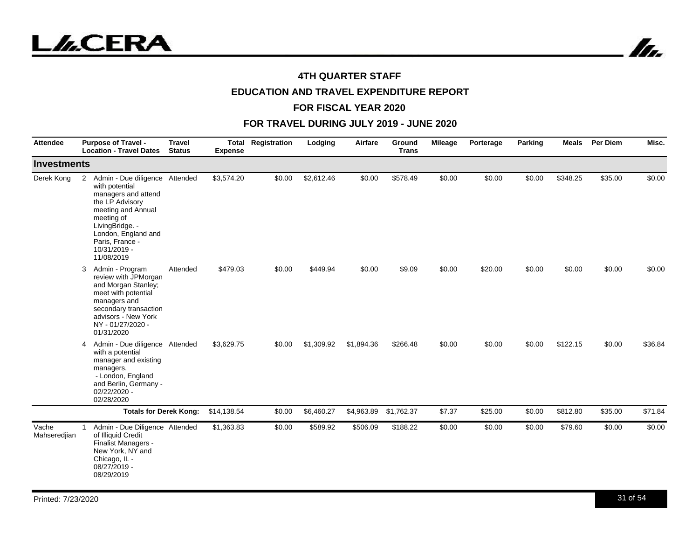



# **EDUCATION AND TRAVEL EXPENDITURE REPORT**

#### **FOR FISCAL YEAR 2020**

| <b>Attendee</b>       | <b>Purpose of Travel -</b><br><b>Location - Travel Dates</b>                                                                                                                                                                   | <b>Travel</b><br><b>Status</b> | Total<br><b>Expense</b> | Registration | Lodging    | Airfare    | Ground<br><b>Trans</b> | Mileage | Porterage | Parking | <b>Meals</b> | Per Diem | Misc.   |
|-----------------------|--------------------------------------------------------------------------------------------------------------------------------------------------------------------------------------------------------------------------------|--------------------------------|-------------------------|--------------|------------|------------|------------------------|---------|-----------|---------|--------------|----------|---------|
| <b>Investments</b>    |                                                                                                                                                                                                                                |                                |                         |              |            |            |                        |         |           |         |              |          |         |
| Derek Kong            | Admin - Due diligence Attended<br>2<br>with potential<br>managers and attend<br>the LP Advisory<br>meeting and Annual<br>meeting of<br>LivingBridge. -<br>London, England and<br>Paris, France -<br>10/31/2019 -<br>11/08/2019 |                                | \$3,574.20              | \$0.00       | \$2,612.46 | \$0.00     | \$578.49               | \$0.00  | \$0.00    | \$0.00  | \$348.25     | \$35.00  | \$0.00  |
|                       | Admin - Program<br>3<br>review with JPMorgan<br>and Morgan Stanley;<br>meet with potential<br>managers and<br>secondary transaction<br>advisors - New York<br>NY - 01/27/2020 -<br>01/31/2020                                  | Attended                       | \$479.03                | \$0.00       | \$449.94   | \$0.00     | \$9.09                 | \$0.00  | \$20.00   | \$0.00  | \$0.00       | \$0.00   | \$0.00  |
|                       | Admin - Due diligence Attended<br>4<br>with a potential<br>manager and existing<br>managers.<br>- London, England<br>and Berlin, Germany -<br>02/22/2020 -<br>02/28/2020                                                       |                                | \$3,629.75              | \$0.00       | \$1,309.92 | \$1,894.36 | \$266.48               | \$0.00  | \$0.00    | \$0.00  | \$122.15     | \$0.00   | \$36.84 |
|                       | <b>Totals for Derek Kong:</b>                                                                                                                                                                                                  |                                | \$14,138.54             | \$0.00       | \$6,460.27 | \$4,963.89 | \$1,762.37             | \$7.37  | \$25.00   | \$0.00  | \$812.80     | \$35.00  | \$71.84 |
| Vache<br>Mahseredjian | Admin - Due Diligence Attended<br>1<br>of Illiquid Credit<br>Finalist Managers -<br>New York, NY and<br>Chicago, IL -<br>08/27/2019 -<br>08/29/2019                                                                            |                                | \$1,363.83              | \$0.00       | \$589.92   | \$506.09   | \$188.22               | \$0.00  | \$0.00    | \$0.00  | \$79.60      | \$0.00   | \$0.00  |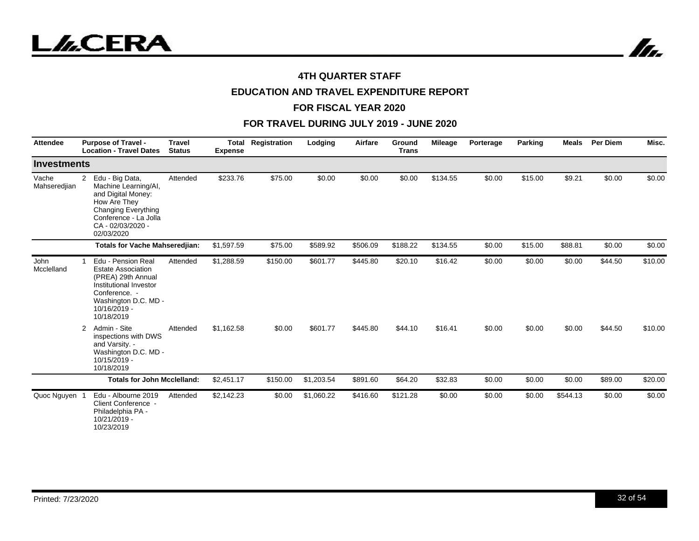



# **EDUCATION AND TRAVEL EXPENDITURE REPORT**

#### **FOR FISCAL YEAR 2020**

| <b>Attendee</b>       | <b>Purpose of Travel -</b><br><b>Location - Travel Dates</b>                                                                                                                              | <b>Travel</b><br><b>Status</b> | Total<br><b>Expense</b> | Registration | Lodging    | Airfare  | Ground<br><b>Trans</b> | <b>Mileage</b> | Porterage | Parking | <b>Meals</b> | <b>Per Diem</b> | Misc.   |
|-----------------------|-------------------------------------------------------------------------------------------------------------------------------------------------------------------------------------------|--------------------------------|-------------------------|--------------|------------|----------|------------------------|----------------|-----------|---------|--------------|-----------------|---------|
| <b>Investments</b>    |                                                                                                                                                                                           |                                |                         |              |            |          |                        |                |           |         |              |                 |         |
| Vache<br>Mahseredjian | Edu - Big Data,<br>$\overline{2}$<br>Machine Learning/AI,<br>and Digital Money:<br>How Are They<br><b>Changing Everything</b><br>Conference - La Jolla<br>CA - 02/03/2020 -<br>02/03/2020 | Attended                       | \$233.76                | \$75.00      | \$0.00     | \$0.00   | \$0.00                 | \$134.55       | \$0.00    | \$15.00 | \$9.21       | \$0.00          | \$0.00  |
|                       | <b>Totals for Vache Mahseredjian:</b>                                                                                                                                                     |                                | \$1,597.59              | \$75.00      | \$589.92   | \$506.09 | \$188.22               | \$134.55       | \$0.00    | \$15.00 | \$88.81      | \$0.00          | \$0.00  |
| John<br>Mcclelland    | Edu - Pension Real<br><b>Estate Association</b><br>(PREA) 29th Annual<br>Institutional Investor<br>Conference. -<br>Washington D.C. MD -<br>10/16/2019 -<br>10/18/2019                    | Attended                       | \$1,288.59              | \$150.00     | \$601.77   | \$445.80 | \$20.10                | \$16.42        | \$0.00    | \$0.00  | \$0.00       | \$44.50         | \$10.00 |
|                       | Admin - Site<br>2<br>inspections with DWS<br>and Varsity. -<br>Washington D.C. MD -<br>10/15/2019 -<br>10/18/2019                                                                         | Attended                       | \$1.162.58              | \$0.00       | \$601.77   | \$445.80 | \$44.10                | \$16.41        | \$0.00    | \$0.00  | \$0.00       | \$44.50         | \$10.00 |
|                       | <b>Totals for John Mcclelland:</b>                                                                                                                                                        |                                | \$2,451.17              | \$150.00     | \$1,203.54 | \$891.60 | \$64.20                | \$32.83        | \$0.00    | \$0.00  | \$0.00       | \$89.00         | \$20.00 |
| Quoc Nguyen           | Edu - Albourne 2019<br>Client Conference -<br>Philadelphia PA -<br>10/21/2019 -<br>10/23/2019                                                                                             | Attended                       | \$2,142.23              | \$0.00       | \$1,060.22 | \$416.60 | \$121.28               | \$0.00         | \$0.00    | \$0.00  | \$544.13     | \$0.00          | \$0.00  |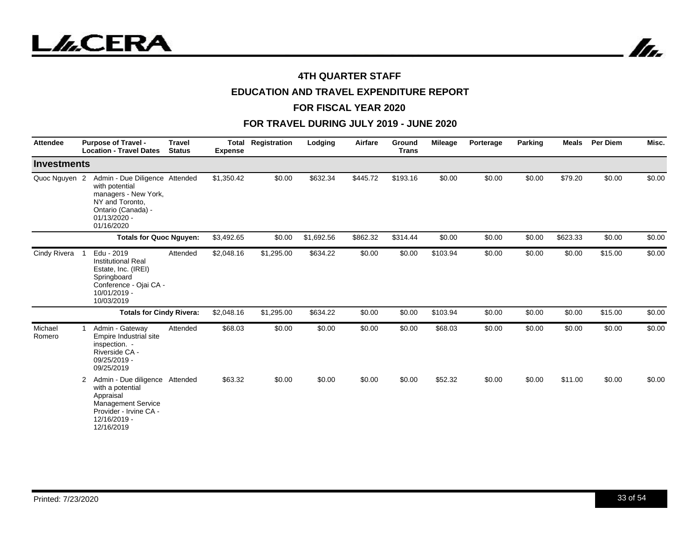



# **EDUCATION AND TRAVEL EXPENDITURE REPORT**

#### **FOR FISCAL YEAR 2020**

| <b>Attendee</b>    | <b>Purpose of Travel -</b><br><b>Location - Travel Dates</b>                                                                                              | <b>Travel</b><br><b>Status</b> | <b>Total</b><br><b>Expense</b> | Registration | Lodging    | Airfare  | Ground<br><b>Trans</b> | <b>Mileage</b> | Porterage | Parking | <b>Meals</b> | <b>Per Diem</b> | Misc.  |
|--------------------|-----------------------------------------------------------------------------------------------------------------------------------------------------------|--------------------------------|--------------------------------|--------------|------------|----------|------------------------|----------------|-----------|---------|--------------|-----------------|--------|
| <b>Investments</b> |                                                                                                                                                           |                                |                                |              |            |          |                        |                |           |         |              |                 |        |
| Quoc Nguyen 2      | Admin - Due Diligence Attended<br>with potential<br>managers - New York,<br>NY and Toronto,<br>Ontario (Canada) -<br>$01/13/2020 -$<br>01/16/2020         |                                | \$1,350.42                     | \$0.00       | \$632.34   | \$445.72 | \$193.16               | \$0.00         | \$0.00    | \$0.00  | \$79.20      | \$0.00          | \$0.00 |
|                    | <b>Totals for Quoc Nguyen:</b>                                                                                                                            |                                | \$3,492.65                     | \$0.00       | \$1,692.56 | \$862.32 | \$314.44               | \$0.00         | \$0.00    | \$0.00  | \$623.33     | \$0.00          | \$0.00 |
| Cindy Rivera       | Edu - 2019<br><b>Institutional Real</b><br>Estate, Inc. (IREI)<br>Springboard<br>Conference - Ojai CA -<br>10/01/2019 -<br>10/03/2019                     | Attended                       | \$2,048.16                     | \$1,295.00   | \$634.22   | \$0.00   | \$0.00                 | \$103.94       | \$0.00    | \$0.00  | \$0.00       | \$15.00         | \$0.00 |
|                    | <b>Totals for Cindy Rivera:</b>                                                                                                                           |                                | \$2,048.16                     | \$1,295.00   | \$634.22   | \$0.00   | \$0.00                 | \$103.94       | \$0.00    | \$0.00  | \$0.00       | \$15.00         | \$0.00 |
| Michael<br>Romero  | Admin - Gateway<br>Empire Industrial site<br>inspection. -<br>Riverside CA -<br>09/25/2019 -<br>09/25/2019                                                | Attended                       | \$68.03                        | \$0.00       | \$0.00     | \$0.00   | \$0.00                 | \$68.03        | \$0.00    | \$0.00  | \$0.00       | \$0.00          | \$0.00 |
|                    | Admin - Due diligence Attended<br>2<br>with a potential<br>Appraisal<br><b>Management Service</b><br>Provider - Irvine CA -<br>12/16/2019 -<br>12/16/2019 |                                | \$63.32                        | \$0.00       | \$0.00     | \$0.00   | \$0.00                 | \$52.32        | \$0.00    | \$0.00  | \$11.00      | \$0.00          | \$0.00 |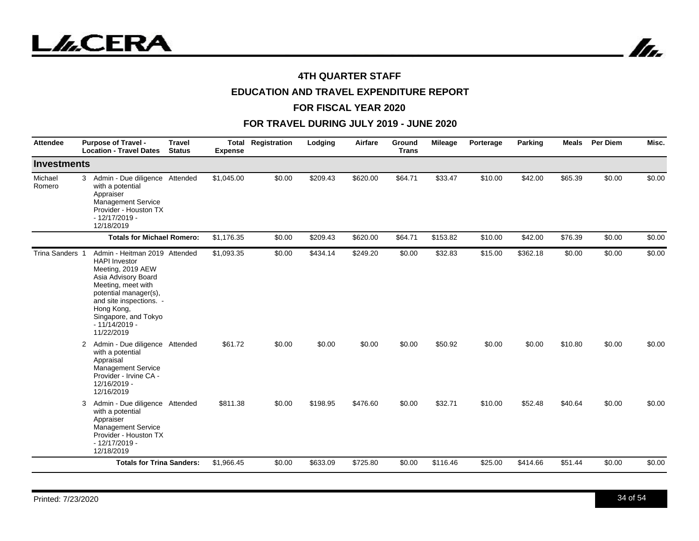



# **EDUCATION AND TRAVEL EXPENDITURE REPORT**

#### **FOR FISCAL YEAR 2020**

| <b>Attendee</b>   | <b>Purpose of Travel -</b><br><b>Location - Travel Dates</b>                                                                                                                                                                                       | <b>Travel</b><br><b>Status</b> | <b>Total</b><br><b>Expense</b> | Registration | Lodging  | Airfare  | Ground<br><b>Trans</b> | Mileage  | Porterage | Parking  | <b>Meals</b> | <b>Per Diem</b> | Misc.  |
|-------------------|----------------------------------------------------------------------------------------------------------------------------------------------------------------------------------------------------------------------------------------------------|--------------------------------|--------------------------------|--------------|----------|----------|------------------------|----------|-----------|----------|--------------|-----------------|--------|
| Investments       |                                                                                                                                                                                                                                                    |                                |                                |              |          |          |                        |          |           |          |              |                 |        |
| Michael<br>Romero | Admin - Due diligence Attended<br>3<br>with a potential<br>Appraiser<br>Management Service<br>Provider - Houston TX<br>$-12/17/2019 -$<br>12/18/2019                                                                                               |                                | \$1,045.00                     | \$0.00       | \$209.43 | \$620.00 | \$64.71                | \$33.47  | \$10.00   | \$42.00  | \$65.39      | \$0.00          | \$0.00 |
|                   | <b>Totals for Michael Romero:</b>                                                                                                                                                                                                                  |                                | \$1,176.35                     | \$0.00       | \$209.43 | \$620.00 | \$64.71                | \$153.82 | \$10.00   | \$42.00  | \$76.39      | \$0.00          | \$0.00 |
| Trina Sanders 1   | Admin - Heitman 2019 Attended<br><b>HAPI</b> Investor<br>Meeting, 2019 AEW<br>Asia Advisory Board<br>Meeting, meet with<br>potential manager(s),<br>and site inspections. -<br>Hong Kong,<br>Singapore, and Tokyo<br>$-11/14/2019 -$<br>11/22/2019 |                                | \$1,093.35                     | \$0.00       | \$434.14 | \$249.20 | \$0.00                 | \$32.83  | \$15.00   | \$362.18 | \$0.00       | \$0.00          | \$0.00 |
|                   | Admin - Due diligence Attended<br>2<br>with a potential<br>Appraisal<br><b>Management Service</b><br>Provider - Irvine CA -<br>12/16/2019 -<br>12/16/2019                                                                                          |                                | \$61.72                        | \$0.00       | \$0.00   | \$0.00   | \$0.00                 | \$50.92  | \$0.00    | \$0.00   | \$10.80      | \$0.00          | \$0.00 |
|                   | Admin - Due diligence Attended<br>3<br>with a potential<br>Appraiser<br><b>Management Service</b><br>Provider - Houston TX<br>$-12/17/2019 -$<br>12/18/2019                                                                                        |                                | \$811.38                       | \$0.00       | \$198.95 | \$476.60 | \$0.00                 | \$32.71  | \$10.00   | \$52.48  | \$40.64      | \$0.00          | \$0.00 |
|                   | <b>Totals for Trina Sanders:</b>                                                                                                                                                                                                                   |                                | \$1,966.45                     | \$0.00       | \$633.09 | \$725.80 | \$0.00                 | \$116.46 | \$25.00   | \$414.66 | \$51.44      | \$0.00          | \$0.00 |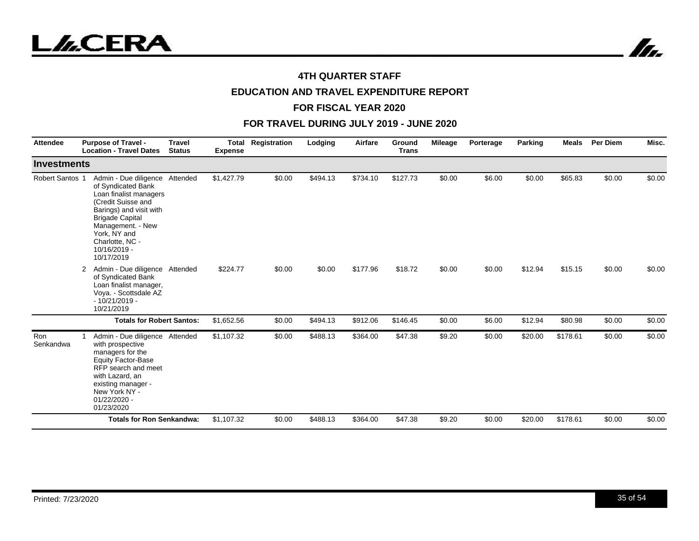



# **EDUCATION AND TRAVEL EXPENDITURE REPORT**

#### **FOR FISCAL YEAR 2020**

| <b>Attendee</b>    | <b>Purpose of Travel -</b><br><b>Location - Travel Dates</b>                                                                                                                                                                                    | <b>Travel</b><br><b>Status</b> | <b>Total</b><br><b>Expense</b> | Registration | Lodging  | Airfare  | <b>Ground</b><br><b>Trans</b> | <b>Mileage</b> | Porterage | Parking | <b>Meals</b> | <b>Per Diem</b> | Misc.  |
|--------------------|-------------------------------------------------------------------------------------------------------------------------------------------------------------------------------------------------------------------------------------------------|--------------------------------|--------------------------------|--------------|----------|----------|-------------------------------|----------------|-----------|---------|--------------|-----------------|--------|
| <b>Investments</b> |                                                                                                                                                                                                                                                 |                                |                                |              |          |          |                               |                |           |         |              |                 |        |
| Robert Santos 1    | Admin - Due diligence Attended<br>of Syndicated Bank<br>Loan finalist managers<br>(Credit Suisse and<br>Barings) and visit with<br><b>Brigade Capital</b><br>Management. - New<br>York, NY and<br>Charlotte, NC -<br>10/16/2019 -<br>10/17/2019 |                                | \$1,427.79                     | \$0.00       | \$494.13 | \$734.10 | \$127.73                      | \$0.00         | \$6.00    | \$0.00  | \$65.83      | \$0.00          | \$0.00 |
|                    | Admin - Due diligence Attended<br>$\mathbf{2}^{\circ}$<br>of Syndicated Bank<br>Loan finalist manager,<br>Voya. - Scottsdale AZ<br>$-10/21/2019 -$<br>10/21/2019                                                                                |                                | \$224.77                       | \$0.00       | \$0.00   | \$177.96 | \$18.72                       | \$0.00         | \$0.00    | \$12.94 | \$15.15      | \$0.00          | \$0.00 |
|                    | <b>Totals for Robert Santos:</b>                                                                                                                                                                                                                |                                | \$1,652.56                     | \$0.00       | \$494.13 | \$912.06 | \$146.45                      | \$0.00         | \$6.00    | \$12.94 | \$80.98      | \$0.00          | \$0.00 |
| Ron<br>Senkandwa   | Admin - Due diligence Attended<br>with prospective<br>managers for the<br><b>Equity Factor-Base</b><br>RFP search and meet<br>with Lazard, an<br>existing manager -<br>New York NY -<br>$01/22/2020 -$<br>01/23/2020                            |                                | \$1,107.32                     | \$0.00       | \$488.13 | \$364.00 | \$47.38                       | \$9.20         | \$0.00    | \$20.00 | \$178.61     | \$0.00          | \$0.00 |
|                    | <b>Totals for Ron Senkandwa:</b>                                                                                                                                                                                                                |                                | \$1,107.32                     | \$0.00       | \$488.13 | \$364.00 | \$47.38                       | \$9.20         | \$0.00    | \$20.00 | \$178.61     | \$0.00          | \$0.00 |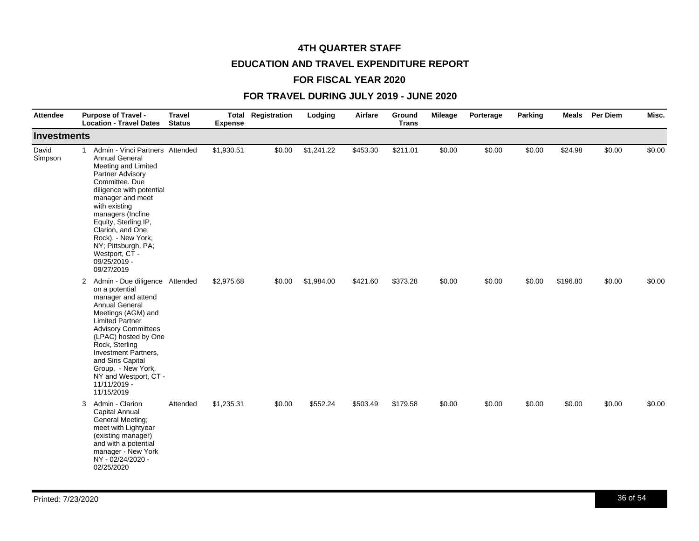# **4TH QUARTER STAFF EDUCATION AND TRAVEL EXPENDITURE REPORT**

# **FOR FISCAL YEAR 2020**

| <b>Attendee</b>    | <b>Purpose of Travel -</b><br><b>Location - Travel Dates</b>                                                                                                                                                                                                                                                                                                         | <b>Travel</b><br><b>Status</b> | <b>Expense</b> | <b>Total Registration</b> | Lodging    | Airfare  | Ground<br><b>Trans</b> | <b>Mileage</b> | Porterage | Parking | <b>Meals</b> | <b>Per Diem</b> | Misc.  |
|--------------------|----------------------------------------------------------------------------------------------------------------------------------------------------------------------------------------------------------------------------------------------------------------------------------------------------------------------------------------------------------------------|--------------------------------|----------------|---------------------------|------------|----------|------------------------|----------------|-----------|---------|--------------|-----------------|--------|
| <b>Investments</b> |                                                                                                                                                                                                                                                                                                                                                                      |                                |                |                           |            |          |                        |                |           |         |              |                 |        |
| David<br>Simpson   | Admin - Vinci Partners Attended<br>$\mathbf{1}$<br><b>Annual General</b><br>Meeting and Limited<br>Partner Advisory<br>Committee. Due<br>diligence with potential<br>manager and meet<br>with existing<br>managers (Incline<br>Equity, Sterling IP,<br>Clarion, and One<br>Rock). - New York,<br>NY; Pittsburgh, PA;<br>Westport, CT -<br>09/25/2019 -<br>09/27/2019 |                                | \$1,930.51     | \$0.00                    | \$1,241.22 | \$453.30 | \$211.01               | \$0.00         | \$0.00    | \$0.00  | \$24.98      | \$0.00          | \$0.00 |
|                    | 2 Admin - Due diligence Attended<br>on a potential<br>manager and attend<br><b>Annual General</b><br>Meetings (AGM) and<br><b>Limited Partner</b><br><b>Advisory Committees</b><br>(LPAC) hosted by One<br>Rock, Sterling<br>Investment Partners,<br>and Siris Capital<br>Group. - New York,<br>NY and Westport, CT -<br>11/11/2019 -<br>11/15/2019                  |                                | \$2,975.68     | \$0.00                    | \$1,984.00 | \$421.60 | \$373.28               | \$0.00         | \$0.00    | \$0.00  | \$196.80     | \$0.00          | \$0.00 |
|                    | Admin - Clarion<br>3<br>Capital Annual<br>General Meeting;<br>meet with Lightyear<br>(existing manager)<br>and with a potential<br>manager - New York<br>NY - 02/24/2020 -<br>02/25/2020                                                                                                                                                                             | Attended                       | \$1,235.31     | \$0.00                    | \$552.24   | \$503.49 | \$179.58               | \$0.00         | \$0.00    | \$0.00  | \$0.00       | \$0.00          | \$0.00 |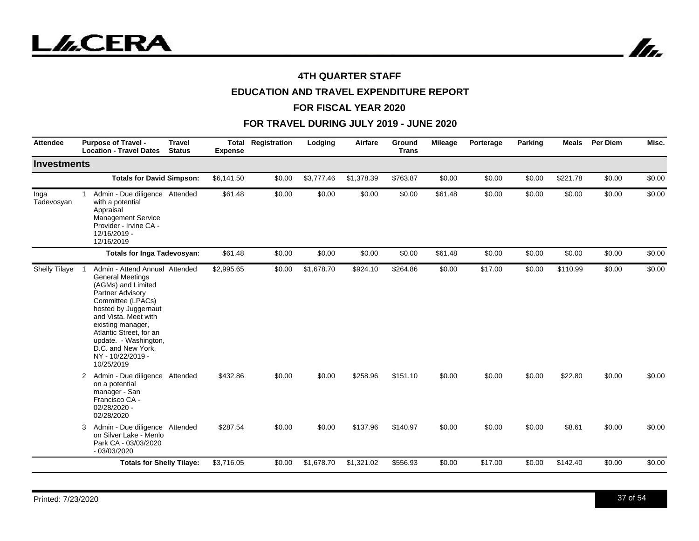

# **EDUCATION AND TRAVEL EXPENDITURE REPORT**

#### **FOR FISCAL YEAR 2020**

| <b>Attendee</b>    | <b>Purpose of Travel -</b><br><b>Travel</b><br><b>Location - Travel Dates</b><br><b>Status</b>                                                                                                                                                                                                             | Total<br><b>Expense</b> | Registration | Lodging    | Airfare    | Ground<br><b>Trans</b> | <b>Mileage</b> | Porterage | Parking | <b>Meals</b> | Per Diem | Misc.  |
|--------------------|------------------------------------------------------------------------------------------------------------------------------------------------------------------------------------------------------------------------------------------------------------------------------------------------------------|-------------------------|--------------|------------|------------|------------------------|----------------|-----------|---------|--------------|----------|--------|
| <b>Investments</b> |                                                                                                                                                                                                                                                                                                            |                         |              |            |            |                        |                |           |         |              |          |        |
|                    | <b>Totals for David Simpson:</b>                                                                                                                                                                                                                                                                           | \$6,141.50              | \$0.00       | \$3,777.46 | \$1,378.39 | \$763.87               | \$0.00         | \$0.00    | \$0.00  | \$221.78     | \$0.00   | \$0.00 |
| Inga<br>Tadevosyan | Admin - Due diligence Attended<br>$\mathbf{1}$<br>with a potential<br>Appraisal<br><b>Management Service</b><br>Provider - Irvine CA -<br>12/16/2019 -<br>12/16/2019                                                                                                                                       | \$61.48                 | \$0.00       | \$0.00     | \$0.00     | \$0.00                 | \$61.48        | \$0.00    | \$0.00  | \$0.00       | \$0.00   | \$0.00 |
|                    | Totals for Inga Tadevosyan:                                                                                                                                                                                                                                                                                | \$61.48                 | \$0.00       | \$0.00     | \$0.00     | \$0.00                 | \$61.48        | \$0.00    | \$0.00  | \$0.00       | \$0.00   | \$0.00 |
| Shelly Tilaye      | Admin - Attend Annual Attended<br><b>General Meetings</b><br>(AGMs) and Limited<br>Partner Advisory<br>Committee (LPACs)<br>hosted by Juggernaut<br>and Vista. Meet with<br>existing manager,<br>Atlantic Street, for an<br>update. - Washington,<br>D.C. and New York,<br>NY - 10/22/2019 -<br>10/25/2019 | \$2,995.65              | \$0.00       | \$1,678.70 | \$924.10   | \$264.86               | \$0.00         | \$17.00   | \$0.00  | \$110.99     | \$0.00   | \$0.00 |
|                    | Admin - Due diligence Attended<br>2<br>on a potential<br>manager - San<br>Francisco CA -<br>02/28/2020 -<br>02/28/2020                                                                                                                                                                                     | \$432.86                | \$0.00       | \$0.00     | \$258.96   | \$151.10               | \$0.00         | \$0.00    | \$0.00  | \$22.80      | \$0.00   | \$0.00 |
|                    | Admin - Due diligence Attended<br>3<br>on Silver Lake - Menlo<br>Park CA - 03/03/2020<br>$-03/03/2020$                                                                                                                                                                                                     | \$287.54                | \$0.00       | \$0.00     | \$137.96   | \$140.97               | \$0.00         | \$0.00    | \$0.00  | \$8.61       | \$0.00   | \$0.00 |
|                    | <b>Totals for Shelly Tilaye:</b>                                                                                                                                                                                                                                                                           | \$3,716.05              | \$0.00       | \$1,678.70 | \$1,321.02 | \$556.93               | \$0.00         | \$17.00   | \$0.00  | \$142.40     | \$0.00   | \$0.00 |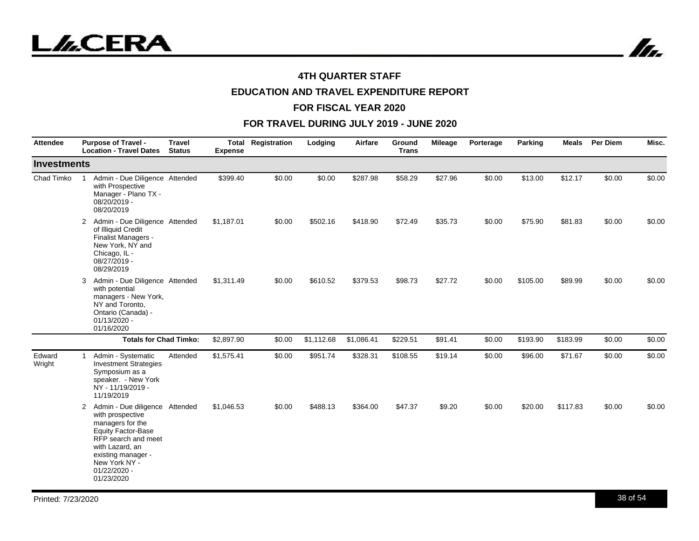

In.

## **4TH QUARTER STAFF**

# **EDUCATION AND TRAVEL EXPENDITURE REPORT**

#### **FOR FISCAL YEAR 2020**

| <b>Attendee</b>  | <b>Purpose of Travel -</b><br><b>Location - Travel Dates</b>                                                                                                                                                                           | <b>Travel</b><br><b>Status</b> | <b>Expense</b> | <b>Total Registration</b> | Lodging    | Airfare    | Ground<br><b>Trans</b> | <b>Mileage</b> | Porterage | Parking  | <b>Meals</b> | <b>Per Diem</b> | Misc.  |
|------------------|----------------------------------------------------------------------------------------------------------------------------------------------------------------------------------------------------------------------------------------|--------------------------------|----------------|---------------------------|------------|------------|------------------------|----------------|-----------|----------|--------------|-----------------|--------|
| Investments      |                                                                                                                                                                                                                                        |                                |                |                           |            |            |                        |                |           |          |              |                 |        |
| Chad Timko       | Admin - Due Diligence Attended<br>with Prospective<br>Manager - Plano TX -<br>08/20/2019 -<br>08/20/2019                                                                                                                               |                                | \$399.40       | \$0.00                    | \$0.00     | \$287.98   | \$58.29                | \$27.96        | \$0.00    | \$13.00  | \$12.17      | \$0.00          | \$0.00 |
|                  | Admin - Due Diligence Attended<br>2<br>of Illiquid Credit<br>Finalist Managers -<br>New York, NY and<br>Chicago, IL -<br>08/27/2019 -<br>08/29/2019                                                                                    |                                | \$1,187.01     | \$0.00                    | \$502.16   | \$418.90   | \$72.49                | \$35.73        | \$0.00    | \$75.90  | \$81.83      | \$0.00          | \$0.00 |
|                  | Admin - Due Diligence Attended<br>3<br>with potential<br>managers - New York,<br>NY and Toronto,<br>Ontario (Canada) -<br>$01/13/2020 -$<br>01/16/2020                                                                                 |                                | \$1,311.49     | \$0.00                    | \$610.52   | \$379.53   | \$98.73                | \$27.72        | \$0.00    | \$105.00 | \$89.99      | \$0.00          | \$0.00 |
|                  | <b>Totals for Chad Timko:</b>                                                                                                                                                                                                          |                                | \$2,897.90     | \$0.00                    | \$1,112.68 | \$1,086.41 | \$229.51               | \$91.41        | \$0.00    | \$193.90 | \$183.99     | \$0.00          | \$0.00 |
| Edward<br>Wright | Admin - Systematic<br>1<br><b>Investment Strategies</b><br>Symposium as a<br>speaker. - New York<br>NY - 11/19/2019 -<br>11/19/2019                                                                                                    | Attended                       | \$1,575.41     | \$0.00                    | \$951.74   | \$328.31   | \$108.55               | \$19.14        | \$0.00    | \$96.00  | \$71.67      | \$0.00          | \$0.00 |
|                  | Admin - Due diligence Attended<br>$\overline{2}$<br>with prospective<br>managers for the<br><b>Equity Factor-Base</b><br>RFP search and meet<br>with Lazard, an<br>existing manager -<br>New York NY -<br>$01/22/2020 -$<br>01/23/2020 |                                | \$1,046.53     | \$0.00                    | \$488.13   | \$364.00   | \$47.37                | \$9.20         | \$0.00    | \$20.00  | \$117.83     | \$0.00          | \$0.00 |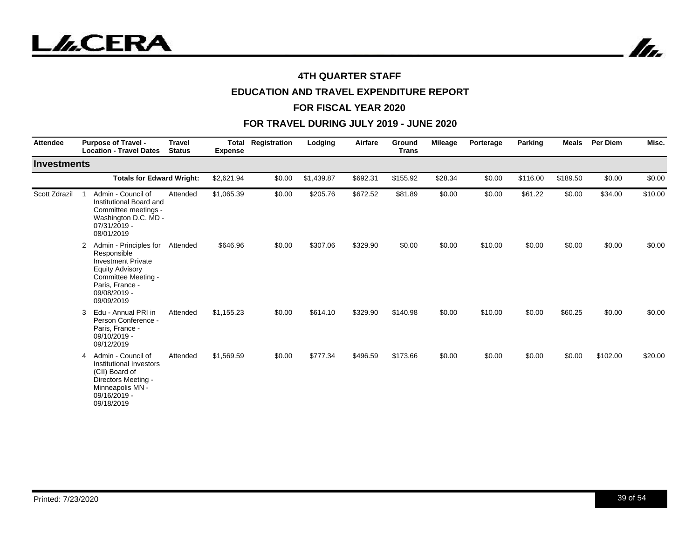



# **EDUCATION AND TRAVEL EXPENDITURE REPORT**

#### **FOR FISCAL YEAR 2020**

| <b>Attendee</b>    | <b>Purpose of Travel -</b><br><b>Location - Travel Dates</b>                                                                                                              | <b>Travel</b><br><b>Status</b> | <b>Total</b><br><b>Expense</b> | Registration | Lodging    | Airfare  | Ground<br><b>Trans</b> | <b>Mileage</b> | Porterage | Parking  | <b>Meals</b> | Per Diem | Misc.   |
|--------------------|---------------------------------------------------------------------------------------------------------------------------------------------------------------------------|--------------------------------|--------------------------------|--------------|------------|----------|------------------------|----------------|-----------|----------|--------------|----------|---------|
| <b>Investments</b> |                                                                                                                                                                           |                                |                                |              |            |          |                        |                |           |          |              |          |         |
|                    | <b>Totals for Edward Wright:</b>                                                                                                                                          |                                | \$2,621.94                     | \$0.00       | \$1,439.87 | \$692.31 | \$155.92               | \$28.34        | \$0.00    | \$116.00 | \$189.50     | \$0.00   | \$0.00  |
| Scott Zdrazil      | Admin - Council of<br>Institutional Board and<br>Committee meetings -<br>Washington D.C. MD -<br>07/31/2019 -<br>08/01/2019                                               | Attended                       | \$1,065.39                     | \$0.00       | \$205.76   | \$672.52 | \$81.89                | \$0.00         | \$0.00    | \$61.22  | \$0.00       | \$34.00  | \$10.00 |
|                    | Admin - Principles for<br>2<br>Responsible<br><b>Investment Private</b><br><b>Equity Advisory</b><br>Committee Meeting -<br>Paris, France -<br>09/08/2019 -<br>09/09/2019 | Attended                       | \$646.96                       | \$0.00       | \$307.06   | \$329.90 | \$0.00                 | \$0.00         | \$10.00   | \$0.00   | \$0.00       | \$0.00   | \$0.00  |
|                    | Edu - Annual PRI in<br>3<br>Person Conference -<br>Paris, France -<br>09/10/2019 -<br>09/12/2019                                                                          | Attended                       | \$1,155.23                     | \$0.00       | \$614.10   | \$329.90 | \$140.98               | \$0.00         | \$10.00   | \$0.00   | \$60.25      | \$0.00   | \$0.00  |
|                    | Admin - Council of<br>4<br>Institutional Investors<br>(CII) Board of<br>Directors Meeting -<br>Minneapolis MN -<br>09/16/2019 -<br>09/18/2019                             | Attended                       | \$1,569.59                     | \$0.00       | \$777.34   | \$496.59 | \$173.66               | \$0.00         | \$0.00    | \$0.00   | \$0.00       | \$102.00 | \$20.00 |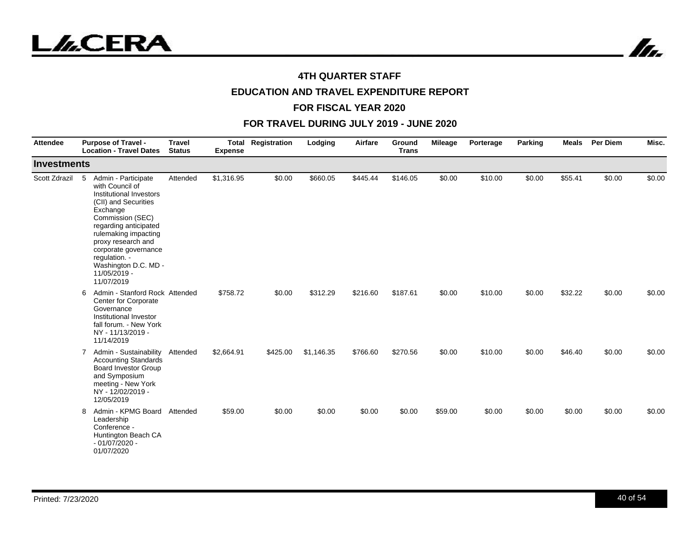



# **EDUCATION AND TRAVEL EXPENDITURE REPORT**

#### **FOR FISCAL YEAR 2020**

| Attendee           | <b>Purpose of Travel -</b><br><b>Location - Travel Dates</b>                                                                                                                                                                                                                                         | <b>Travel</b><br><b>Status</b> | Total<br><b>Expense</b> | Registration | Lodging    | Airfare  | Ground<br><b>Trans</b> | <b>Mileage</b> | Porterage | <b>Parking</b> | <b>Meals</b> | Per Diem | Misc.  |
|--------------------|------------------------------------------------------------------------------------------------------------------------------------------------------------------------------------------------------------------------------------------------------------------------------------------------------|--------------------------------|-------------------------|--------------|------------|----------|------------------------|----------------|-----------|----------------|--------------|----------|--------|
| <b>Investments</b> |                                                                                                                                                                                                                                                                                                      |                                |                         |              |            |          |                        |                |           |                |              |          |        |
| Scott Zdrazil      | Admin - Participate<br>5<br>with Council of<br>Institutional Investors<br>(CII) and Securities<br>Exchange<br>Commission (SEC)<br>regarding anticipated<br>rulemaking impacting<br>proxy research and<br>corporate governance<br>regulation. -<br>Washington D.C. MD -<br>11/05/2019 -<br>11/07/2019 | Attended                       | \$1,316.95              | \$0.00       | \$660.05   | \$445.44 | \$146.05               | \$0.00         | \$10.00   | \$0.00         | \$55.41      | \$0.00   | \$0.00 |
|                    | Admin - Stanford Rock Attended<br>6<br>Center for Corporate<br>Governance<br>Institutional Investor<br>fall forum. - New York<br>NY - 11/13/2019 -<br>11/14/2019                                                                                                                                     |                                | \$758.72                | \$0.00       | \$312.29   | \$216.60 | \$187.61               | \$0.00         | \$10.00   | \$0.00         | \$32.22      | \$0.00   | \$0.00 |
|                    | Admin - Sustainability<br>7<br><b>Accounting Standards</b><br><b>Board Investor Group</b><br>and Symposium<br>meeting - New York<br>NY - 12/02/2019 -<br>12/05/2019                                                                                                                                  | Attended                       | \$2,664.91              | \$425.00     | \$1,146.35 | \$766.60 | \$270.56               | \$0.00         | \$10.00   | \$0.00         | \$46.40      | \$0.00   | \$0.00 |
|                    | Admin - KPMG Board<br>8<br>Leadership<br>Conference -<br>Huntington Beach CA<br>$-01/07/2020 -$<br>01/07/2020                                                                                                                                                                                        | Attended                       | \$59.00                 | \$0.00       | \$0.00     | \$0.00   | \$0.00                 | \$59.00        | \$0.00    | \$0.00         | \$0.00       | \$0.00   | \$0.00 |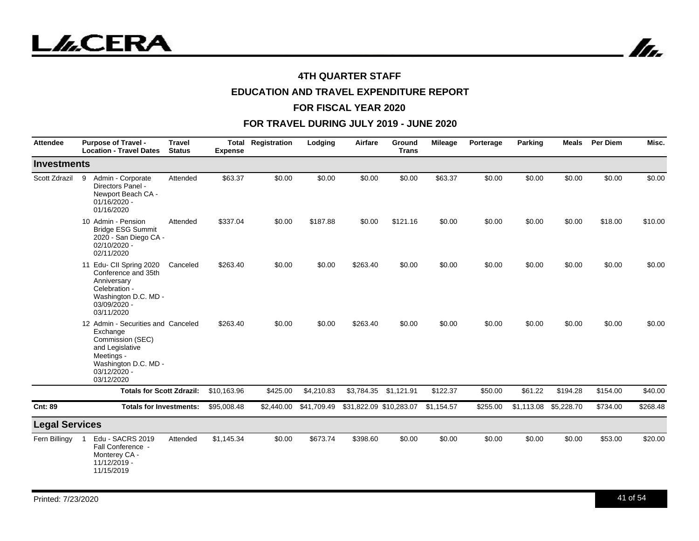

In.

## **4TH QUARTER STAFF**

# **EDUCATION AND TRAVEL EXPENDITURE REPORT**

#### **FOR FISCAL YEAR 2020**

| <b>Attendee</b>       | <b>Purpose of Travel -</b><br><b>Location - Travel Dates</b>                                                                                              | <b>Travel</b><br><b>Status</b> | <b>Expense</b> | <b>Total Registration</b> | Lodging     | Airfare    | Ground<br><b>Trans</b>  | <b>Mileage</b> | Porterage | Parking    | Meals      | <b>Per Diem</b> | Misc.    |
|-----------------------|-----------------------------------------------------------------------------------------------------------------------------------------------------------|--------------------------------|----------------|---------------------------|-------------|------------|-------------------------|----------------|-----------|------------|------------|-----------------|----------|
| <b>Investments</b>    |                                                                                                                                                           |                                |                |                           |             |            |                         |                |           |            |            |                 |          |
| Scott Zdrazil         | Admin - Corporate<br>9<br>Directors Panel -<br>Newport Beach CA -<br>01/16/2020 -<br>01/16/2020                                                           | Attended                       | \$63.37        | \$0.00                    | \$0.00      | \$0.00     | \$0.00                  | \$63.37        | \$0.00    | \$0.00     | \$0.00     | \$0.00          | \$0.00   |
|                       | 10 Admin - Pension<br><b>Bridge ESG Summit</b><br>2020 - San Diego CA -<br>02/10/2020 -<br>02/11/2020                                                     | Attended                       | \$337.04       | \$0.00                    | \$187.88    | \$0.00     | \$121.16                | \$0.00         | \$0.00    | \$0.00     | \$0.00     | \$18.00         | \$10.00  |
|                       | 11 Edu- CII Spring 2020<br>Conference and 35th<br>Anniversary<br>Celebration -<br>Washington D.C. MD -<br>03/09/2020 -<br>03/11/2020                      | Canceled                       | \$263.40       | \$0.00                    | \$0.00      | \$263.40   | \$0.00                  | \$0.00         | \$0.00    | \$0.00     | \$0.00     | \$0.00          | \$0.00   |
|                       | 12 Admin - Securities and Canceled<br>Exchange<br>Commission (SEC)<br>and Legislative<br>Meetings -<br>Washington D.C. MD -<br>03/12/2020 -<br>03/12/2020 |                                | \$263.40       | \$0.00                    | \$0.00      | \$263.40   | \$0.00                  | \$0.00         | \$0.00    | \$0.00     | \$0.00     | \$0.00          | \$0.00   |
|                       | <b>Totals for Scott Zdrazil:</b>                                                                                                                          |                                | \$10.163.96    | \$425.00                  | \$4,210.83  | \$3,784.35 | \$1,121.91              | \$122.37       | \$50.00   | \$61.22    | \$194.28   | \$154.00        | \$40.00  |
| <b>Cnt: 89</b>        | <b>Totals for Investments:</b>                                                                                                                            |                                | \$95,008.48    | \$2,440.00                | \$41,709.49 |            | \$31,822.09 \$10,283.07 | \$1,154.57     | \$255.00  | \$1,113.08 | \$5,228.70 | \$734.00        | \$268.48 |
| <b>Legal Services</b> |                                                                                                                                                           |                                |                |                           |             |            |                         |                |           |            |            |                 |          |
| Fern Billingy         | Edu - SACRS 2019<br>Fall Conference -<br>Monterey CA -<br>11/12/2019 -<br>11/15/2019                                                                      | Attended                       | \$1,145.34     | \$0.00                    | \$673.74    | \$398.60   | \$0.00                  | \$0.00         | \$0.00    | \$0.00     | \$0.00     | \$53.00         | \$20.00  |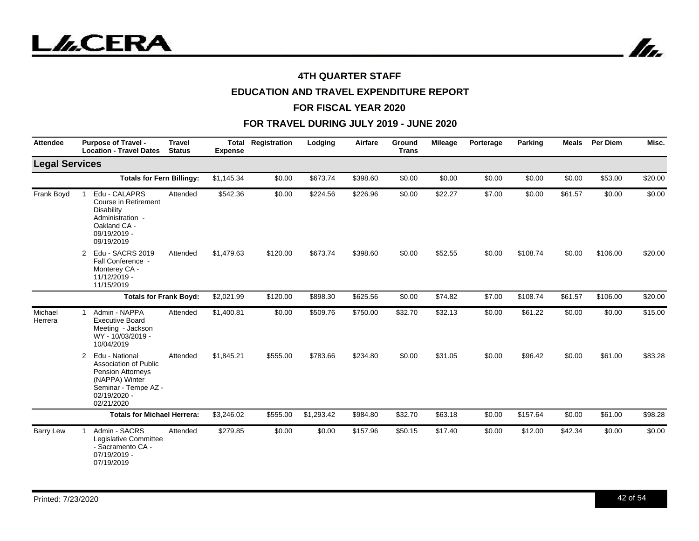

# **EDUCATION AND TRAVEL EXPENDITURE REPORT**

#### **FOR FISCAL YEAR 2020**

| <b>Attendee</b>       | <b>Purpose of Travel -</b><br><b>Location - Travel Dates</b>                                                                                     | <b>Travel</b><br><b>Status</b> | <b>Total</b><br><b>Expense</b> | Registration | Lodging    | Airfare  | Ground<br><b>Trans</b> | <b>Mileage</b> | Porterage | Parking  | <b>Meals</b> | <b>Per Diem</b> | Misc.   |
|-----------------------|--------------------------------------------------------------------------------------------------------------------------------------------------|--------------------------------|--------------------------------|--------------|------------|----------|------------------------|----------------|-----------|----------|--------------|-----------------|---------|
| <b>Legal Services</b> |                                                                                                                                                  |                                |                                |              |            |          |                        |                |           |          |              |                 |         |
|                       | <b>Totals for Fern Billingy:</b>                                                                                                                 |                                | \$1,145.34                     | \$0.00       | \$673.74   | \$398.60 | \$0.00                 | \$0.00         | \$0.00    | \$0.00   | \$0.00       | \$53.00         | \$20.00 |
| Frank Boyd            | Edu - CALAPRS<br>Course in Retirement<br><b>Disability</b><br>Administration -<br>Oakland CA -<br>09/19/2019 -<br>09/19/2019                     | Attended                       | \$542.36                       | \$0.00       | \$224.56   | \$226.96 | \$0.00                 | \$22.27        | \$7.00    | \$0.00   | \$61.57      | \$0.00          | \$0.00  |
|                       | Edu - SACRS 2019<br>$\overline{2}$<br>Fall Conference -<br>Monterey CA -<br>11/12/2019 -<br>11/15/2019                                           | Attended                       | \$1,479.63                     | \$120.00     | \$673.74   | \$398.60 | \$0.00                 | \$52.55        | \$0.00    | \$108.74 | \$0.00       | \$106.00        | \$20.00 |
|                       |                                                                                                                                                  | <b>Totals for Frank Boyd:</b>  | \$2,021.99                     | \$120.00     | \$898.30   | \$625.56 | \$0.00                 | \$74.82        | \$7.00    | \$108.74 | \$61.57      | \$106.00        | \$20.00 |
| Michael<br>Herrera    | Admin - NAPPA<br>$\mathbf{1}$<br><b>Executive Board</b><br>Meeting - Jackson<br>WY - 10/03/2019 -<br>10/04/2019                                  | Attended                       | \$1,400.81                     | \$0.00       | \$509.76   | \$750.00 | \$32.70                | \$32.13        | \$0.00    | \$61.22  | \$0.00       | \$0.00          | \$15.00 |
|                       | Edu - National<br>2<br>Association of Public<br><b>Pension Attorneys</b><br>(NAPPA) Winter<br>Seminar - Tempe AZ -<br>02/19/2020 -<br>02/21/2020 | Attended                       | \$1,845.21                     | \$555.00     | \$783.66   | \$234.80 | \$0.00                 | \$31.05        | \$0.00    | \$96.42  | \$0.00       | \$61.00         | \$83.28 |
|                       | <b>Totals for Michael Herrera:</b>                                                                                                               |                                | \$3,246.02                     | \$555.00     | \$1,293.42 | \$984.80 | \$32.70                | \$63.18        | \$0.00    | \$157.64 | \$0.00       | \$61.00         | \$98.28 |
| <b>Barry Lew</b>      | Admin - SACRS<br>Legislative Committee<br>- Sacramento CA -<br>07/19/2019 -<br>07/19/2019                                                        | Attended                       | \$279.85                       | \$0.00       | \$0.00     | \$157.96 | \$50.15                | \$17.40        | \$0.00    | \$12.00  | \$42.34      | \$0.00          | \$0.00  |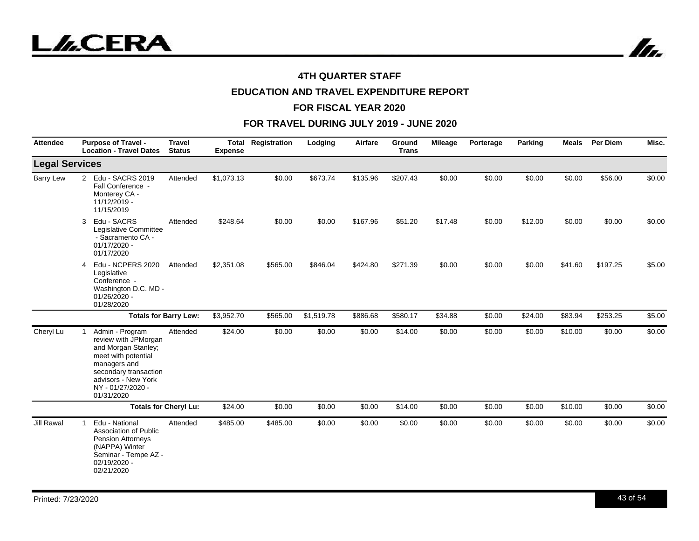In.

## **4TH QUARTER STAFF**

# **EDUCATION AND TRAVEL EXPENDITURE REPORT**

#### **FOR FISCAL YEAR 2020**

| <b>Attendee</b>       | <b>Purpose of Travel -</b><br><b>Location - Travel Dates</b>                                                                                                                             | <b>Travel</b><br><b>Status</b> | <b>Expense</b> | <b>Total Registration</b> | Lodging    | Airfare  | Ground<br><b>Trans</b> | Mileage | Porterage | Parking | <b>Meals</b> | <b>Per Diem</b> | Misc.  |
|-----------------------|------------------------------------------------------------------------------------------------------------------------------------------------------------------------------------------|--------------------------------|----------------|---------------------------|------------|----------|------------------------|---------|-----------|---------|--------------|-----------------|--------|
| <b>Legal Services</b> |                                                                                                                                                                                          |                                |                |                           |            |          |                        |         |           |         |              |                 |        |
| <b>Barry Lew</b>      | Edu - SACRS 2019<br>2<br>Fall Conference -<br>Monterey CA -<br>11/12/2019 -<br>11/15/2019                                                                                                | Attended                       | \$1,073.13     | \$0.00                    | \$673.74   | \$135.96 | \$207.43               | \$0.00  | \$0.00    | \$0.00  | \$0.00       | \$56.00         | \$0.00 |
|                       | Edu - SACRS<br>3<br>Legislative Committee<br>- Sacramento CA -<br>$01/17/2020 -$<br>01/17/2020                                                                                           | Attended                       | \$248.64       | \$0.00                    | \$0.00     | \$167.96 | \$51.20                | \$17.48 | \$0.00    | \$12.00 | \$0.00       | \$0.00          | \$0.00 |
|                       | Edu - NCPERS 2020<br>4<br>Legislative<br>Conference -<br>Washington D.C. MD -<br>01/26/2020 -<br>01/28/2020                                                                              | Attended                       | \$2,351.08     | \$565.00                  | \$846.04   | \$424.80 | \$271.39               | \$0.00  | \$0.00    | \$0.00  | \$41.60      | \$197.25        | \$5.00 |
|                       |                                                                                                                                                                                          | <b>Totals for Barry Lew:</b>   | \$3,952.70     | \$565.00                  | \$1,519.78 | \$886.68 | \$580.17               | \$34.88 | \$0.00    | \$24.00 | \$83.94      | \$253.25        | \$5.00 |
| Cheryl Lu             | Admin - Program<br>review with JPMorgan<br>and Morgan Stanley;<br>meet with potential<br>managers and<br>secondary transaction<br>advisors - New York<br>NY - 01/27/2020 -<br>01/31/2020 | Attended                       | \$24.00        | \$0.00                    | \$0.00     | \$0.00   | \$14.00                | \$0.00  | \$0.00    | \$0.00  | \$10.00      | \$0.00          | \$0.00 |
|                       |                                                                                                                                                                                          | <b>Totals for Cheryl Lu:</b>   | \$24.00        | \$0.00                    | \$0.00     | \$0.00   | \$14.00                | \$0.00  | \$0.00    | \$0.00  | \$10.00      | \$0.00          | \$0.00 |
| <b>Jill Rawal</b>     | Edu - National<br>-1<br>Association of Public<br><b>Pension Attorneys</b><br>(NAPPA) Winter<br>Seminar - Tempe AZ -<br>02/19/2020 -<br>02/21/2020                                        | Attended                       | \$485.00       | \$485.00                  | \$0.00     | \$0.00   | \$0.00                 | \$0.00  | \$0.00    | \$0.00  | \$0.00       | \$0.00          | \$0.00 |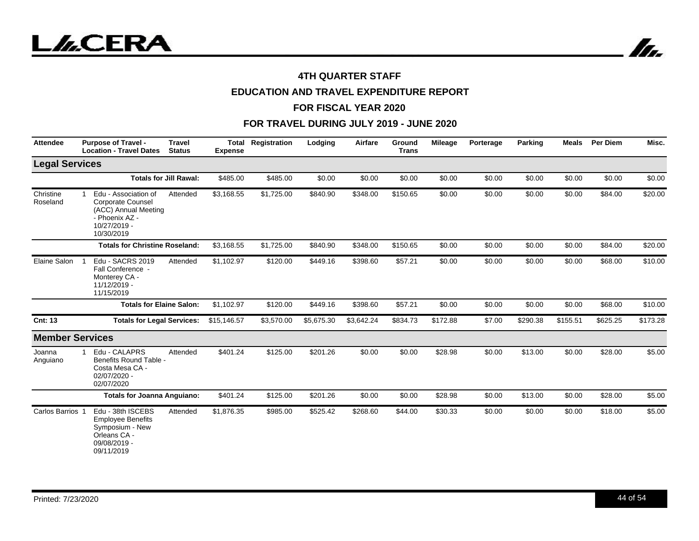

# **EDUCATION AND TRAVEL EXPENDITURE REPORT**

#### **FOR FISCAL YEAR 2020**

| <b>Attendee</b>        | <b>Travel</b><br><b>Purpose of Travel -</b><br><b>Location - Travel Dates</b><br><b>Status</b>                                       | Total<br><b>Expense</b> | Registration | Lodging    | Airfare    | Ground<br><b>Trans</b> | <b>Mileage</b> | Porterage | Parking  | <b>Meals</b> | <b>Per Diem</b> | Misc.    |
|------------------------|--------------------------------------------------------------------------------------------------------------------------------------|-------------------------|--------------|------------|------------|------------------------|----------------|-----------|----------|--------------|-----------------|----------|
| <b>Legal Services</b>  |                                                                                                                                      |                         |              |            |            |                        |                |           |          |              |                 |          |
|                        | <b>Totals for Jill Rawal:</b>                                                                                                        | \$485.00                | \$485.00     | \$0.00     | \$0.00     | \$0.00                 | \$0.00         | \$0.00    | \$0.00   | \$0.00       | \$0.00          | \$0.00   |
| Christine<br>Roseland  | Edu - Association of<br>Attended<br><b>Corporate Counsel</b><br>(ACC) Annual Meeting<br>- Phoenix AZ -<br>10/27/2019 -<br>10/30/2019 | \$3,168.55              | \$1,725.00   | \$840.90   | \$348.00   | \$150.65               | \$0.00         | \$0.00    | \$0.00   | \$0.00       | \$84.00         | \$20.00  |
|                        | <b>Totals for Christine Roseland:</b>                                                                                                | \$3,168.55              | \$1,725.00   | \$840.90   | \$348.00   | \$150.65               | \$0.00         | \$0.00    | \$0.00   | \$0.00       | \$84.00         | \$20.00  |
| Elaine Salon           | Edu - SACRS 2019<br>Attended<br>Fall Conference -<br>Monterey CA -<br>11/12/2019 -<br>11/15/2019                                     | \$1,102.97              | \$120.00     | \$449.16   | \$398.60   | \$57.21                | \$0.00         | \$0.00    | \$0.00   | \$0.00       | \$68.00         | \$10.00  |
|                        | <b>Totals for Elaine Salon:</b>                                                                                                      | \$1,102.97              | \$120.00     | \$449.16   | \$398.60   | \$57.21                | \$0.00         | \$0.00    | \$0.00   | \$0.00       | \$68.00         | \$10.00  |
| <b>Cnt: 13</b>         | <b>Totals for Legal Services:</b>                                                                                                    | \$15,146.57             | \$3,570.00   | \$5,675.30 | \$3,642.24 | \$834.73               | \$172.88       | \$7.00    | \$290.38 | \$155.51     | \$625.25        | \$173.28 |
| <b>Member Services</b> |                                                                                                                                      |                         |              |            |            |                        |                |           |          |              |                 |          |
| Joanna<br>Anguiano     | Edu - CALAPRS<br>Attended<br>Benefits Round Table -<br>Costa Mesa CA -<br>02/07/2020 -<br>02/07/2020                                 | \$401.24                | \$125.00     | \$201.26   | \$0.00     | \$0.00                 | \$28.98        | \$0.00    | \$13.00  | \$0.00       | \$28.00         | \$5.00   |
|                        | <b>Totals for Joanna Anguiano:</b>                                                                                                   | \$401.24                | \$125.00     | \$201.26   | \$0.00     | \$0.00                 | \$28.98        | \$0.00    | \$13.00  | \$0.00       | \$28.00         | \$5.00   |
| Carlos Barrios 1       | Edu - 38th ISCEBS<br>Attended<br><b>Employee Benefits</b><br>Symposium - New<br>Orleans CA -<br>09/08/2019 -<br>09/11/2019           | \$1,876.35              | \$985.00     | \$525.42   | \$268.60   | \$44.00                | \$30.33        | \$0.00    | \$0.00   | \$0.00       | \$18.00         | \$5.00   |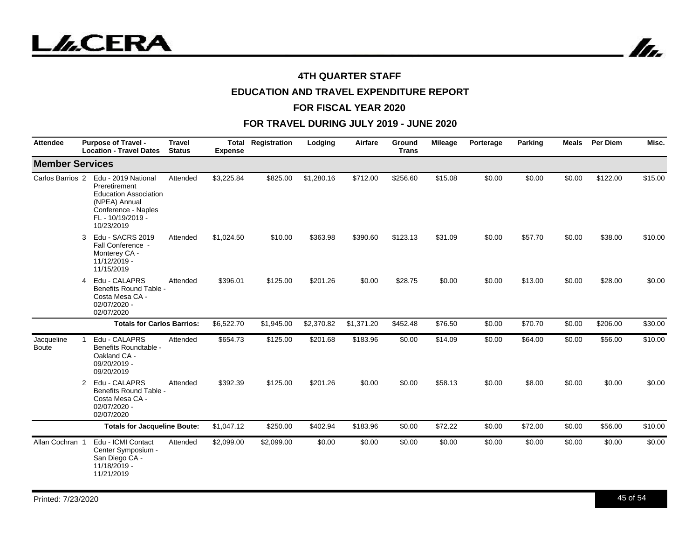

In.

## **4TH QUARTER STAFF**

# **EDUCATION AND TRAVEL EXPENDITURE REPORT**

#### **FOR FISCAL YEAR 2020**

| <b>Attendee</b>            | <b>Purpose of Travel -</b><br><b>Location - Travel Dates</b>                                                                                    | <b>Travel</b><br><b>Status</b> | Total<br><b>Expense</b> | Registration | Lodging    | Airfare    | Ground<br><b>Trans</b> | <b>Mileage</b> | Porterage | Parking | <b>Meals</b> | Per Diem | Misc.   |
|----------------------------|-------------------------------------------------------------------------------------------------------------------------------------------------|--------------------------------|-------------------------|--------------|------------|------------|------------------------|----------------|-----------|---------|--------------|----------|---------|
| <b>Member Services</b>     |                                                                                                                                                 |                                |                         |              |            |            |                        |                |           |         |              |          |         |
| Carlos Barrios 2           | Edu - 2019 National<br>Preretirement<br><b>Education Association</b><br>(NPEA) Annual<br>Conference - Naples<br>FL - 10/19/2019 -<br>10/23/2019 | Attended                       | \$3,225.84              | \$825.00     | \$1,280.16 | \$712.00   | \$256.60               | \$15.08        | \$0.00    | \$0.00  | \$0.00       | \$122.00 | \$15.00 |
|                            | Edu - SACRS 2019<br>3<br>Fall Conference -<br>Monterey CA -<br>11/12/2019 -<br>11/15/2019                                                       | Attended                       | \$1,024.50              | \$10.00      | \$363.98   | \$390.60   | \$123.13               | \$31.09        | \$0.00    | \$57.70 | \$0.00       | \$38.00  | \$10.00 |
|                            | Edu - CALAPRS<br>4<br>Benefits Round Table -<br>Costa Mesa CA -<br>02/07/2020 -<br>02/07/2020                                                   | Attended                       | \$396.01                | \$125.00     | \$201.26   | \$0.00     | \$28.75                | \$0.00         | \$0.00    | \$13.00 | \$0.00       | \$28.00  | \$0.00  |
|                            | <b>Totals for Carlos Barrios:</b>                                                                                                               |                                | \$6,522.70              | \$1,945.00   | \$2,370.82 | \$1,371.20 | \$452.48               | \$76.50        | \$0.00    | \$70.70 | \$0.00       | \$206.00 | \$30.00 |
| Jacqueline<br><b>Boute</b> | Edu - CALAPRS<br>Benefits Roundtable -<br>Oakland CA -<br>09/20/2019 -<br>09/20/2019                                                            | Attended                       | \$654.73                | \$125.00     | \$201.68   | \$183.96   | \$0.00                 | \$14.09        | \$0.00    | \$64.00 | \$0.00       | \$56.00  | \$10.00 |
|                            | Edu - CALAPRS<br>2<br>Benefits Round Table -<br>Costa Mesa CA -<br>02/07/2020 -<br>02/07/2020                                                   | Attended                       | \$392.39                | \$125.00     | \$201.26   | \$0.00     | \$0.00                 | \$58.13        | \$0.00    | \$8.00  | \$0.00       | \$0.00   | \$0.00  |
|                            | <b>Totals for Jacqueline Boute:</b>                                                                                                             |                                | \$1,047.12              | \$250.00     | \$402.94   | \$183.96   | \$0.00                 | \$72.22        | \$0.00    | \$72.00 | \$0.00       | \$56.00  | \$10.00 |
| Allan Cochran 1            | Edu - ICMI Contact<br>Center Symposium -<br>San Diego CA -<br>11/18/2019 -<br>11/21/2019                                                        | Attended                       | \$2,099.00              | \$2,099.00   | \$0.00     | \$0.00     | \$0.00                 | \$0.00         | \$0.00    | \$0.00  | \$0.00       | \$0.00   | \$0.00  |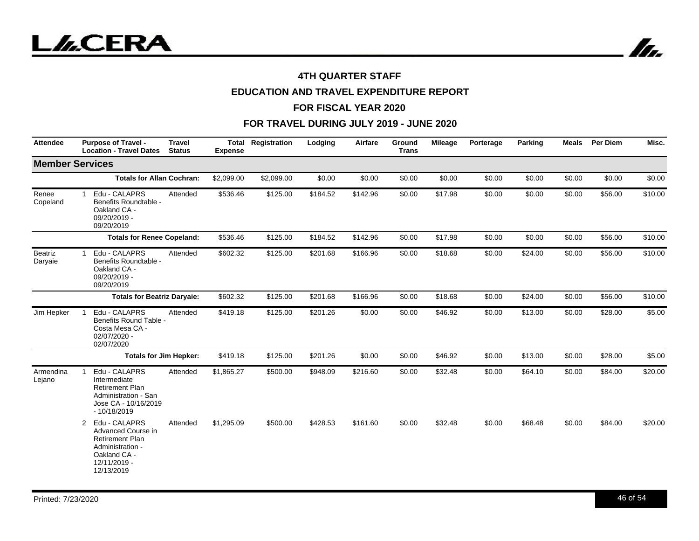

# **EDUCATION AND TRAVEL EXPENDITURE REPORT**

#### **FOR FISCAL YEAR 2020**

| <b>Attendee</b>     | <b>Purpose of Travel -</b><br><b>Travel</b><br><b>Location - Travel Dates</b><br><b>Status</b>                                                   | <b>Total</b><br><b>Expense</b> | Registration | Lodging  | Airfare  | Ground<br><b>Trans</b> | <b>Mileage</b> | Porterage | Parking | <b>Meals</b> | <b>Per Diem</b> | Misc.   |
|---------------------|--------------------------------------------------------------------------------------------------------------------------------------------------|--------------------------------|--------------|----------|----------|------------------------|----------------|-----------|---------|--------------|-----------------|---------|
|                     | <b>Member Services</b>                                                                                                                           |                                |              |          |          |                        |                |           |         |              |                 |         |
|                     | <b>Totals for Allan Cochran:</b>                                                                                                                 | \$2,099.00                     | \$2,099.00   | \$0.00   | \$0.00   | \$0.00                 | \$0.00         | \$0.00    | \$0.00  | \$0.00       | \$0.00          | \$0.00  |
| Renee<br>Copeland   | Edu - CALAPRS<br>Attended<br>1<br>Benefits Roundtable -<br>Oakland CA -<br>09/20/2019 -<br>09/20/2019                                            | \$536.46                       | \$125.00     | \$184.52 | \$142.96 | \$0.00                 | \$17.98        | \$0.00    | \$0.00  | \$0.00       | \$56.00         | \$10.00 |
|                     | <b>Totals for Renee Copeland:</b>                                                                                                                | \$536.46                       | \$125.00     | \$184.52 | \$142.96 | \$0.00                 | \$17.98        | \$0.00    | \$0.00  | \$0.00       | \$56.00         | \$10.00 |
| Beatriz<br>Daryaie  | Edu - CALAPRS<br>Attended<br>$\mathbf 1$<br>Benefits Roundtable -<br>Oakland CA -<br>09/20/2019 -<br>09/20/2019                                  | \$602.32                       | \$125.00     | \$201.68 | \$166.96 | \$0.00                 | \$18.68        | \$0.00    | \$24.00 | \$0.00       | \$56.00         | \$10.00 |
|                     | <b>Totals for Beatriz Daryaie:</b>                                                                                                               | \$602.32                       | \$125.00     | \$201.68 | \$166.96 | \$0.00                 | \$18.68        | \$0.00    | \$24.00 | \$0.00       | \$56.00         | \$10.00 |
| Jim Hepker          | Edu - CALAPRS<br>Attended<br>-1<br>Benefits Round Table -<br>Costa Mesa CA -<br>02/07/2020 -<br>02/07/2020                                       | \$419.18                       | \$125.00     | \$201.26 | \$0.00   | \$0.00                 | \$46.92        | \$0.00    | \$13.00 | \$0.00       | \$28.00         | \$5.00  |
|                     | <b>Totals for Jim Hepker:</b>                                                                                                                    | \$419.18                       | \$125.00     | \$201.26 | \$0.00   | \$0.00                 | \$46.92        | \$0.00    | \$13.00 | \$0.00       | \$28.00         | \$5.00  |
| Armendina<br>Lejano | Edu - CALAPRS<br>Attended<br>-1<br>Intermediate<br><b>Retirement Plan</b><br>Administration - San<br>Jose CA - 10/16/2019<br>$-10/18/2019$       | \$1,865.27                     | \$500.00     | \$948.09 | \$216.60 | \$0.00                 | \$32.48        | \$0.00    | \$64.10 | \$0.00       | \$84.00         | \$20.00 |
|                     | Edu - CALAPRS<br>2<br>Attended<br>Advanced Course in<br><b>Retirement Plan</b><br>Administration -<br>Oakland CA -<br>12/11/2019 -<br>12/13/2019 | \$1,295.09                     | \$500.00     | \$428.53 | \$161.60 | \$0.00                 | \$32.48        | \$0.00    | \$68.48 | \$0.00       | \$84.00         | \$20.00 |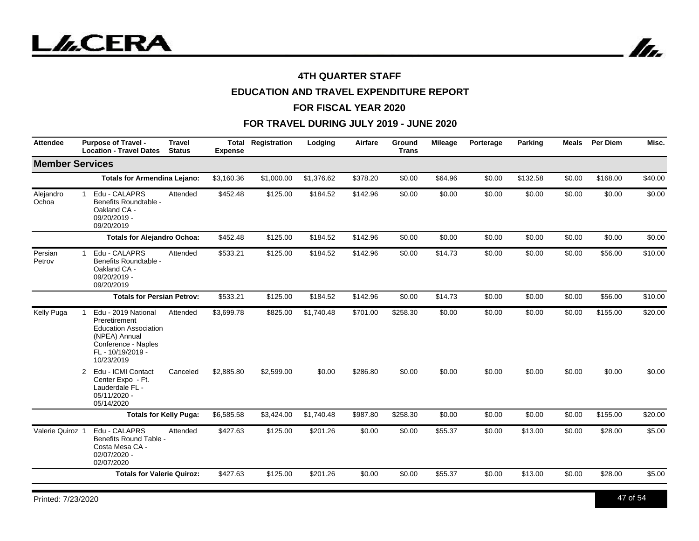

# **EDUCATION AND TRAVEL EXPENDITURE REPORT**

#### **FOR FISCAL YEAR 2020**

| <b>Attendee</b>        | <b>Purpose of Travel -</b><br><b>Location - Travel Dates</b>                                                                                         | <b>Travel</b><br><b>Status</b> | <b>Expense</b> | <b>Total Registration</b> | Lodging    | Airfare  | Ground<br><b>Trans</b> | <b>Mileage</b> | Porterage | Parking  | <b>Meals</b> | Per Diem | Misc.   |
|------------------------|------------------------------------------------------------------------------------------------------------------------------------------------------|--------------------------------|----------------|---------------------------|------------|----------|------------------------|----------------|-----------|----------|--------------|----------|---------|
| <b>Member Services</b> |                                                                                                                                                      |                                |                |                           |            |          |                        |                |           |          |              |          |         |
|                        | <b>Totals for Armendina Lejano:</b>                                                                                                                  |                                | \$3,160.36     | \$1,000.00                | \$1.376.62 | \$378.20 | \$0.00                 | \$64.96        | \$0.00    | \$132.58 | \$0.00       | \$168.00 | \$40.00 |
| Alejandro<br>Ochoa     | Edu - CALAPRS<br>$\mathbf{1}$<br>Benefits Roundtable -<br>Oakland CA -<br>09/20/2019 -<br>09/20/2019                                                 | Attended                       | \$452.48       | \$125.00                  | \$184.52   | \$142.96 | \$0.00                 | \$0.00         | \$0.00    | \$0.00   | \$0.00       | \$0.00   | \$0.00  |
|                        | <b>Totals for Alejandro Ochoa:</b>                                                                                                                   |                                | \$452.48       | \$125.00                  | \$184.52   | \$142.96 | \$0.00                 | \$0.00         | \$0.00    | \$0.00   | \$0.00       | \$0.00   | \$0.00  |
| Persian<br>Petrov      | Edu - CALAPRS<br>1.<br>Benefits Roundtable -<br>Oakland CA -<br>09/20/2019 -<br>09/20/2019                                                           | Attended                       | \$533.21       | \$125.00                  | \$184.52   | \$142.96 | \$0.00                 | \$14.73        | \$0.00    | \$0.00   | \$0.00       | \$56.00  | \$10.00 |
|                        | <b>Totals for Persian Petrov:</b>                                                                                                                    |                                | \$533.21       | \$125.00                  | \$184.52   | \$142.96 | \$0.00                 | \$14.73        | \$0.00    | \$0.00   | \$0.00       | \$56.00  | \$10.00 |
| Kelly Puga             | Edu - 2019 National<br>1<br>Preretirement<br><b>Education Association</b><br>(NPEA) Annual<br>Conference - Naples<br>FL - 10/19/2019 -<br>10/23/2019 | Attended                       | \$3,699.78     | \$825.00                  | \$1,740.48 | \$701.00 | \$258.30               | \$0.00         | \$0.00    | \$0.00   | \$0.00       | \$155.00 | \$20.00 |
|                        | Edu - ICMI Contact<br>$\overline{2}$<br>Center Expo - Ft.<br>Lauderdale FL -<br>05/11/2020 -<br>05/14/2020                                           | Canceled                       | \$2,885.80     | \$2,599.00                | \$0.00     | \$286.80 | \$0.00                 | \$0.00         | \$0.00    | \$0.00   | \$0.00       | \$0.00   | \$0.00  |
|                        | <b>Totals for Kelly Puga:</b>                                                                                                                        |                                | \$6,585.58     | \$3,424.00                | \$1,740.48 | \$987.80 | \$258.30               | \$0.00         | \$0.00    | \$0.00   | \$0.00       | \$155.00 | \$20.00 |
| Valerie Quiroz 1       | Edu - CALAPRS<br>Benefits Round Table -<br>Costa Mesa CA -<br>02/07/2020 -<br>02/07/2020                                                             | Attended                       | \$427.63       | \$125.00                  | \$201.26   | \$0.00   | \$0.00                 | \$55.37        | \$0.00    | \$13.00  | \$0.00       | \$28.00  | \$5.00  |
|                        | <b>Totals for Valerie Quiroz:</b>                                                                                                                    |                                | \$427.63       | \$125.00                  | \$201.26   | \$0.00   | \$0.00                 | \$55.37        | \$0.00    | \$13.00  | \$0.00       | \$28.00  | \$5.00  |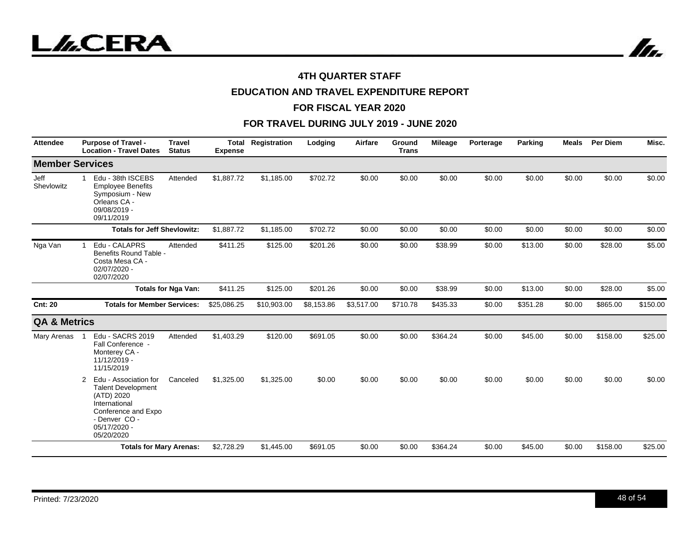

# **EDUCATION AND TRAVEL EXPENDITURE REPORT**

#### **FOR FISCAL YEAR 2020**

| <b>Attendee</b>         | <b>Purpose of Travel -</b><br><b>Location - Travel Dates</b>                                                                                                 | <b>Travel</b><br><b>Status</b> | <b>Total</b><br><b>Expense</b> | Registration | Lodging    | <b>Airfare</b> | Ground<br><b>Trans</b> | <b>Mileage</b> | Porterage | Parking  | <b>Meals</b> | <b>Per Diem</b> | Misc.    |
|-------------------------|--------------------------------------------------------------------------------------------------------------------------------------------------------------|--------------------------------|--------------------------------|--------------|------------|----------------|------------------------|----------------|-----------|----------|--------------|-----------------|----------|
| <b>Member Services</b>  |                                                                                                                                                              |                                |                                |              |            |                |                        |                |           |          |              |                 |          |
| Jeff<br>Shevlowitz      | Edu - 38th ISCEBS<br>$\mathbf 1$<br><b>Employee Benefits</b><br>Symposium - New<br>Orleans CA -<br>09/08/2019 -<br>09/11/2019                                | Attended                       | \$1,887.72                     | \$1,185.00   | \$702.72   | \$0.00         | \$0.00                 | \$0.00         | \$0.00    | \$0.00   | \$0.00       | \$0.00          | \$0.00   |
|                         | <b>Totals for Jeff Shevlowitz:</b>                                                                                                                           |                                | \$1,887.72                     | \$1,185.00   | \$702.72   | \$0.00         | \$0.00                 | \$0.00         | \$0.00    | \$0.00   | \$0.00       | \$0.00          | \$0.00   |
| Nga Van                 | Edu - CALAPRS<br>$\mathbf{1}$<br>Benefits Round Table -<br>Costa Mesa CA -<br>02/07/2020 -<br>02/07/2020                                                     | Attended                       | \$411.25                       | \$125.00     | \$201.26   | \$0.00         | \$0.00                 | \$38.99        | \$0.00    | \$13.00  | \$0.00       | \$28.00         | \$5.00   |
|                         |                                                                                                                                                              | <b>Totals for Nga Van:</b>     | \$411.25                       | \$125.00     | \$201.26   | \$0.00         | \$0.00                 | \$38.99        | \$0.00    | \$13.00  | \$0.00       | \$28.00         | \$5.00   |
| <b>Cnt: 20</b>          | <b>Totals for Member Services:</b>                                                                                                                           |                                | \$25,086.25                    | \$10,903.00  | \$8,153.86 | \$3,517.00     | \$710.78               | \$435.33       | \$0.00    | \$351.28 | \$0.00       | \$865.00        | \$150.00 |
| <b>QA &amp; Metrics</b> |                                                                                                                                                              |                                |                                |              |            |                |                        |                |           |          |              |                 |          |
| Mary Arenas             | Edu - SACRS 2019<br>Fall Conference -<br>Monterey CA -<br>11/12/2019 -<br>11/15/2019                                                                         | Attended                       | \$1,403.29                     | \$120.00     | \$691.05   | \$0.00         | \$0.00                 | \$364.24       | \$0.00    | \$45.00  | \$0.00       | \$158.00        | \$25.00  |
|                         | Edu - Association for<br>2<br><b>Talent Development</b><br>(ATD) 2020<br>International<br>Conference and Expo<br>- Denver CO -<br>05/17/2020 -<br>05/20/2020 | Canceled                       | \$1,325.00                     | \$1,325.00   | \$0.00     | \$0.00         | \$0.00                 | \$0.00         | \$0.00    | \$0.00   | \$0.00       | \$0.00          | \$0.00   |
|                         | <b>Totals for Mary Arenas:</b>                                                                                                                               |                                | \$2,728.29                     | \$1,445.00   | \$691.05   | \$0.00         | \$0.00                 | \$364.24       | \$0.00    | \$45.00  | \$0.00       | \$158.00        | \$25.00  |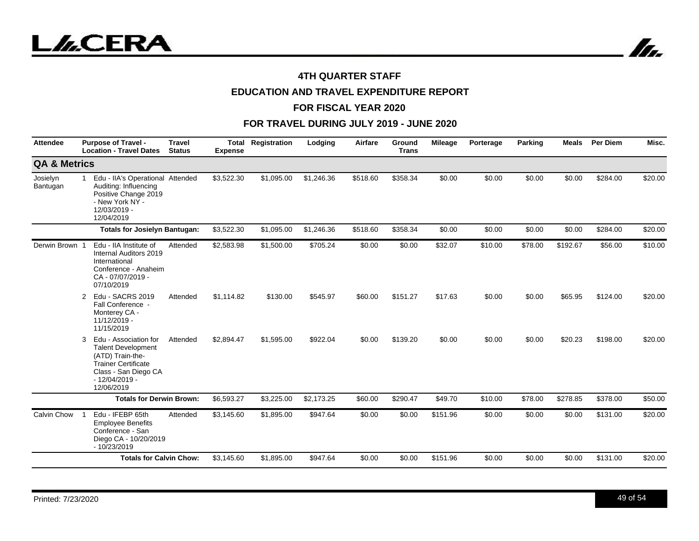



# **EDUCATION AND TRAVEL EXPENDITURE REPORT**

#### **FOR FISCAL YEAR 2020**

| <b>Attendee</b>         | <b>Purpose of Travel -</b><br><b>Location - Travel Dates</b>                                                                                                       | <b>Travel</b><br><b>Status</b>  | <b>Expense</b> | <b>Total Registration</b> | Lodging    | <b>Airfare</b> | Ground<br><b>Trans</b> | <b>Mileage</b> | Porterage | Parking | <b>Meals</b> | <b>Per Diem</b> | Misc.   |
|-------------------------|--------------------------------------------------------------------------------------------------------------------------------------------------------------------|---------------------------------|----------------|---------------------------|------------|----------------|------------------------|----------------|-----------|---------|--------------|-----------------|---------|
| <b>QA &amp; Metrics</b> |                                                                                                                                                                    |                                 |                |                           |            |                |                        |                |           |         |              |                 |         |
| Josielyn<br>Bantugan    | Edu - IIA's Operational Attended<br>Auditing: Influencing<br>Positive Change 2019<br>- New York NY -<br>12/03/2019 -<br>12/04/2019                                 |                                 | \$3,522.30     | \$1,095.00                | \$1,246.36 | \$518.60       | \$358.34               | \$0.00         | \$0.00    | \$0.00  | \$0.00       | \$284.00        | \$20.00 |
|                         | <b>Totals for Josielyn Bantugan:</b>                                                                                                                               |                                 | \$3,522.30     | \$1,095.00                | \$1,246.36 | \$518.60       | \$358.34               | \$0.00         | \$0.00    | \$0.00  | \$0.00       | \$284.00        | \$20.00 |
| Derwin Brown            | Edu - IIA Institute of<br>Internal Auditors 2019<br>International<br>Conference - Anaheim<br>CA - 07/07/2019 -<br>07/10/2019                                       | Attended                        | \$2,583.98     | \$1,500.00                | \$705.24   | \$0.00         | \$0.00                 | \$32.07        | \$10.00   | \$78.00 | \$192.67     | \$56.00         | \$10.00 |
|                         | Edu - SACRS 2019<br>2<br>Fall Conference -<br>Monterey CA -<br>11/12/2019 -<br>11/15/2019                                                                          | Attended                        | \$1,114.82     | \$130.00                  | \$545.97   | \$60.00        | \$151.27               | \$17.63        | \$0.00    | \$0.00  | \$65.95      | \$124.00        | \$20.00 |
|                         | Edu - Association for<br>3<br><b>Talent Development</b><br>(ATD) Train-the-<br><b>Trainer Certificate</b><br>Class - San Diego CA<br>$-12/04/2019 -$<br>12/06/2019 | Attended                        | \$2,894.47     | \$1,595.00                | \$922.04   | \$0.00         | \$139.20               | \$0.00         | \$0.00    | \$0.00  | \$20.23      | \$198.00        | \$20.00 |
|                         |                                                                                                                                                                    | <b>Totals for Derwin Brown:</b> |                | \$3,225.00                | \$2,173.25 | \$60.00        | \$290.47               | \$49.70        | \$10.00   | \$78.00 | \$278.85     | \$378.00        | \$50.00 |
| Calvin Chow             | Edu - IFEBP 65th<br><b>Employee Benefits</b><br>Conference - San<br>Diego CA - 10/20/2019<br>$-10/23/2019$                                                         | Attended                        | \$3,145.60     | \$1,895.00                | \$947.64   | \$0.00         | \$0.00                 | \$151.96       | \$0.00    | \$0.00  | \$0.00       | \$131.00        | \$20.00 |
|                         | <b>Totals for Calvin Chow:</b>                                                                                                                                     |                                 | \$3,145.60     | \$1,895.00                | \$947.64   | \$0.00         | \$0.00                 | \$151.96       | \$0.00    | \$0.00  | \$0.00       | \$131.00        | \$20.00 |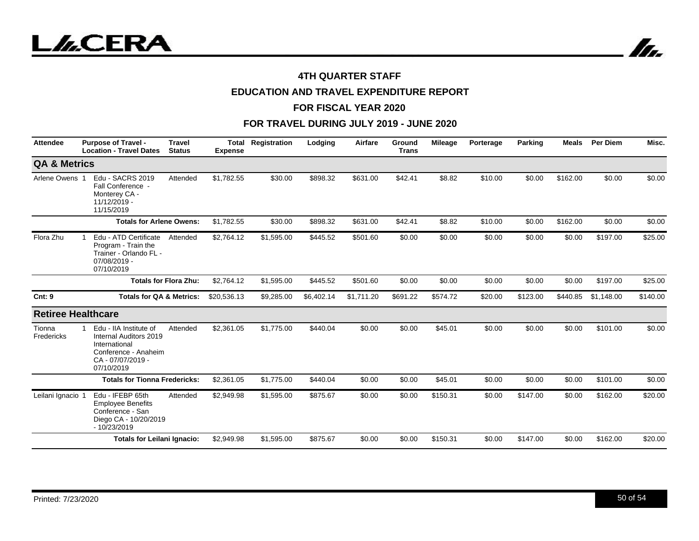

# **EDUCATION AND TRAVEL EXPENDITURE REPORT**

#### **FOR FISCAL YEAR 2020**

| <b>Attendee</b>           | <b>Purpose of Travel -</b><br><b>Location - Travel Dates</b>                                                                 | <b>Travel</b><br><b>Status</b> | Total<br><b>Expense</b> | Registration | Lodging    | Airfare    | Ground<br><b>Trans</b> | Mileage  | Porterage | Parking  | Meals    | <b>Per Diem</b> | Misc.    |
|---------------------------|------------------------------------------------------------------------------------------------------------------------------|--------------------------------|-------------------------|--------------|------------|------------|------------------------|----------|-----------|----------|----------|-----------------|----------|
| <b>QA &amp; Metrics</b>   |                                                                                                                              |                                |                         |              |            |            |                        |          |           |          |          |                 |          |
| Arlene Owens 1            | Edu - SACRS 2019<br>Fall Conference -<br>Monterey CA -<br>11/12/2019 -<br>11/15/2019                                         | Attended                       | \$1,782.55              | \$30.00      | \$898.32   | \$631.00   | \$42.41                | \$8.82   | \$10.00   | \$0.00   | \$162.00 | \$0.00          | \$0.00   |
|                           | <b>Totals for Arlene Owens:</b>                                                                                              |                                | \$1,782.55              | \$30.00      | \$898.32   | \$631.00   | \$42.41                | \$8.82   | \$10.00   | \$0.00   | \$162.00 | \$0.00          | \$0.00   |
| Flora Zhu                 | Edu - ATD Certificate<br>Program - Train the<br>Trainer - Orlando FL -<br>07/08/2019 -<br>07/10/2019                         | Attended                       | \$2,764.12              | \$1,595.00   | \$445.52   | \$501.60   | \$0.00                 | \$0.00   | \$0.00    | \$0.00   | \$0.00   | \$197.00        | \$25.00  |
|                           |                                                                                                                              | <b>Totals for Flora Zhu:</b>   | \$2,764.12              | \$1,595.00   | \$445.52   | \$501.60   | \$0.00                 | \$0.00   | \$0.00    | \$0.00   | \$0.00   | \$197.00        | \$25.00  |
| <b>Cnt: 9</b>             | <b>Totals for QA &amp; Metrics:</b>                                                                                          |                                | \$20,536.13             | \$9,285.00   | \$6,402.14 | \$1,711.20 | \$691.22               | \$574.72 | \$20.00   | \$123.00 | \$440.85 | \$1,148.00      | \$140.00 |
| <b>Retiree Healthcare</b> |                                                                                                                              |                                |                         |              |            |            |                        |          |           |          |          |                 |          |
| Tionna<br>Fredericks      | Edu - IIA Institute of<br>Internal Auditors 2019<br>International<br>Conference - Anaheim<br>CA - 07/07/2019 -<br>07/10/2019 | Attended                       | \$2,361.05              | \$1,775.00   | \$440.04   | \$0.00     | \$0.00                 | \$45.01  | \$0.00    | \$0.00   | \$0.00   | \$101.00        | \$0.00   |
|                           | <b>Totals for Tionna Fredericks:</b>                                                                                         |                                | \$2,361.05              | \$1,775.00   | \$440.04   | \$0.00     | \$0.00                 | \$45.01  | \$0.00    | \$0.00   | \$0.00   | \$101.00        | \$0.00   |
| Leilani Ignacio           | Edu - IFEBP 65th<br><b>Employee Benefits</b><br>Conference - San<br>Diego CA - 10/20/2019<br>$-10/23/2019$                   | Attended                       | \$2,949.98              | \$1,595.00   | \$875.67   | \$0.00     | \$0.00                 | \$150.31 | \$0.00    | \$147.00 | \$0.00   | \$162.00        | \$20.00  |
|                           | <b>Totals for Leilani Ignacio:</b>                                                                                           |                                | \$2,949.98              | \$1,595.00   | \$875.67   | \$0.00     | \$0.00                 | \$150.31 | \$0.00    | \$147.00 | \$0.00   | \$162.00        | \$20.00  |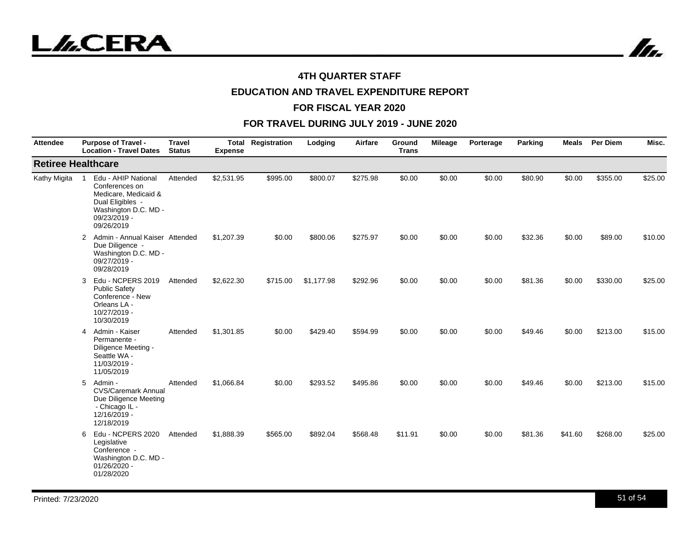



# **EDUCATION AND TRAVEL EXPENDITURE REPORT**

#### **FOR FISCAL YEAR 2020**

| <b>Attendee</b>           | <b>Purpose of Travel -</b><br><b>Location - Travel Dates</b>                                                                                              | <b>Travel</b><br><b>Status</b> | Total<br><b>Expense</b> | Registration | Lodging    | Airfare  | Ground<br><b>Trans</b> | <b>Mileage</b> | Porterage | Parking | <b>Meals</b> | Per Diem | Misc.   |
|---------------------------|-----------------------------------------------------------------------------------------------------------------------------------------------------------|--------------------------------|-------------------------|--------------|------------|----------|------------------------|----------------|-----------|---------|--------------|----------|---------|
| <b>Retiree Healthcare</b> |                                                                                                                                                           |                                |                         |              |            |          |                        |                |           |         |              |          |         |
| Kathy Migita              | Edu - AHIP National<br>$\overline{1}$<br>Conferences on<br>Medicare, Medicaid &<br>Dual Eligibles -<br>Washington D.C. MD -<br>09/23/2019 -<br>09/26/2019 | Attended                       | \$2,531.95              | \$995.00     | \$800.07   | \$275.98 | \$0.00                 | \$0.00         | \$0.00    | \$80.90 | \$0.00       | \$355.00 | \$25.00 |
|                           | Admin - Annual Kaiser Attended<br>$\mathbf{2}$<br>Due Diligence -<br>Washington D.C. MD -<br>09/27/2019 -<br>09/28/2019                                   |                                | \$1,207.39              | \$0.00       | \$800.06   | \$275.97 | \$0.00                 | \$0.00         | \$0.00    | \$32.36 | \$0.00       | \$89.00  | \$10.00 |
|                           | Edu - NCPERS 2019<br>3<br><b>Public Safety</b><br>Conference - New<br>Orleans LA -<br>10/27/2019 -<br>10/30/2019                                          | Attended                       | \$2,622.30              | \$715.00     | \$1,177.98 | \$292.96 | \$0.00                 | \$0.00         | \$0.00    | \$81.36 | \$0.00       | \$330.00 | \$25.00 |
|                           | 4 Admin - Kaiser<br>Permanente -<br>Diligence Meeting -<br>Seattle WA -<br>11/03/2019 -<br>11/05/2019                                                     | Attended                       | \$1,301.85              | \$0.00       | \$429.40   | \$594.99 | \$0.00                 | \$0.00         | \$0.00    | \$49.46 | \$0.00       | \$213.00 | \$15.00 |
|                           | 5<br>Admin -<br><b>CVS/Caremark Annual</b><br>Due Diligence Meeting<br>- Chicago IL -<br>12/16/2019 -<br>12/18/2019                                       | Attended                       | \$1,066.84              | \$0.00       | \$293.52   | \$495.86 | \$0.00                 | \$0.00         | \$0.00    | \$49.46 | \$0.00       | \$213.00 | \$15.00 |
|                           | Edu - NCPERS 2020<br>6<br>Legislative<br>Conference -<br>Washington D.C. MD -<br>01/26/2020 -<br>01/28/2020                                               | Attended                       | \$1,888.39              | \$565.00     | \$892.04   | \$568.48 | \$11.91                | \$0.00         | \$0.00    | \$81.36 | \$41.60      | \$268.00 | \$25.00 |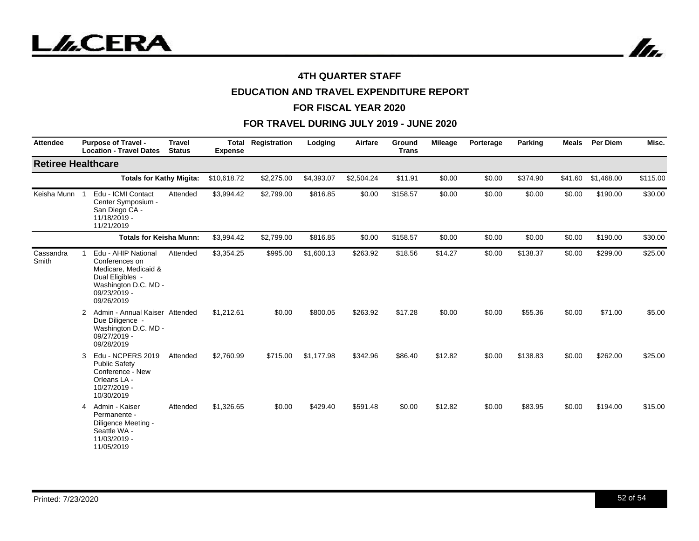

# **EDUCATION AND TRAVEL EXPENDITURE REPORT**

#### **FOR FISCAL YEAR 2020**

| <b>Attendee</b>           | <b>Purpose of Travel -</b><br><b>Location - Travel Dates</b>                                                                            | <b>Travel</b><br><b>Status</b> | Total<br><b>Expense</b> | Registration | Lodging    | Airfare    | Ground<br><b>Trans</b> | <b>Mileage</b> | Porterage | Parking  | <b>Meals</b> | Per Diem   | Misc.    |
|---------------------------|-----------------------------------------------------------------------------------------------------------------------------------------|--------------------------------|-------------------------|--------------|------------|------------|------------------------|----------------|-----------|----------|--------------|------------|----------|
| <b>Retiree Healthcare</b> |                                                                                                                                         |                                |                         |              |            |            |                        |                |           |          |              |            |          |
|                           | <b>Totals for Kathy Migita:</b>                                                                                                         |                                | \$10,618.72             | \$2,275.00   | \$4,393.07 | \$2,504.24 | \$11.91                | \$0.00         | \$0.00    | \$374.90 | \$41.60      | \$1,468.00 | \$115.00 |
| Keisha Munn               | Edu - ICMI Contact<br>Center Symposium -<br>San Diego CA -<br>11/18/2019 -<br>11/21/2019                                                | Attended                       | \$3,994.42              | \$2,799.00   | \$816.85   | \$0.00     | \$158.57               | \$0.00         | \$0.00    | \$0.00   | \$0.00       | \$190.00   | \$30.00  |
|                           | <b>Totals for Keisha Munn:</b>                                                                                                          | \$3,994.42                     | \$2,799.00              | \$816.85     | \$0.00     | \$158.57   | \$0.00                 | \$0.00         | \$0.00    | \$0.00   | \$190.00     | \$30.00    |          |
| Cassandra<br>Smith        | Edu - AHIP National<br>Conferences on<br>Medicare, Medicaid &<br>Dual Eligibles -<br>Washington D.C. MD -<br>09/23/2019 -<br>09/26/2019 | Attended                       | \$3,354.25              | \$995.00     | \$1,600.13 | \$263.92   | \$18.56                | \$14.27        | \$0.00    | \$138.37 | \$0.00       | \$299.00   | \$25.00  |
|                           | Admin - Annual Kaiser Attended<br>2<br>Due Diligence -<br>Washington D.C. MD -<br>09/27/2019 -<br>09/28/2019                            |                                | \$1,212.61              | \$0.00       | \$800.05   | \$263.92   | \$17.28                | \$0.00         | \$0.00    | \$55.36  | \$0.00       | \$71.00    | \$5.00   |
|                           | Edu - NCPERS 2019<br>3<br><b>Public Safety</b><br>Conference - New<br>Orleans LA -<br>10/27/2019 -<br>10/30/2019                        | Attended                       | \$2,760.99              | \$715.00     | \$1,177.98 | \$342.96   | \$86.40                | \$12.82        | \$0.00    | \$138.83 | \$0.00       | \$262.00   | \$25.00  |
|                           | Admin - Kaiser<br>4<br>Permanente -<br>Diligence Meeting -<br>Seattle WA -<br>11/03/2019 -<br>11/05/2019                                | Attended                       | \$1,326.65              | \$0.00       | \$429.40   | \$591.48   | \$0.00                 | \$12.82        | \$0.00    | \$83.95  | \$0.00       | \$194.00   | \$15.00  |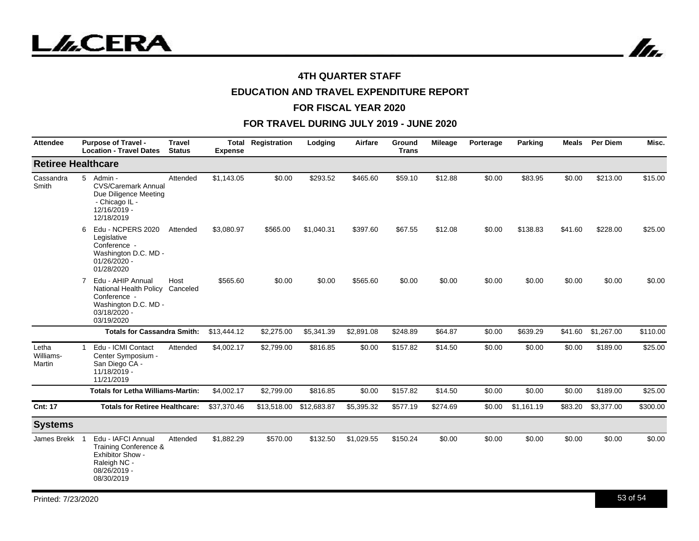In.

## **4TH QUARTER STAFF**

# **EDUCATION AND TRAVEL EXPENDITURE REPORT**

#### **FOR FISCAL YEAR 2020**

| <b>Attendee</b>              | <b>Purpose of Travel -</b><br><b>Location - Travel Dates</b>                                                                                 | <b>Travel</b><br><b>Status</b> | <b>Expense</b> | <b>Total Registration</b> | Lodging     | Airfare    | Ground<br><b>Trans</b> | <b>Mileage</b> | Porterage | Parking    | Meals   | <b>Per Diem</b> | Misc.    |
|------------------------------|----------------------------------------------------------------------------------------------------------------------------------------------|--------------------------------|----------------|---------------------------|-------------|------------|------------------------|----------------|-----------|------------|---------|-----------------|----------|
|                              | <b>Retiree Healthcare</b>                                                                                                                    |                                |                |                           |             |            |                        |                |           |            |         |                 |          |
| Cassandra<br>Smith           | 5<br>Admin -<br><b>CVS/Caremark Annual</b><br>Due Diligence Meeting<br>- Chicago IL -<br>12/16/2019 -<br>12/18/2019                          | Attended                       | \$1,143.05     | \$0.00                    | \$293.52    | \$465.60   | \$59.10                | \$12.88        | \$0.00    | \$83.95    | \$0.00  | \$213.00        | \$15.00  |
|                              | Edu - NCPERS 2020<br>6<br>Legislative<br>Conference -<br>Washington D.C. MD -<br>01/26/2020 -<br>01/28/2020                                  | Attended                       | \$3,080.97     | \$565.00                  | \$1,040.31  | \$397.60   | \$67.55                | \$12.08        | \$0.00    | \$138.83   | \$41.60 | \$228.00        | \$25.00  |
|                              | Edu - AHIP Annual<br>$\overline{7}$<br>National Health Policy Canceled<br>Conference -<br>Washington D.C. MD -<br>03/18/2020 -<br>03/19/2020 | Host                           | \$565.60       | \$0.00                    | \$0.00      | \$565.60   | \$0.00                 | \$0.00         | \$0.00    | \$0.00     | \$0.00  | \$0.00          | \$0.00   |
|                              | <b>Totals for Cassandra Smith:</b>                                                                                                           |                                | \$13,444.12    | \$2,275.00                | \$5,341.39  | \$2,891.08 | \$248.89               | \$64.87        | \$0.00    | \$639.29   | \$41.60 | \$1,267.00      | \$110.00 |
| Letha<br>Williams-<br>Martin | Edu - ICMI Contact<br>Center Symposium -<br>San Diego CA -<br>11/18/2019 -<br>11/21/2019                                                     | Attended                       | \$4,002.17     | \$2,799.00                | \$816.85    | \$0.00     | \$157.82               | \$14.50        | \$0.00    | \$0.00     | \$0.00  | \$189.00        | \$25.00  |
|                              | <b>Totals for Letha Williams-Martin:</b>                                                                                                     |                                | \$4,002.17     | \$2,799.00                | \$816.85    | \$0.00     | \$157.82               | \$14.50        | \$0.00    | \$0.00     | \$0.00  | \$189.00        | \$25.00  |
| <b>Cnt: 17</b>               | <b>Totals for Retiree Healthcare:</b>                                                                                                        |                                | \$37,370.46    | \$13,518.00               | \$12,683.87 | \$5,395.32 | \$577.19               | \$274.69       | \$0.00    | \$1,161.19 | \$83.20 | \$3,377.00      | \$300.00 |
| <b>Systems</b>               |                                                                                                                                              |                                |                |                           |             |            |                        |                |           |            |         |                 |          |
| James Brekk                  | Edu - IAFCI Annual<br>Training Conference &<br>Exhibitor Show -<br>Raleigh NC -<br>08/26/2019 -<br>08/30/2019                                | Attended                       | \$1,882.29     | \$570.00                  | \$132.50    | \$1,029.55 | \$150.24               | \$0.00         | \$0.00    | \$0.00     | \$0.00  | \$0.00          | \$0.00   |